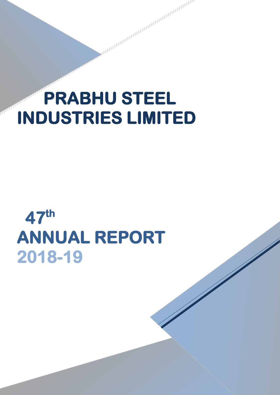# **PRABHU STEEL INDUSTRIES LIMITED**

**REAL AND AND DESCRIPTION OF REAL AND DESCRIPTION** 

# **47th ANNUAL REPORT 2018-19**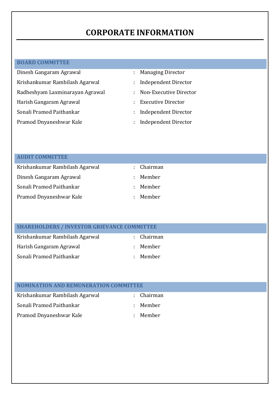# **CORPORATE INFORMATION**

#### **BOARD COMMITTEE**

- Dinesh Gangaram Agrawal : Managing Director Krishankumar Rambilash Agarwal : Independent Director Radheshyam Laxminarayan Agrawal : Non-Executive Director Harish Gangaram Agrawal **in the Canada** Executive Director Sonali Pramod Paithankar : Independent Director Pramod Dnyaneshwar Kale : Independent Director
	-
	-
	-

- 
- 
- 

| <b>AUDIT COMMITTEE</b>         |          |
|--------------------------------|----------|
| Krishankumar Rambilash Agarwal | Chairman |
| Dinesh Gangaram Agrawal        | Member   |
| Sonali Pramod Paithankar       | Member   |
| Pramod Dnyaneshwar Kale        | Member   |

### **SHAREHOLDERS / INVESTOR GRIEVANCE COMMITTEE**

| Krishankumar Rambilash Agarwal | : Chairman |
|--------------------------------|------------|
| Harish Gangaram Agrawal        | : Member   |
| Sonali Pramod Paithankar       | : Member   |

| <b>NOMINATION AND REMUNERATION COMMITTEE</b> |    |          |
|----------------------------------------------|----|----------|
| Krishankumar Rambilash Agarwal               | ÷. | Chairman |
| Sonali Pramod Paithankar                     | ÷. | Member   |
| Pramod Dnyaneshwar Kale                      | ÷. | Member   |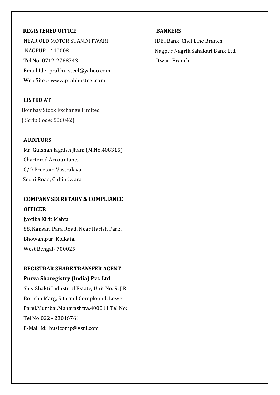#### **REGISTERED OFFICE**

NEAR OLD MOTOR STAND ITWARI NAGPUR - 440008 Tel No: 0712-2768743 Email Id :- prabhu.steel@yahoo.com Web Site :- www.prabhusteel.com

**LISTED AT** Bombay Stock Exchange Limited ( Scrip Code: 506042)

#### **AUDITORS**

Mr. Gulshan Jagdish Jham (M.No.408315) Chartered Accountants C/O Preetam Vastralaya Seoni Road, Chhindwara

## **COMPANY SECRETARY & COMPLIANCE OFFICER**

Jyotika Kirit Mehta 88, Kansari Para Road, Near Harish Park, Bhowanipur, Kolkata, West Bengal- 700025

## **REGISTRAR SHARE TRANSFER AGENT**

#### **Purva Sharegistry (India) Pvt. Ltd**

Shiv Shakti Industrial Estate, Unit No. 9, J R Boricha Marg, Sitarmil Complound, Lower Parel,Mumbai,Maharashtra,400011 Tel No: Tel No:022 - 23016761 E-Mail Id: busicomp@vsnl.com

#### **BANKERS**

IDBI Bank, Civil Line Branch Nagpur Nagrik Sahakari Bank Ltd, Itwari Branch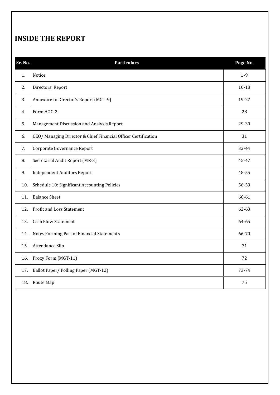# **INSIDE THE REPORT**

| Sr. No. | <b>Particulars</b>                                             | Page No.  |
|---------|----------------------------------------------------------------|-----------|
| 1.      | Notice                                                         | $1-9$     |
| 2.      | Directors' Report                                              | $10 - 18$ |
| 3.      | Annexure to Director's Report (MGT-9)                          | 19-27     |
| 4.      | Form AOC-2                                                     | 28        |
| 5.      | Management Discussion and Analysis Report                      | 29-30     |
| 6.      | CEO/ Managing Director & Chief Financial Officer Certification | 31        |
| 7.      | Corporate Governance Report                                    | 32-44     |
| 8.      | Secretarial Audit Report (MR-3)                                | 45-47     |
| 9.      | <b>Independent Auditors Report</b>                             | 48-55     |
| 10.     | Schedule 10: Significant Accounting Policies                   | 56-59     |
| 11.     | <b>Balance Sheet</b>                                           | 60-61     |
| 12.     | Profit and Loss Statement                                      | 62-63     |
| 13.     | <b>Cash Flow Statement</b>                                     | 64-65     |
| 14.     | Notes Forming Part of Financial Statements                     | 66-70     |
| 15.     | Attendance Slip                                                | 71        |
| 16.     | Proxy Form (MGT-11)                                            | 72        |
| 17.     | Ballot Paper/Polling Paper (MGT-12)                            | 73-74     |
| 18.     | Route Map                                                      | 75        |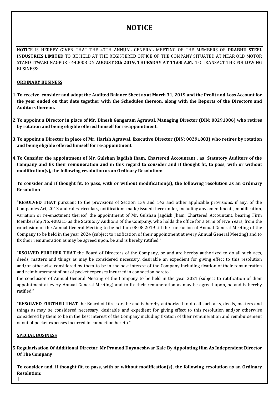# **NOTICE**

NOTICE IS HEREBY GIVEN THAT THE 47TH ANNUAL GENERAL MEETING OF THE MEMBERS OF **PRABHU STEEL INDUSTRIES LIMITED** TO BE HELD AT THE REGISTERED OFFICE OF THE COMPANY SITUATED AT NEAR OLD MOTOR STAND ITWARI NAGPUR - 440008 ON **AUGUST 8th 2019, THURSDAY AT 11:00 A.M.** TO TRANSACT THE FOLLOWING BUSINESS:

#### **ORDINARY BUSINESS**

- **1.To receive, consider and adopt the Audited Balance Sheet as at March 31, 2019 and the Profit and Loss Account for the year ended on that date together with the Schedules thereon, along with the Reports of the Directors and Auditors thereon.**
- **2.To appoint a Director in place of Mr. Dinesh Gangaram Agrawal, Managing Director (DIN: 00291086) who retires by rotation and being eligible offered himself for re-appointment.**
- **3.To appoint a Director in place of Mr. Harish Agrawal, Executive Director (DIN: 00291083) who retires by rotation and being eligible offered himself for re-appointment.**
- **4.To Consider the appointment of Mr. Gulshan Jagdish Jham, Chartered Accountant , as Statutory Auditors of the Company and fix their remuneration and in this regard to consider and if thought fit, to pass, with or without modification(s), the following resolution as an Ordinary Resolution:**

**To consider and if thought fit, to pass, with or without modification(s), the following resolution as an Ordinary Resolution**

"**RESOLVED THAT** pursuant to the provisions of Section 139 and 142 and other applicable provisions, if any, of the Companies Act, 2013 and rules, circulars, notifications made/issued there under, including any amendments, modification, variation or re-enactment thereof, the appointment of Mr. Gulshan Jagdish Jham, Chartered Accountant, bearing Firm Membership No. 408315 as the Statutory Auditors of the Company, who holds the office for a term of Five Years, from the conclusion of the Annual General Meeting to be held on 08.08.2019 till the conclusion of Annual General Meeting of the Company to be held in the year 2024 (subject to ratification of their appointment at every Annual General Meeting) and to fix their remuneration as may be agreed upon, be and is hereby ratified."

"**RSOLVED FURTHER THAT** the Board of Directors of the Company, be and are hereby authorized to do all such acts, deeds, matters and things as may be considered necessary, desirable an expedient for giving effect to this resolution and/or otherwise considered by them to be in the best interest of the Company including fixation of their remuneration and reimbursement of out of pocket expenses incurred in connection hereto."

the conclusion of Annual General Meeting of the Company to be held in the year 2021 (subject to ratification of their appointment at every Annual General Meeting) and to fix their remuneration as may be agreed upon, be and is hereby ratified."

**"RESOLVED FURTHER THAT** the Board of Directors be and is hereby authorized to do all such acts, deeds, matters and things as may be considered necessary, desirable and expedient for giving effect to this resolution and/or otherwise considered by them to be in the best interest of the Company including fixation of their remuneration and reimbursement of out of pocket expenses incurred in connection hereto."

#### **SPECIAL BUSINESS**

1

**5.Regularisation Of Additional Director, Mr Pramod Dnyaneshwar Kale By Appointing Him As Independent Director Of The Company** 

**To consider and, if thought fit, to pass, with or without modification(s), the following resolution as an Ordinary Resolution:**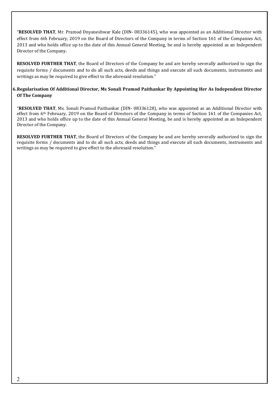"**RESOLVED THAT**, Mr. Pramod Dnyaneshwar Kale (DIN- 08336145), who was appointed as an Additional Director with effect from 6th February, 2019 on the Board of Directors of the Company in terms of Section 161 of the Companies Act, 2013 and who holds office up to the date of this Annual General Meeting, be and is hereby appointed as an Independent Director of the Company.

**RESOLVED FURTHER THAT**, the Board of Directors of the Company be and are hereby severally authorized to sign the requisite forms / documents and to do all such acts, deeds and things and execute all such documents, instruments and writings as may be required to give effect to the aforesaid resolution."

#### **6.Regularisation Of Additional Director, Ms Sonali Pramod Paithankar By Appointing Her As Independent Director Of The Company**

"**RESOLVED THAT**, Ms. Sonali Pramod Paithankar (DIN- 08336128), who was appointed as an Additional Director with effect from 6<sup>th</sup> February, 2019 on the Board of Directors of the Company in terms of Section 161 of the Companies Act, 2013 and who holds office up to the date of this Annual General Meeting, be and is hereby appointed as an Independent Director of the Company.

**RESOLVED FURTHER THAT**, the Board of Directors of the Company be and are hereby severally authorized to sign the requisite forms / documents and to do all such acts, deeds and things and execute all such documents, instruments and writings as may be required to give effect to the aforesaid resolution."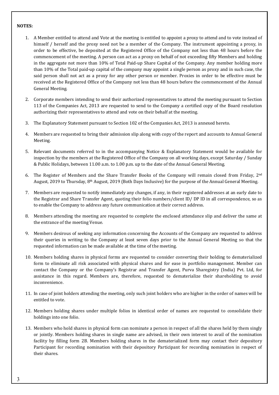#### **NOTES:**

- 1. A Member entitled to attend and Vote at the meeting is entitled to appoint a proxy to attend and to vote instead of himself / herself and the proxy need not be a member of the Company. The instrument appointing a proxy, in order to be effective, be deposited at the Registered Office of the Company not less than 48 hours before the commencement of the meeting. A person can act as a proxy on behalf of not exceeding fifty Members and holding in the aggregate not more than 10% of Total Paid-up Share Capital of the Company. Any member holding more than 10% of the Total paid-up capital of the company may appoint a single person as proxy and in such case, the said person shall not act as a proxy for any other person or member. Proxies in order to be effective must be received at the Registered Office of the Company not less than 48 hours before the commencement of the Annual General Meeting.
- 2. Corporate members intending to send their authorized representatives to attend the meeting pursuant to Section 113 of the Companies Act, 2013 are requested to send to the Company a certified copy of the Board resolution authorizing their representatives to attend and vote on their behalf at the meeting.
- 3. The Explanatory Statement pursuant to Section 102 of the Companies Act, 2013 is annexed hereto.
- 4. Members are requested to bring their admission slip along with copy of the report and accounts to Annual General Meeting.
- 5. Relevant documents referred to in the accompanying Notice & Explanatory Statement would be available for inspection by the members at the Registered Office of the Company on all working days, except Saturday / Sunday & Public Holidays, between 11.00 a.m. to 1.00 p.m. up to the date of the Annual General Meeting.
- 6. The Register of Members and the Share Transfer Books of the Company will remain closed from Friday, 2nd August, 2019 to Thursday, 8<sup>th</sup> August, 2019 (Both Days Inclusive) for the purpose of the Annual General Meeting.
- 7. Members are requested to notify immediately any changes, if any, in their registered addresses at an early date to the Registrar and Share Transfer Agent, quoting their folio numbers/client ID/ DP ID in all correspondence, so as to enable the Company to address any future communication at their correct address.
- 8. Members attending the meeting are requested to complete the enclosed attendance slip and deliver the same at the entrance of the meeting Venue.
- 9. Members desirous of seeking any information concerning the Accounts of the Company are requested to address their queries in writing to the Company at least seven days prior to the Annual General Meeting so that the requested information can be made available at the time of the meeting.
- 10. Members holding shares in physical forms are requested to consider converting their holding to dematerialized form to eliminate all risk associated with physical shares and for ease in portfolio management. Member can contact the Company or the Company's Registrar and Transfer Agent, Purva Sharegistry (India) Pvt. Ltd, for assistance in this regard. Members are, therefore, requested to dematerialize their shareholding to avoid inconvenience.
- 11. In case of joint holders attending the meeting, only such joint holders who are higher in the order of names will be entitled to vote.
- 12. Members holding shares under multiple folios in identical order of names are requested to consolidate their holdings into one folio.
- 13. Members who hold shares in physical form can nominate a person in respect of all the shares held by them singly or jointly. Members holding shares in single name are advised, in their own interest to avail of the nomination facility by filling form 2B. Members holding shares in the dematerialized form may contact their depository Participant for recording nomination with their depository Participant for recording nomination in respect of their shares.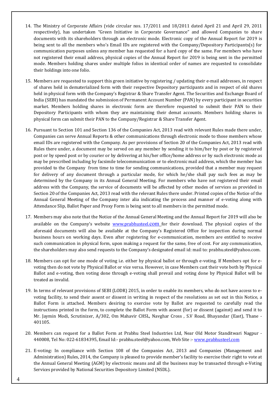- 14. The Ministry of Corporate Affairs (vide circular nos. 17/2011 and 18/2011 dated April 21 and April 29, 2011 respectively), has undertaken "Green Initiative in Corporate Governance" and allowed Companies to share documents with its shareholders through an electronic mode. Electronic copy of the Annual Report for 2019 is being sent to all the members who's Email IDs are registered with the Company/Depository Participants(s) for communication purposes unless any member has requested for a hard copy of the same. For members who have not registered their email address, physical copies of the Annual Report for 2019 is being sent in the permitted mode. Members holding shares under multiple folios in identical order of names are requested to consolidate their holdings into one folio.
- 15. Members are requested to support this green initiative by registering / updating their e-mail addresses, in respect of shares held in dematerialized form with their respective Depository participants and in respect of old shares held in physical form with the Company's Registrar & Share Transfer Agent. The Securities and Exchange Board of India (SEBI) has mandated the submission of Permanent Account Number (PAN) by every participant in securities market. Members holding shares in electronic form are therefore requested to submit their PAN to their Depository Participants with whom they are maintaining their demat accounts. Members holding shares in physical form can submit their PAN to the Company/Registrar & Share Transfer Agent.
- 16. Pursuant to Section 101 and Section 136 of the Companies Act, 2013 read with relevant Rules made there under, Companies can serve Annual Reports & other communications through electronic mode to those members whose email IDs are registered with the Company. As per provisions of Section 20 of the Companies Act, 2013 read with Rules there under, a document may be served on any member by sending it to him/her by post or by registered post or by speed post or by courier or by delivering at his/her office/home address or by such electronic mode as may be prescribed including by facsimile telecommunication or to electronic mail address, which the member has provided to the Company from time to time for sending communications, provided that a member may request for delivery of any document through a particular mode, for which he/she shall pay such fees as may be determined by the Company in its Annual General Meeting. For members who have not registered their email address with the Company, the service of documents will be affected by other modes of services as provided in Section 20 of the Companies Act, 2013 read with the relevant Rules there under. Printed copies of the Notice of the Annual General Meeting of the Company inter alia indicating the process and manner of e-voting along with Attendance Slip, Ballot Paper and Proxy Form is being sent to all members in the permitted mode.
- 17. Members may also note that the Notice of the Annual General Meeting and the Annual Report for 2019 will also be available on the Company's website [www.prabhusteel.](http://www.prabhusteel./)com for their download. The physical copies of the aforesaid documents will also be available at the Company's Registered Office for inspection during normal business hours on working days. Even after registering for e-communication, members are entitled to receive such communication in physical form, upon making a request for the same, free of cost. For any communication, the shareholders may also send requests to the Company's designated email id: mail to: prabhu.steel@yahoo.com.
- 18. Members can opt for one mode of voting i.e. either by physical ballot or through e-voting. If Members opt for evoting then do not vote by Physical Ballot or vice versa. However, in case Members cast their vote both by Physical Ballot and e-voting, then voting done through e-voting shall prevail and voting done by Physical Ballot will be treated as invalid.
- 19. In terms of relevant provisions of SEBI (LODR) 2015, in order to enable its members, who do not have access to evoting facility, to send their assent or dissent in writing in respect of the resolutions as set out in this Notice, a Ballot Form is attached. Members desiring to exercise vote by Ballot are requested to carefully read the instructions printed in the form, to complete the Ballot Form with assent (for) or dissent (against) and send it to Mr. Jaymin Modi, Scrutinizer, A/302, Om Mahavir CHSL, Navghar Cross , S.V Road, Bhayandar (East), Thane - 401105.
- 20. Members can request for a Ballot Form at Prabhu Steel Industries Ltd, Near Old Motor Standitwari Nagpur 440008, Tel No: 022-61834395, Email Id:- prabhu.steel@yahoo.com, Web Site :- www.prabhusteel.com
- 21. E-voting: In compliance with Section 108 of the Companies Act, 2013 and Companies (Management and Administration) Rules, 2014, the Company is pleased to provide member's facility to exercise their right to vote at the Annual General Meeting (AGM) by electronic means and all the business may be transacted through e-Voting Services provided by National Securities Depository Limited (NSDL).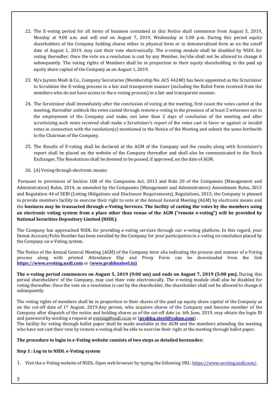- 22. The E-voting period for all items of business contained in this Notice shall commence from August 5, 2019, Monday at 9.00 a.m. and will end on August 7, 2019, Wednesday at 5.00 p.m. During this period equity shareholders of the Company holding shares either in physical form or in dematerialized form as on the cutoff date of August 1, 2019, may cast their vote electronically. The e-voting module shall be disabled by NSDL for voting thereafter. Once the vote on a resolution is cast by any Member, he/she shall not be allowed to change it subsequently. The voting rights of Members shall be in proportion to their equity shareholding in the paid up equity share capital of the Company as on August 1, 2019.
- 23. M/s Jaymin Modi & Co., Company Secretaries (Membership No. ACS 44248) has been appointed as the Scrutinizer to Scrutinize the E-voting process in a fair and transparent manner (including the Ballot Form received from the members who do not have access to the e-voting process) in a fair and transparent manner.
- 24. The Scrutinizer shall immediately after the conclusion of voting at the meeting, first count the votes casted at the meeting, thereafter unblock the votes casted through remote e-voting in the presence of at least 2 witnesses not in the employment of the Company and make, not later than 2 days of conclusion of the meeting and after scrutinizing such votes received shall make a Scrutinizer's report of the votes cast in favor or against or invalid votes in connection with the resolution(s) mentioned in the Notice of the Meeting and submit the same forthwith to the Chairman of the Company.
- 25. The Results of E-voting shall be declared at the AGM of the Company and the results along with Scrutinizer's report shall be placed on the website of the Company thereafter and shall also be communicated to the Stock Exchanges. The Resolutions shall be deemed to be passed, if approved, on the date of AGM.
- 26. (A) Voting through electronic means:

Pursuant to provisions of Section 108 of the Companies Act, 2013 and Rule 20 of the Companies (Management and Administration) Rules, 2014, as amended by the Companies (Management and Administration) Amendment Rules, 2015 and Regulation 44 of SEBI (Listing Obligations and Disclosure Requirements), Regulations, 2015, the Company is pleased to provide members facility to exercise their right to vote at the Annual General Meeting (AGM) by electronic means and the **business may be transacted through e-Voting Services. The facility of casting the votes by the members using an electronic voting system from a place other than venue of the AGM ("remote e-voting") will be provided by National Securities Depository Limited (NSDL)**.

The Company has approached NSDL for providing e-voting services through our e-voting platform. In this regard, your Demat Account/Folio Number has been enrolled by the Company for your participation in e-voting on resolution placed by the Company on e-Voting system.

The Notice of the Annual General Meeting (AGM) of the Company inter alia indicating the process and manner of e-Voting process along with printed Attendance Slip and Proxy Form can be downloaded from the link **[https://www.evoting.nsdl.com](https://www.evoting.nsdl.com/)** or (**www.prabhusteel.in)**

**The e-voting period commences on August 5, 2019 (9:00 am) and ends on August 7, 2019 (5:00 pm).** During this period shareholders' of the Company, may cast their vote electronically. The e-voting module shall also be disabled for voting thereafter. Once the vote on a resolution is cast by the shareholder, the shareholder shall not be allowed to change it subsequently.

The voting rights of members shall be in proportion to their shares of the paid up equity share capital of the Company as on the cut-off date of 1st August, 2019.Any person, who acquires shares of the Company and become member of the Company after dispatch of the notice and holding shares as of the cut-off date i.e. 6th June, 2019, may obtain the login ID and password by sending a request at [evoting@nsdl.co.in](mailto:evoting@nsdl.co.in) or (**[prabhu.steel@yahoo.com](mailto:prabhu.steel@yahoo.com)**) .

The facility for voting through ballot paper shall be made available at the AGM and the members attending the meeting who have not cast their vote by remote e-voting shall be able to exercise their right at the meeting through ballot paper.

#### **The procedure to login to e-Voting website consists of two steps as detailed hereunder:**

#### **Step 1 : Log-in to NSDL e-Voting system**

1. Visit the e-Voting website of NSDL. Open web browser by typing the following URL[: https://www.evoting.nsdl.com/.](https://www.evoting.nsdl.com/)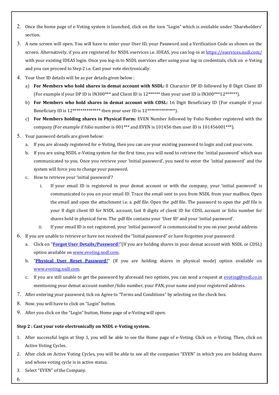- 2. Once the home page of e-Voting system is launched, click on the icon "Login" which is available under 'Shareholders' section.
- 3. A new screen will open. You will have to enter your User ID, your Password and a Verification Code as shown on the screen. Alternatively, if you are registered for NSDL eservices i.e. IDEAS, you can log-in at<https://eservices.nsdl.com/> with your existing IDEAS login. Once you log-in to NSDL eservices after using your log-in credentials, click on e-Voting and you can proceed to Step 2 i.e. Cast your vote electronically.
- 4. Your User ID details will be as per details given below :
	- a) **For Members who hold shares in demat account with NSDL:** 8 Character DP ID followed by 8 Digit Client ID (For example if your DP ID is IN300\*\*\* and Client ID is 12\*\*\*\*\*\* then your user ID is IN300\*\*\*12\*\*\*\*\*\*).
	- b) **For Members who hold shares in demat account with CDSL:** 16 Digit Beneficiary ID (For example if your Beneficiary ID is  $12***************$  then your user ID is  $12*************$ .
	- c) **For Members holding shares in Physical Form:** EVEN Number followed by Folio Number registered with the company (For example if folio number is 001\*\*\* and EVEN is 101456 then user ID is 101456001\*\*\*).
- 5. Your password details are given below:
	- a. If you are already registered for e-Voting, then you can use your existing password to login and cast your vote.
	- b. If you are using NSDL e-Voting system for the first time, you will need to retrieve the 'initial password' which was communicated to you. Once you retrieve your 'initial password', you need to enter the 'initial password' and the system will force you to change your password.
	- c. How to retrieve your 'initial password'?
		- i. If your email ID is registered in your demat account or with the company, your 'initial password' is communicated to you on your email ID. Trace the email sent to you from NSDL from your mailbox. Open the email and open the attachment i.e. a .pdf file. Open the .pdf file. The password to open the .pdf file is your 8 digit client ID for NSDL account, last 8 digits of client ID for CDSL account or folio number for shares held in physical form. The .pdf file contains your 'User ID' and your 'initial password'.
		- ii. If your email ID is not registered, your 'initial password' is communicated to you on your postal address.
- 6. If you are unable to retrieve or have not received the "Initial password" or have forgotten your password:
	- a. Click on "**[Forgot User Details/Password](https://www.evoting.nsdl.com/eVotingWeb/commonhtmls/NewUser.jsp)**?"(If you are holding shares in your demat account with NSDL or CDSL) option available o[n www.evoting.nsdl.com.](http://www.evoting.nsdl.com/)
	- b. "**[Physical User Reset Password](https://www.evoting.nsdl.com/eVotingWeb/commonhtmls/PhysicalUser.jsp)**?" (If you are holding shares in physical mode) option available on [www.evoting.nsdl.com.](http://www.evoting.nsdl.com/)
	- c. If you are still unable to get the password by aforesaid two options, you can send a request at [evoting@nsdl.co.in](mailto:evoting@nsdl.co.in) mentioning your demat account number/folio number, your PAN, your name and your registered address.
- 7. After entering your password, tick on Agree to "Terms and Conditions" by selecting on the check box.
- 8. Now, you will have to click on "Login" button.
- 9. After you click on the "Login" button, Home page of e-Voting will open.

#### **Step 2 : Cast your vote electronically on NSDL e-Voting system.**

- 1. After successful login at Step 1, you will be able to see the Home page of e-Voting. Click on e-Voting. Then, click on Active Voting Cycles.
- 2. After click on Active Voting Cycles, you will be able to see all the companies "EVEN" in which you are holding shares and whose voting cycle is in active status.
- 3. Select "EVEN" of the Company.
- 6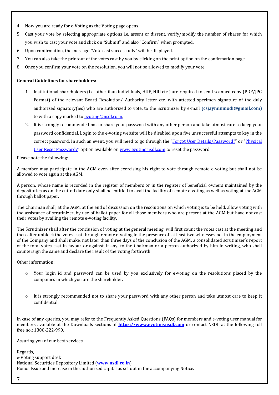- 4. Now you are ready for e-Voting as the Voting page opens.
- 5. Cast your vote by selecting appropriate options i.e. assent or dissent, verify/modify the number of shares for which you wish to cast your vote and click on "Submit" and also "Confirm" when prompted.
- 6. Upon confirmation, the message "Vote cast successfully" will be displayed.
- 7. You can also take the printout of the votes cast by you by clicking on the print option on the confirmation page.
- 8. Once you confirm your vote on the resolution, you will not be allowed to modify your vote.

#### **General Guidelines for shareholders:**

- 1. Institutional shareholders (i.e. other than individuals, HUF, NRI etc.) are required to send scanned copy (PDF/JPG Format) of the relevant Board Resolution/ Authority letter etc. with attested specimen signature of the duly authorized signatory(ies) who are authorized to vote, to the Scrutinizer by e-mail **(csjayminmodi@gmail.com)** to with a copy marked to **evoting@nsdl.co.in.**
- 2. It is strongly recommended not to share your password with any other person and take utmost care to keep your password confidential. Login to the e-voting website will be disabled upon five unsuccessful attempts to key in the correct password. In such an event, you will need to go through the ["Forgot User Details/Password?"](https://www.evoting.nsdl.com/eVotingWeb/commonhtmls/NewUser.jsp) or ["Physical](https://www.evoting.nsdl.com/eVotingWeb/commonhtmls/PhysicalUser.jsp)  [User Reset Password?"](https://www.evoting.nsdl.com/eVotingWeb/commonhtmls/PhysicalUser.jsp) option available o[n www.evoting.nsdl.com](http://www.evoting.nsdl.com/) to reset the password.

Please note the following:

A member may participate in the AGM even after exercising his right to vote through remote e-voting but shall not be allowed to vote again at the AGM.

A person, whose name is recorded in the register of members or in the register of beneficial owners maintained by the depositories as on the cut-off date only shall be entitled to avail the facility of remote e-voting as well as voting at the AGM through ballot paper.

The Chairman shall, at the AGM, at the end of discussion on the resolutions on which voting is to be held, allow voting with the assistance of scrutinizer, by use of ballot paper for all those members who are present at the AGM but have not cast their votes by availing the remote e-voting facility.

The Scrutinizer shall after the conclusion of voting at the general meeting, will first count the votes cast at the meeting and thereafter unblock the votes cast through remote e-voting in the presence of at least two witnesses not in the employment of the Company and shall make, not later than three days of the conclusion of the AGM, a consolidated scrutinizer's report of the total votes cast in favour or against, if any, to the Chairman or a person authorized by him in writing, who shall countersign the same and declare the result of the voting forthwith

Other information:

- o Your login id and password can be used by you exclusively for e-voting on the resolutions placed by the companies in which you are the shareholder.
- It is strongly recommended not to share your password with any other person and take utmost care to keep it confidential.

In case of any queries, you may refer to the Frequently Asked Questions (FAQs) for members and e-voting user manual for members available at the Downloads sections of **https:/[/www.evoting.nsdl.com](http://www.evoting.nsdl.com/)** or contact NSDL at the following toll free no.: 1800-222-990.

Assuring you of our best services,

Regards, e-Voting support desk National Securities Depository Limited (**[www.nsdl.co.in](http://www.nsdl.co.in/)**) Bonus Issue and increase in the authorized capital as set out in the accompanying Notice.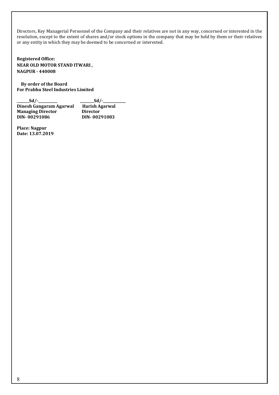Directors, Key Managerial Personnel of the Company and their relatives are not in any way, concerned or interested in the resolution, except to the extent of shares and/or stock options in the company that may be held by them or their relatives or any entity in which they may be deemed to be concerned or interested.

**Registered Office: NEAR OLD MOTOR STAND ITWARI , NAGPUR - 440008** 

 **By order of the Board For Prabhu Steel Industries Limited** 

**\_\_\_\_\_\_\_Sd/-\_\_\_\_\_\_\_\_\_\_\_ \_\_\_\_\_\_\_\_Sd/-\_\_\_\_\_\_\_\_\_\_\_\_\_ Dinesh Gangaram Agarwal Harish Agarwal**<br> **Managing Director Director DIN- 00291086 DIN- 00291083**

**Place: Nagpur Date: 13.07.2019**

**Managing Director**<br>DIN-00291086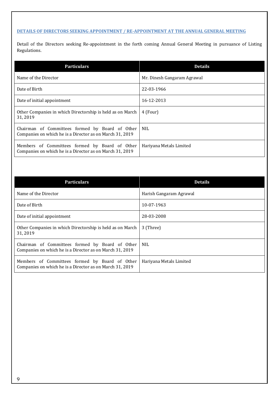#### **DETAILS OF DIRECTORS SEEKING APPOINTMENT / RE-APPOINTMENT AT THE ANNUAL GENERAL MEETING**

Detail of the Directors seeking Re-appointment in the forth coming Annual General Meeting in pursuance of Listing Regulations.

| <b>Particulars</b>                                                                                          | <b>Details</b>              |
|-------------------------------------------------------------------------------------------------------------|-----------------------------|
| Name of the Director                                                                                        | Mr. Dinesh Gangaram Agrawal |
| Date of Birth                                                                                               | 22-03-1966                  |
| Date of initial appointment                                                                                 | 16-12-2013                  |
| Other Companies in which Directorship is held as on March<br>31, 2019                                       | 4 (Four)                    |
| Chairman of Committees formed by Board of Other<br>Companies on which he is a Director as on March 31, 2019 | NIL.                        |
| Members of Committees formed by Board of Other<br>Companies on which he is a Director as on March 31, 2019  | Hariyana Metals Limited     |

| <b>Particulars</b>                                                                                          | <b>Details</b>          |
|-------------------------------------------------------------------------------------------------------------|-------------------------|
| Name of the Director                                                                                        | Harish Gangaram Agrawal |
| Date of Birth                                                                                               | 10-07-1963              |
| Date of initial appointment                                                                                 | 28-03-2008              |
| Other Companies in which Directorship is held as on March<br>31, 2019                                       | 3 (Three)               |
| Chairman of Committees formed by Board of Other<br>Companies on which he is a Director as on March 31, 2019 | NIL.                    |
| Members of Committees formed by Board of Other<br>Companies on which he is a Director as on March 31, 2019  | Hariyana Metals Limited |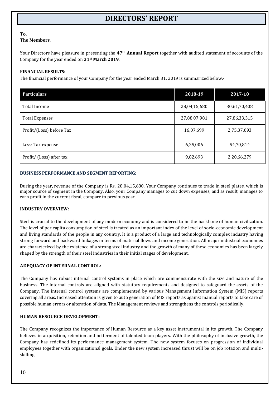# **DIRECTORS' REPORT**

#### **To, The Members,**

Your Directors have pleasure in presenting the **47th Annual Report** together with audited statement of accounts of the Company for the year ended on **31st March 2019**.

#### **FINANCIAL RESULTS:**

The financial performance of your Company for the year ended March 31, 2019 is summarized below:-

| <b>Particulars</b>       | 2018-19      | 2017-18      |
|--------------------------|--------------|--------------|
| Total Income             | 28,04,15,680 | 30,61,70,408 |
| <b>Total Expenses</b>    | 27,88,07,981 | 27,86,33,315 |
| Profit/(Loss) before Tax | 16,07,699    | 2,75,37,093  |
| Less: Tax expense        | 6,25,006     | 54,70,814    |
| Profit/ (Loss) after tax | 9,82,693     | 2,20,66,279  |

#### **BUSINESS PERFORMANCE AND SEGMENT REPORTING:**

During the year, revenue of the Company is Rs. 28,04,15,680. Your Company continues to trade in steel plates, which is major source of segment in the Company. Also, your Company manages to cut down expenses, and as result, manages to earn profit in the current fiscal, compare to previous year.

#### **INDUSTRY OVERVIEW:**

Steel is crucial to the development of any modern economy and is considered to be the backbone of human civilization. The level of per capita consumption of steel is treated as an important index of the level of socio-economic development and living standards of the people in any country. It is a product of a large and technologically complex industry having strong forward and backward linkages in terms of material flows and income generation. All major industrial economies are characterized by the existence of a strong steel industry and the growth of many of these economies has been largely shaped by the strength of their steel industries in their initial stages of development.

#### **ADEQUACY OF INTERNAL CONTROL:**

The Company has robust internal control systems in place which are commensurate with the size and nature of the business. The internal controls are aligned with statutory requirements and designed to safeguard the assets of the Company. The internal control systems are complemented by various Management Information System (MIS) reports covering all areas. Increased attention is given to auto generation of MIS reports as against manual reports to take care of possible human errors or alteration of data. The Management reviews and strengthens the controls periodically.

#### **HUMAN RESOURCE DEVELOPMENT:**

The Company recognizes the importance of Human Resource as a key asset instrumental in its growth. The Company believes in acquisition, retention and betterment of talented team players. With the philosophy of inclusive growth, the Company has redefined its performance management system. The new system focuses on progression of individual employees together with organizational goals. Under the new system increased thrust will be on job rotation and multiskilling.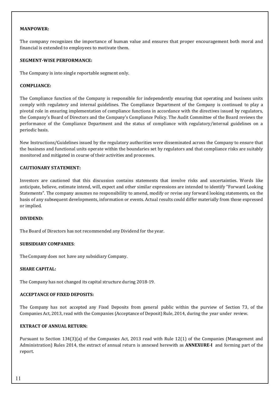#### **MANPOWER:**

The company recognizes the importance of human value and ensures that proper encouragement both moral and financial is extended to employees to motivate them.

#### **SEGMENT-WISE PERFORMANCE:**

The Company is into single reportable segment only.

#### **COMPLIANCE:**

The Compliance function of the Company is responsible for independently ensuring that operating and business units comply with regulatory and internal guidelines. The Compliance Department of the Company is continued to play a pivotal role in ensuring implementation of compliance functions in accordance with the directives issued by regulators, the Company's Board of Directors and the Company's Compliance Policy. The Audit Committee of the Board reviews the performance of the Compliance Department and the status of compliance with regulatory/internal guidelines on a periodic basis.

New Instructions/Guidelines issued by the regulatory authorities were disseminated across the Company to ensure that the business and functional units operate within the boundaries set by regulators and that compliance risks are suitably monitored and mitigated in course of their activities and processes.

#### **CAUTIONARY STATEMENT:**

Investors are cautioned that this discussion contains statements that involve risks and uncertainties. Words like anticipate, believe, estimate intend, will, expect and other similar expressions are intended to identify "Forward Looking Statements". The company assumes no responsibility to amend, modify or revise any forward looking statements, on the basis of any subsequent developments, information or events. Actual results could differ materially from those expressed or implied.

#### **DIVIDEND:**

The Board of Directors has not recommended any Dividend for the year.

#### **SUBSIDIARY COMPANIES**:

The Company does not have any subsidiary Company.

#### **SHARE CAPITAL:**

The Company has not changed its capital structure during 2018-19.

#### **ACCEPTANCE OF FIXED DEPOSITS:**

The Company has not accepted any Fixed Deposits from general public within the purview of Section 73, of the Companies Act, 2013, read with the Companies (Acceptance of Deposit) Rule, 2014, during the year under review.

#### **EXTRACT OF ANNUAL RETURN:**

Pursuant to Section 134(3)(a) of the Companies Act, 2013 read with Rule 12(1) of the Companies (Management and Administration) Rules 2014, the extract of annual return is annexed herewith as **ANNEXURE-I** and forming part of the report.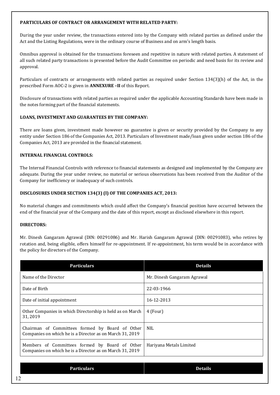#### **PARTICULARS OF CONTRACT OR ARRANGEMENT WITH RELATED PARTY:**

During the year under review, the transactions entered into by the Company with related parties as defined under the Act and the Listing Regulations, were in the ordinary course of Business and on arm's length basis.

Omnibus approval is obtained for the transactions foreseen and repetitive in nature with related parties. A statement of all such related party transactions is presented before the Audit Committee on periodic and need basis for its review and approval.

Particulars of contracts or arrangements with related parties as required under Section 134(3)(h) of the Act, in the prescribed Form AOC-2 is given in **ANNEXURE –II** of this Report.

Disclosure of transactions with related parties as required under the applicable Accounting Standards have been made in the notes forming part of the financial statements.

#### **LOANS, INVESTMENT AND GUARANTEES BY THE COMPANY:**

There are loans given, investment made however no guarantee is given or security provided by the Company to any entity under Section 186 of the Companies Act, 2013. Particulars of Investment made/loan given under section 186 of the Companies Act, 2013 are provided in the financial statement.

#### **INTERNAL FINANCIAL CONTROLS:**

The Internal Financial Controls with reference to financial statements as designed and implemented by the Company are adequate. During the year under review, no material or serious observations has been received from the Auditor of the Company for inefficiency or inadequacy of such controls.

#### **DISCLOSURES UNDER SECTION 134(3) (I) OF THE COMPANIES ACT, 2013:**

No material changes and commitments which could affect the Company's financial position have occurred between the end of the financial year of the Company and the date of this report, except as disclosed elsewhere in this report.

#### **DIRECTORS:**

Mr. Dinesh Gangaram Agrawal (DIN: 00291086) and Mr. Harish Gangaram Agrawal (DIN: 00291083), who retires by rotation and, being eligible, offers himself for re-appointment. If re-appointment, his term would be in accordance with the policy for directors of the Company.

| <b>Particulars</b>                                                                                          | <b>Details</b>              |
|-------------------------------------------------------------------------------------------------------------|-----------------------------|
| Name of the Director                                                                                        | Mr. Dinesh Gangaram Agrawal |
| Date of Birth                                                                                               | 22-03-1966                  |
| Date of initial appointment                                                                                 | 16-12-2013                  |
| Other Companies in which Directorship is held as on March<br>31, 2019                                       | 4 (Four)                    |
| Chairman of Committees formed by Board of Other<br>Companies on which he is a Director as on March 31, 2019 | <b>NIL</b>                  |
| Members of Committees formed by Board of Other<br>Companies on which he is a Director as on March 31, 2019  | Hariyana Metals Limited     |

|                      | <b>Particulars</b> | <b>Details</b> |
|----------------------|--------------------|----------------|
| 1 <sub>2</sub><br>12 |                    |                |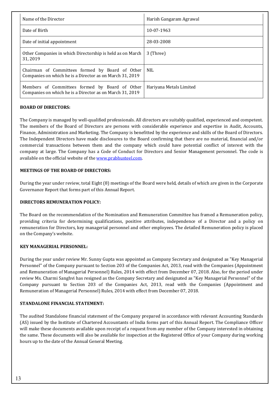| Name of the Director                                                                                        | Harish Gangaram Agrawal |
|-------------------------------------------------------------------------------------------------------------|-------------------------|
| Date of Birth                                                                                               | 10-07-1963              |
| Date of initial appointment                                                                                 | 28-03-2008              |
| Other Companies in which Directorship is held as on March<br>31.2019                                        | 3 (Three)               |
| Chairman of Committees formed by Board of Other<br>Companies on which he is a Director as on March 31, 2019 | <b>NIL</b>              |
| Members of Committees formed by Board of Other<br>Companies on which he is a Director as on March 31, 2019  | Hariyana Metals Limited |

#### **BOARD OF DIRECTORS:**

The Company is managed by well-qualified professionals. All directors are suitably qualified, experienced and competent. The members of the Board of Directors are persons with considerable experience and expertise in Audit, Accounts, Finance, Administration and Marketing. The Company is benefitted by the experience and skills of the Board of Directors. The Independent Directors have made disclosures to the Board confirming that there are no material, financial and/or commercial transactions between them and the company which could have potential conflict of interest with the company at large. The Company has a Code of Conduct for Directors and Senior Management personnel. The code is available on the official website of the www.prabhusteel.com.

#### **MEETINGS OF THE BOARD OF DIRECTORS:**

During the year under review, total Eight (8) meetings of the Board were held, details of which are given in the Corporate Governance Report that forms part of this Annual Report.

#### **DIRECTORS REMUNERATION POLICY:**

The Board on the recommendation of the Nomination and Remuneration Committee has framed a Remuneration policy, providing criteria for determining qualifications, positive attributes, independence of a Director and a policy on remuneration for Directors, key managerial personnel and other employees. The detailed Remuneration policy is placed on the Company's website.

#### **KEY MANAGERIAL PERSONNEL:**

During the year under review Mr. Sunny Gupta was appointed as Company Secretary and designated as "Key Managerial Personnel" of the Company pursuant to Section 203 of the Companies Act, 2013, read with the Companies (Appointment and Remuneration of Managerial Personnel) Rules, 2014 with effect from December 07, 2018. Also, for the period under review Ms. Charmi Sanghvi has resigned as the Company Secretary and designated as "Key Managerial Personnel" of the Company pursuant to Section 203 of the Companies Act, 2013, read with the Companies (Appointment and Remuneration of Managerial Personnel) Rules, 2014 with effect from December 07, 2018.

#### **STANDALONE FINANCIAL STATEMENT:**

The audited Standalone financial statement of the Company prepared in accordance with relevant Accounting Standards (AS) issued by the Institute of Chartered Accountants of India forms part of this Annual Report. The Compliance Officer will make these documents available upon receipt of a request from any member of the Company interested in obtaining the same. These documents will also be available for inspection at the Registered Office of your Company during working hours up to the date of the Annual General Meeting.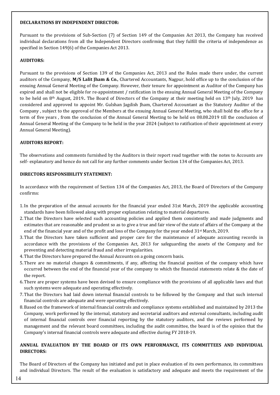#### **DECLARATIONS BY INDEPENDENT DIRECTOR:**

Pursuant to the provisions of Sub-Section (7) of Section 149 of the Companies Act 2013, the Company has received individual declarations from all the Independent Directors confirming that they fulfill the criteria of independence as specified in Section 149(6) of the Companies Act 2013.

#### **AUDITORS:**

Pursuant to the provisions of Section 139 of the Companies Act, 2013 and the Rules made there under, the current auditors of the Company, **M/S Lalit Jham & Co.**, Chartered Accountants, Nagpur, hold office up to the conclusion of the ensuing Annual General Meeting of the Company. However, their tenure for appointment as Auditor of the Company has expired and shall not be eligible for re-appointment / ratification in the ensuing Annual General Meeting of the Company to be held on 8<sup>th</sup> August, 2019. The Board of Directors of the Company at their meeting held on 13<sup>th</sup> July, 2019 has considered and approved to appoint Mr. Gulshan Jagdish Jham, Chartered Accountant as the Statutory Auditor of the Company , subject to the approval of the Members at the ensuing Annual General Meeting, who shall hold the office for a term of five years , from the conclusion of the Annual General Meeting to be held on 08.08.2019 till the conclusion of Annual General Meeting of the Company to be held in the year 2024 (subject to ratification of their appointment at every Annual General Meeting).

#### **AUDITORS REPORT:**

The observations and comments furnished by the Auditors in their report read together with the notes to Accounts are self- explanatory and hence do not call for any further comments under Section 134 of the Companies Act, 2013.

#### **DIRECTORS RESPONSIBILITY STATEMENT:**

In accordance with the requirement of Section 134 of the Companies Act, 2013, the Board of Directors of the Company confirms:

- 1.In the preparation of the annual accounts for the financial year ended 31st March, 2019 the applicable accounting standards have been followed along with proper explanation relating to material departures.
- 2.That the Directors have selected such accounting policies and applied them consistently and made judgments and estimates that are reasonable and prudent so as to give a true and fair view of the state of affairs of the Company at the end of the financial year and of the profit and loss of the Company for the year ended 31<sup>st</sup> March, 2019.
- 3.That the Directors have taken sufficient and proper care for the maintenance of adequate accounting records in accordance with the provisions of the Companies Act, 2013 for safeguarding the assets of the Company and for preventing and detecting material fraud and other irregularities.
- 4.That the Directors have prepared the Annual Accounts on a going concern basis.
- 5.There are no material changes & commitments, if any, affecting the financial position of the company which have occurred between the end of the financial year of the company to which the financial statements relate & the date of the report.
- 6.There are proper systems have been devised to ensure compliance with the provisions of all applicable laws and that such systems were adequate and operating effectively.
- 7.That the Directors had laid down internal financial controls to be followed by the Company and that such internal financial controls are adequate and were operating effectively.
- 8.Based on the framework of internal financial controls and compliance systems established and maintained by 2013 the Company, work performed by the internal, statutory and secretarial auditors and external consultants, including audit of internal financial controls over financial reporting by the statutory auditors, and the reviews performed by management and the relevant board committees, including the audit committee, the board is of the opinion that the Company's internal financial controls were adequate and effective during FY 2018-19.

#### **ANNUAL EVALUATION BY THE BOARD OF ITS OWN PERFORMANCE, ITS COMMITTEES AND INDIVIDUAL DIRECTORS:**

The Board of Directors of the Company has initiated and put in place evaluation of its own performance, its committees and individual Directors. The result of the evaluation is satisfactory and adequate and meets the requirement of the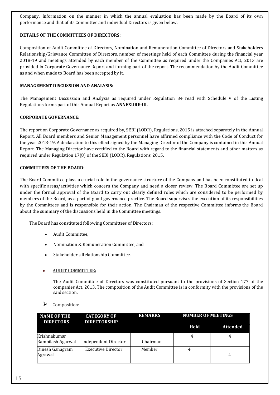Company. Information on the manner in which the annual evaluation has been made by the Board of its own performance and that of its Committee and individual Directors is given below.

#### **DETAILS OF THE COMMITTEES OF DIRECTORS:**

Composition of Audit Committee of Directors, Nomination and Remuneration Committee of Directors and Stakeholders Relationship/Grievance Committee of Directors, number of meetings held of each Committee during the financial year 2018-19 and meetings attended by each member of the Committee as required under the Companies Act, 2013 are provided in Corporate Governance Report and forming part of the report. The recommendation by the Audit Committee as and when made to Board has been accepted by it.

#### **MANAGEMENT DISCUSSION AND ANALYSIS:**

The Management Discussion and Analysis as required under Regulation 34 read with Schedule V of the Listing Regulations forms part of this Annual Report as **ANNEXURE-III.**

#### **CORPORATE GOVERNANCE:**

The report on Corporate Governance as required by, SEBI (LODR), Regulations, 2015 is attached separately in the Annual Report. All Board members and Senior Management personnel have affirmed compliance with the Code of Conduct for the year 2018-19. A declaration to this effect signed by the Managing Director of the Company is contained in this Annual Report. The Managing Director have certified to the Board with regard to the financial statements and other matters as required under Regulation 17(8) of the SEBI (LODR), Regulations, 2015.

#### **COMMITTEES OF THE BOARD:**

The Board Committee plays a crucial role in the governance structure of the Company and has been constituted to deal with specific areas/activities which concern the Company and need a closer review. The Board Committee are set up under the formal approval of the Board to carry out clearly defined roles which are considered to be performed by members of the Board, as a part of good governance practice. The Board supervises the execution of its responsibilities by the Committees and is responsible for their action. The Chairman of the respective Committee informs the Board about the summary of the discussions held in the Committee meetings.

The Board has constituted following Committees of Directors:

- Audit Committee,
- Nomination & Remuneration Committee, and
- Stakeholder's Relationship Committee.

#### • **AUDIT COMMITTEE:**

The Audit Committee of Directors was constituted pursuant to the provisions of Section 177 of the companies Act, 2013. The composition of the Audit Committee is in conformity with the provisions of the said section.



| <b>NAME OF THE</b><br><b>DIRECTORS</b> | <b>CATEGORY OF</b><br><b>DIRECTORSHIP</b> | <b>REMARKS</b> | <b>NUMBER OF MEETINGS</b> |                 |
|----------------------------------------|-------------------------------------------|----------------|---------------------------|-----------------|
|                                        |                                           |                | Held                      | <b>Attended</b> |
| Krishnakumar<br>Rambilash Agarwal      | Independent Director                      | Chairman       |                           |                 |
| Dinesh Ganagram<br>Agrawal             | <b>Executive Director</b>                 | Member         |                           | 4               |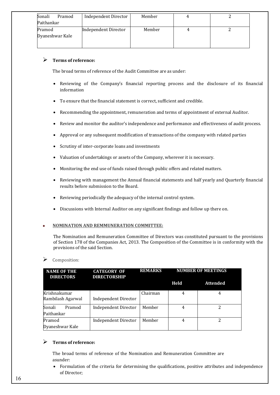| Independent Director | Member |  |
|----------------------|--------|--|
|                      |        |  |
| Independent Director | Member |  |
|                      |        |  |
|                      |        |  |
|                      |        |  |

#### **Terms of reference:**

The broad terms of reference of the Audit Committee are as under:

- Reviewing of the Company's financial reporting process and the disclosure of its financial information
- To ensure that the financial statement is correct, sufficient and credible.
- Recommending the appointment, remuneration and terms of appointment of external Auditor.
- Review and monitor the auditor's independence and performance and effectiveness of audit process.
- Approval or any subsequent modification of transactions of the company with related parties
- Scrutiny of inter-corporate loans and investments
- Valuation of undertakings or assets of the Company, wherever it is necessary.
- Monitoring the end use of funds raised through public offers and related matters.
- Reviewing with management the Annual financial statements and half yearly and Quarterly financial results before submission to the Board.
- Reviewing periodically the adequacy of the internal control system.
- Discussions with Internal Auditor on any significant findings and follow up there on.

#### • **NOMINATION AND REMMUNERATION COMMITTEE:**

The Nomination and Remuneration Committee of Directors was constituted pursuant to the provisions of Section 178 of the Companies Act, 2013. The Composition of the Committee is in conformity with the provisions of the said Section.

#### Composition:

| <b>NAME OF THE</b><br><b>DIRECTORS</b> | <b>CATEGORY OF</b><br><b>DIRECTORSHIP</b> | <b>REMARKS</b> | <b>NUMBER OF MEETINGS</b> |                 |  |
|----------------------------------------|-------------------------------------------|----------------|---------------------------|-----------------|--|
|                                        |                                           |                | Held                      | <b>Attended</b> |  |
| Krishnakumar<br>Rambilash Agarwal      | <b>Independent Director</b>               | Chairman       |                           | 4               |  |
| Sonali<br>Pramod<br>Paithankar         | <b>Independent Director</b>               | Member         | 4                         | 2               |  |
| Pramod<br>Dyaneshwar Kale              | Independent Director                      | Member         | 4                         | 2               |  |

#### **Terms of reference:**

The broad terms of reference of the Nomination and Remuneration Committee are asunder:

• Formulation of the criteria for determining the qualifications, positive attributes and independence of Director;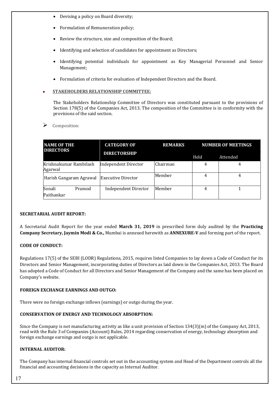- Devising a policy on Board diversity;
- Formulation of Remuneration policy;
- Review the structure, size and composition of the Board;
- Identifying and selection of candidates for appointment as Directors;
- Identifying potential individuals for appointment as Key Managerial Personnel and Senior Management;
- Formulation of criteria for evaluation of Independent Directors and the Board.

#### • **STAKEHOLDERS RELATIONSHIP COMMITTEE:**

The Stakeholders Relationship Committee of Directors was constituted pursuant to the provisions of Section 178(5) of the Companies Act, 2013. The composition of the Committee is in conformity with the provisions of the said section.

#### Composition:

| <b>NAME OF THE</b><br><b>DIRECTORS</b>       |        | <b>CATEGORY OF</b>          | <b>REMARKS</b> | <b>NUMBER OF MEETINGS</b> |          |  |
|----------------------------------------------|--------|-----------------------------|----------------|---------------------------|----------|--|
|                                              |        | <b>DIRECTORSHIP</b>         |                | Held                      | Attended |  |
| Krishnakumar Rambilash<br>Agarwal            |        | Independent Director        | Chairman       | 4                         | 4        |  |
| Harish Gangaram Agrawal   Executive Director |        |                             | Member         | 4                         | 4        |  |
| Sonali<br>Paithankar                         | Pramod | <b>Independent Director</b> | Member         | 4                         |          |  |

#### **SECRETARIAL AUDIT REPORT:**

A Secretarial Audit Report for the year ended **March 31, 2019** in prescribed form duly audited by the **Practicing Company Secretary, Jaymin Modi & Co.,** Mumbai is annexed herewith as **ANNEXURE-V** and forming part of the report.

#### **CODE OF CONDUCT:**

Regulations 17(5) of the SEBI (LODR) Regulations, 2015, requires listed Companies to lay down a Code of Conduct for its Directors and Senior Management, incorporating duties of Directors as laid down in the Companies Act, 2013. The Board has adopted a Code of Conduct for all Directors and Senior Management of the Company and the same has been placed on Company's website.

#### **FOREIGN EXCHANGE EARNINGS AND OUTGO:**

There were no foreign exchange inflows (earnings) or outgo during the year.

#### **CONSERVATION OF ENERGY AND TECHNOLOGY ABSORPTION:**

Since the Company is not manufacturing activity as like a unit provision of Section 134(3)(m) of the Company Act, 2013, read with the Rule 3 of Companies (Account) Rules, 2014 regarding conservation of energy, technology absorption and foreign exchange earnings and outgo is not applicable.

#### **INTERNAL AUDITOR:**

The Company has internal financial controls set out in the accounting system and Head of the Department controls all the financial and accounting decisions in the capacity as Internal Auditor.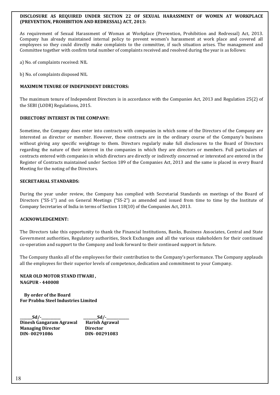#### **DISCLOSURE AS REQUIRED UNDER SECTION 22 OF SEXUAL HARASSMENT OF WOMEN AT WORKPLACE (PREVENTION, PROHIBITION AND REDRESSAL) ACT, 2013:**

As requirement of Sexual Harassment of Woman at Workplace (Prevention, Prohibition and Redressal) Act, 2013. Company has already maintained internal policy to prevent women's harassment at work place and covered all employees so they could directly make complaints to the committee, if such situation arises. The management and Committee together with confirm total number of complaints received and resolved during the year is as follows:

a) No. of complaints received: NIL

b) No. of complaints disposed NIL

#### **MAXIMUM TENURE OF INDEPENDENT DIRECTORS:**

The maximum tenure of Independent Directors is in accordance with the Companies Act, 2013 and Regulation 25(2) of the SEBI (LODR) Regulations, 2015.

#### **DIRECTORS' INTEREST IN THE COMPANY:**

Sometime, the Company does enter into contracts with companies in which some of the Directors of the Company are interested as director or member. However, these contracts are in the ordinary course of the Company's business without giving any specific weightage to them. Directors regularly make full disclosures to the Board of Directors regarding the nature of their interest in the companies in which they are directors or members. Full particulars of contracts entered with companies in which directors are directly or indirectly concerned or interested are entered in the Register of Contracts maintained under Section 189 of the Companies Act, 2013 and the same is placed in every Board Meeting for the noting of the Directors.

#### **SECRETARIAL STANDARDS:**

During the year under review, the Company has complied with Secretarial Standards on meetings of the Board of Directors ("SS-1") and on General Meetings ("SS-2") as amended and issued from time to time by the Institute of Company Secretaries of India in terms of Section 118(10) of the Companies Act, 2013.

#### **ACKNOWLEDGEMENT:**

The Directors take this opportunity to thank the Financial Institutions, Banks, Business Associates, Central and State Government authorities, Regulatory authorities, Stock Exchanges and all the various stakeholders for their continued co-operation and support to the Company and look forward to their continued support in future.

The Company thanks all of the employees for their contribution to the Company's performance. The Company applauds all the employees for their superior levels of competence, dedication and commitment to your Company.

#### **NEAR OLD MOTOR STAND ITWARI , NAGPUR - 440008**

 **By order of the Board For Prabhu Steel Industries Limited** 

**\_\_\_\_\_\_\_Sd/-\_\_\_\_\_\_\_\_\_\_\_ \_\_\_\_\_\_\_\_Sd/-\_\_\_\_\_\_\_\_\_\_\_\_\_ Dinesh Gangaram Agrawal Harish Agrawal Managing Director Director DIN- 00291086 DIN- 00291083**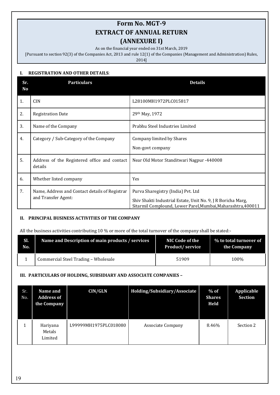# **Form No. MGT-9 EXTRACT OF ANNUAL RETURN (ANNEXURE I)**

As on the financial year ended on 31st March, 2019

[Pursuant to section 92(3) of the Companies Act, 2013 and rule 12(1) of the Companies (Management and Administration) Rules,

2014]

#### **I. REGISTRATION AND OTHER DETAILS**:

| Sr.<br><b>No</b> | <b>Particulars</b>                                                    | <b>Details</b>                                                                                                                                                     |
|------------------|-----------------------------------------------------------------------|--------------------------------------------------------------------------------------------------------------------------------------------------------------------|
| 1.               | <b>CIN</b>                                                            | L28100MH1972PLC015817                                                                                                                                              |
| 2.               | <b>Registration Date</b>                                              | 29th May, 1972                                                                                                                                                     |
| 3.               | Name of the Company                                                   | Prabhu Steel Industries Limited                                                                                                                                    |
| 4.               | Category / Sub-Category of the Company                                | Company limited by Shares<br>Non-govt company                                                                                                                      |
| 5.               | Address of the Registered office and contact<br>details               | Near Old Motor Standitwari Nagpur -440008                                                                                                                          |
| 6.               | Whether listed company                                                | <b>Yes</b>                                                                                                                                                         |
| 7.               | Name, Address and Contact details of Registrar<br>and Transfer Agent: | Purva Sharegistry (India) Pvt. Ltd<br>Shiv Shakti Industrial Estate, Unit No. 9, J R Boricha Marg,<br>Sitarmil Complound, Lower Parel, Mumbai, Maharashtra, 400011 |

#### **II. PRINCIPAL BUSINESS ACTIVITIES OF THE COMPANY**

All the business activities contributing 10 % or more of the total turnover of the company shall be stated:-

| SI. | Name and Description of main products / services | NIC Code of the        | % to total turnover of |
|-----|--------------------------------------------------|------------------------|------------------------|
| No. |                                                  | <b>Product/service</b> | the Company            |
|     | Commercial Steel Trading - Wholesale             | 51909                  | 100%                   |

#### **III. PARTICULARS OF HOLDING, SUBSIDIARY AND ASSOCIATE COMPANIES –**

| Sr.<br>No. | Name and<br><b>Address of</b><br>the Company | <b>CIN/GLN</b>        | Holding/Subsidiary/Associate | $%$ of<br><b>Shares</b><br>Held | Applicable<br><b>Section</b> |
|------------|----------------------------------------------|-----------------------|------------------------------|---------------------------------|------------------------------|
|            | Hariyana<br>Metals<br>Limited                | L99999MH1975PLC018080 | <b>Associate Company</b>     | 8.46%                           | Section 2                    |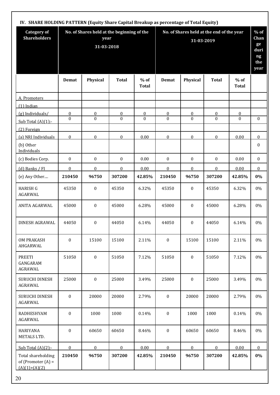| <b>Category of</b><br><b>Shareholders</b>                     |                  | No. of Shares held at the beginning of the<br>year<br>31-03-2018 |                  |                        | No. of Shares held at the end of the year<br>31-03-2019 |                  |              |                        |                  |
|---------------------------------------------------------------|------------------|------------------------------------------------------------------|------------------|------------------------|---------------------------------------------------------|------------------|--------------|------------------------|------------------|
|                                                               | Demat            | Physical                                                         | <b>Total</b>     | $%$ of<br><b>Total</b> | Demat                                                   | Physical         | <b>Total</b> | $%$ of<br><b>Total</b> |                  |
| A. Promoters                                                  |                  |                                                                  |                  |                        |                                                         |                  |              |                        |                  |
| $(1)$ Indian                                                  |                  |                                                                  |                  |                        |                                                         |                  |              |                        |                  |
| (g) Individuals/                                              | $\overline{0}$   | $\overline{0}$                                                   | $\boldsymbol{0}$ | $\overline{0}$         | $\boldsymbol{0}$                                        | $\overline{0}$   | $\pmb{0}$    | $\boldsymbol{0}$       |                  |
| Sub Total $(A)(1)$ :-                                         | $\theta$         | $\Omega$                                                         | $\theta$         | $\theta$               | $\Omega$                                                | $\theta$         | $\Omega$     | $\Omega$               | $\mathbf{0}$     |
| (2) Foreign                                                   |                  |                                                                  |                  |                        |                                                         |                  |              |                        |                  |
| (a) NRI Individuals                                           | $\mathbf{0}$     | $\mathbf{0}$                                                     | $\theta$         | 0.00                   | $\mathbf{0}$                                            | $\mathbf{0}$     | $\theta$     | 0.00                   | $\mathbf{0}$     |
| (b) Other<br>Individuals                                      |                  |                                                                  |                  |                        |                                                         |                  |              |                        | $\boldsymbol{0}$ |
| (c) Bodies Corp.                                              | $\boldsymbol{0}$ | $\boldsymbol{0}$                                                 | $\bf{0}$         | 0.00                   | $\boldsymbol{0}$                                        | $\boldsymbol{0}$ | $\mathbf{0}$ | 0.00                   | $\mathbf{0}$     |
| $(d)$ Banks / FI                                              | $\mathbf{0}$     | $\mathbf{0}$                                                     | $\mathbf{0}$     | 0.00                   | $\mathbf{0}$                                            | $\boldsymbol{0}$ | $\mathbf{0}$ | 0.00                   | $\mathbf{0}$     |
| (e) Any Other                                                 | 210450           | 96750                                                            | 307200           | 42.85%                 | 210450                                                  | 96750            | 307200       | 42.85%                 | $0\%$            |
| <b>HARISH G</b><br>AGARWAL                                    | 45350            | $\boldsymbol{0}$                                                 | 45350            | 6.32%                  | 45350                                                   | $\boldsymbol{0}$ | 45350        | 6.32%                  | 0%               |
| ANITA AGARWAL                                                 | 45000            | $\boldsymbol{0}$                                                 | 45000            | 6.28%                  | 45000                                                   | $\boldsymbol{0}$ | 45000        | 6.28%                  | 0%               |
| DINESH AGRAWAL                                                | 44050            | $\boldsymbol{0}$                                                 | 44050            | 6.14%                  | 44050                                                   | $\boldsymbol{0}$ | 44050        | 6.14%                  | 0%               |
| <b>OM PRAKASH</b><br>AHGARWAL                                 | $\boldsymbol{0}$ | 15100                                                            | 15100            | 2.11%                  | $\mathbf{0}$                                            | 15100            | 15100        | 2.11%                  | 0%               |
| <b>PREETI</b><br>GANGARAM<br>AGRAWAL                          | 51050            | $\mathbf{0}$                                                     | 51050            | 7.12%                  | 51050                                                   | $\mathbf{0}$     | 51050        | 7.12%                  | 0%               |
| SURUCHI DINESH<br>AGRAWAL                                     | 25000            | $\boldsymbol{0}$                                                 | 25000            | 3.49%                  | 25000                                                   | $\mathbf{0}$     | 25000        | 3.49%                  | 0%               |
| SURUCHI DINESH<br><b>AGARWAL</b>                              | $\boldsymbol{0}$ | 20000                                                            | 20000            | 2.79%                  | $\mathbf{0}$                                            | 20000            | 20000        | 2.79%                  | 0%               |
| RADHESHYAM<br>AGARWAL                                         | $\boldsymbol{0}$ | 1000                                                             | 1000             | 0.14%                  | $\mathbf{0}$                                            | 1000             | 1000         | 0.14%                  | 0%               |
| <b>HARIYANA</b><br>METALS LTD.                                | $\mathbf{0}$     | 60650                                                            | 60650            | 8.46%                  | $\boldsymbol{0}$                                        | 60650            | 60650        | 8.46%                  | 0%               |
| Sub Total $(A)(2)$ :-                                         | $\mathbf{0}$     | $\mathbf{0}$                                                     | $\theta$         | 0.00                   | $\mathbf{0}$                                            | $\mathbf{0}$     | $\theta$     | 0.00                   | $\mathbf{0}$     |
| Total shareholding<br>of (Promoter $(A)$ =<br>$(A)(1)+(A)(2)$ | 210450           | 96750                                                            | 307200           | 42.85%                 | 210450                                                  | 96750            | 307200       | 42.85%                 | $0\%$            |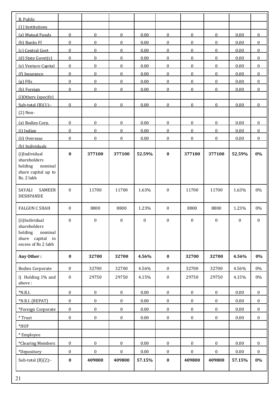| <b>B.</b> Public                                                                                |                  |                  |                  |                  |                  |                  |                  |                  |                  |
|-------------------------------------------------------------------------------------------------|------------------|------------------|------------------|------------------|------------------|------------------|------------------|------------------|------------------|
| (1) Institutions                                                                                |                  |                  |                  |                  |                  |                  |                  |                  |                  |
| (a) Mutual Funds                                                                                | $\mathbf{0}$     | $\mathbf{0}$     | $\mathbf{0}$     | 0.00             | $\overline{0}$   | $\overline{0}$   | $\mathbf{0}$     | 0.00             | $\mathbf{0}$     |
| (b) Banks FI                                                                                    | $\boldsymbol{0}$ | $\mathbf{0}$     | $\boldsymbol{0}$ | 0.00             | $\boldsymbol{0}$ | $\boldsymbol{0}$ | $\boldsymbol{0}$ | 0.00             | $\boldsymbol{0}$ |
| (c) Central Govt                                                                                | $\overline{0}$   | $\mathbf 0$      | $\mathbf{0}$     | 0.00             | $\overline{0}$   | $\overline{0}$   | $\mathbf{0}$     | 0.00             | $\mathbf{0}$     |
| (d) State Govet(s)                                                                              | $\overline{0}$   | $\mathbf{0}$     | $\mathbf{0}$     | 0.00             | $\overline{0}$   | $\bf{0}$         | $\mathbf{0}$     | 0.00             | $\mathbf{0}$     |
| (e) Venture Capital                                                                             | $\boldsymbol{0}$ | $\mathbf{0}$     | $\mathbf{0}$     | 0.00             | $\boldsymbol{0}$ | $\boldsymbol{0}$ | $\boldsymbol{0}$ | 0.00             | $\mathbf{0}$     |
| (f) Insurance                                                                                   | $\boldsymbol{0}$ | $\boldsymbol{0}$ | $\boldsymbol{0}$ | 0.00             | $\boldsymbol{0}$ | $\boldsymbol{0}$ | $\theta$         | 0.00             | $\mathbf{0}$     |
| $(g)$ FIIs                                                                                      | $\mathbf{0}$     | $\mathbf{0}$     | $\mathbf{0}$     | 0.00             | $\mathbf{0}$     | $\mathbf{0}$     | $\mathbf{0}$     | 0.00             | $\mathbf{0}$     |
| (h) Foreign                                                                                     | $\mathbf{0}$     | $\mathbf{0}$     | $\mathbf{0}$     | 0.00             | $\mathbf{0}$     | $\mathbf{0}$     | $\mathbf{0}$     | 0.00             | $\mathbf{0}$     |
| (i)Others (specify)                                                                             |                  |                  |                  |                  |                  |                  |                  |                  |                  |
| Sub-total $(B)(1)$ :-                                                                           | $\overline{0}$   | $\mathbf{0}$     | $\mathbf{0}$     | 0.00             | $\boldsymbol{0}$ | $\overline{0}$   | $\boldsymbol{0}$ | 0.00             | $\mathbf{0}$     |
| $(2)$ Non-                                                                                      |                  |                  |                  |                  |                  |                  |                  |                  |                  |
| (a) Bodies Corp.                                                                                | $\boldsymbol{0}$ | $\boldsymbol{0}$ | $\boldsymbol{0}$ | 0.00             | $\boldsymbol{0}$ | $\boldsymbol{0}$ | $\boldsymbol{0}$ | 0.00             | $\mathbf{0}$     |
| (i) Indian                                                                                      | $\overline{0}$   | $\mathbf{0}$     | $\boldsymbol{0}$ | 0.00             | $\overline{0}$   | $\overline{0}$   | $\mathbf{0}$     | 0.00             | $\overline{0}$   |
| (ii) Overseas                                                                                   | $\theta$         | $\mathbf{0}$     | $\mathbf{0}$     | 0.00             | $\mathbf{0}$     | $\mathbf{0}$     | $\mathbf{0}$     | 0.00             | $\overline{0}$   |
| (b) Individuals                                                                                 |                  |                  |                  |                  |                  |                  |                  |                  |                  |
| (i)Individual<br>shareholders<br>holding<br>nominal<br>share capital up to<br>Rs. 2 lakh        | $\bf{0}$         | 377100           | 377100           | 52.59%           | $\bf{0}$         | 377100           | 377100           | 52.59%           | 0%               |
| SAYALI<br><b>SAMEER</b><br><b>DESHPANDE</b>                                                     | $\boldsymbol{0}$ | 11700            | 11700            | 1.63%            | $\boldsymbol{0}$ | 11700            | 11700            | 1.63%            | 0%               |
| <b>FALGUN C SHAH</b>                                                                            | $\boldsymbol{0}$ | 8800             | 8800             | 1.23%            | $\boldsymbol{0}$ | 8800             | 8800             | 1.23%            | 0%               |
| (ii)Individual<br>shareholders<br>holding<br>nominal<br>share capital in<br>excess of Rs 2 lakh | $\boldsymbol{0}$ | $\boldsymbol{0}$ | $\boldsymbol{0}$ | $\boldsymbol{0}$ | $\boldsymbol{0}$ | $\boldsymbol{0}$ | $\boldsymbol{0}$ | $\boldsymbol{0}$ | $\boldsymbol{0}$ |
| Any Other:                                                                                      | $\pmb{0}$        | 32700            | 32700            | 4.56%            | $\boldsymbol{0}$ | 32700            | 32700            | 4.56%            | 0%               |
| <b>Bodies Corporate</b>                                                                         | $\boldsymbol{0}$ | 32700            | 32700            | 4.56%            | $\boldsymbol{0}$ | 32700            | 32700            | 4.56%            | $0\%$            |
| i) Holding 1% and<br>above:                                                                     | $\boldsymbol{0}$ | 29750            | 29750            | 4.15%            | $\boldsymbol{0}$ | 29750            | 29750            | 4.15%            | $0\%$            |
| $*N.R.I.$                                                                                       | $\boldsymbol{0}$ | $\boldsymbol{0}$ | $\boldsymbol{0}$ | 0.00             | $\boldsymbol{0}$ | $\boldsymbol{0}$ | $\boldsymbol{0}$ | 0.00             | $\mathbf{0}$     |
| *N.R.I. (REPAT)                                                                                 | $\boldsymbol{0}$ | $\boldsymbol{0}$ | $\boldsymbol{0}$ | 0.00             | $\boldsymbol{0}$ | $\boldsymbol{0}$ | $\boldsymbol{0}$ | $0.00\,$         | $\boldsymbol{0}$ |
| *Foreign Corporate                                                                              | $\boldsymbol{0}$ | $\boldsymbol{0}$ | $\boldsymbol{0}$ | 0.00             | $\boldsymbol{0}$ | $\boldsymbol{0}$ | $\boldsymbol{0}$ | 0.00             | $\boldsymbol{0}$ |
| $^\ast$ Trust                                                                                   | $\boldsymbol{0}$ | $\boldsymbol{0}$ | $\boldsymbol{0}$ | 0.00             | $\boldsymbol{0}$ | $\boldsymbol{0}$ | $\boldsymbol{0}$ | 0.00             | $\mathbf{0}$     |
| $*HUF$                                                                                          |                  |                  |                  |                  |                  |                  |                  |                  |                  |
| * Employee                                                                                      |                  |                  |                  |                  |                  |                  |                  |                  |                  |
| *Clearing Members                                                                               | $\boldsymbol{0}$ | $\boldsymbol{0}$ | $\boldsymbol{0}$ | 0.00             | $\boldsymbol{0}$ | $\boldsymbol{0}$ | $\boldsymbol{0}$ | 0.00             | $\mathbf{0}$     |
| *Depository                                                                                     | $\boldsymbol{0}$ | $\boldsymbol{0}$ | $\boldsymbol{0}$ | 0.00             | $\boldsymbol{0}$ | $\boldsymbol{0}$ | $\boldsymbol{0}$ | $0.00\,$         | $\mathbf{0}$     |
| Sub-total $(B)(2)$ :-                                                                           | $\pmb{0}$        | 409800           | 409800           | 57.15%           | $\boldsymbol{0}$ | 409800           | 409800           | 57.15%           | $0\%$            |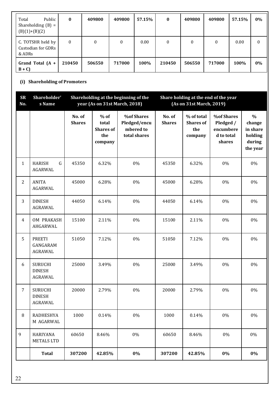| Public<br>Total<br>Shareholding $(B) =$<br>$(B)(1)+(B)(2)$ | $\bf{0}$         | 409800 | 409800 | 57.15% | $\bf{0}$         | 409800 | 409800   | 57.15% | $0\%$    |
|------------------------------------------------------------|------------------|--------|--------|--------|------------------|--------|----------|--------|----------|
| C. TOTSHR held by<br>Custodian for GDRs<br>& ADRs          | $\boldsymbol{0}$ | 0      | 0      | 0.00   | $\boldsymbol{0}$ | 0      | $\Omega$ | 0.00   | $\theta$ |
| Grand Total $(A +$<br>$B + C$                              | 210450           | 506550 | 717000 | 100%   | 210450           | 506550 | 717000   | 100%   | $0\%$    |

#### **(i) Shareholding of Promoters**

| <b>SR</b><br>No. | Shareholder'<br>s Name                            |                         | year (As on 31st March, 2018)                         | Shareholding at the beginning of the                           |                         | Share holding at the end of the year<br>(As on 31st March, 2019) |                                                                     |                                                                      |
|------------------|---------------------------------------------------|-------------------------|-------------------------------------------------------|----------------------------------------------------------------|-------------------------|------------------------------------------------------------------|---------------------------------------------------------------------|----------------------------------------------------------------------|
|                  |                                                   | No. of<br><b>Shares</b> | $%$ of<br>total<br><b>Shares</b> of<br>the<br>company | <b>%of Shares</b><br>Pledged/encu<br>mbered to<br>total shares | No. of<br><b>Shares</b> | % of total<br><b>Shares</b> of<br>the<br>company                 | <b>%of Shares</b><br>Pledged /<br>encumbere<br>d to total<br>shares | $\frac{0}{0}$<br>change<br>in share<br>holding<br>during<br>the year |
| $\mathbf{1}$     | ${\bf G}$<br><b>HARISH</b><br>AGARWAL             | 45350                   | 6.32%                                                 | 0%                                                             | 45350                   | 6.32%                                                            | 0%                                                                  | 0%                                                                   |
| $\overline{2}$   | <b>ANITA</b><br>AGARWAL                           | 45000                   | 6.28%                                                 | 0%                                                             | 45000                   | 6.28%                                                            | 0%                                                                  | 0%                                                                   |
| 3                | <b>DINESH</b><br>AGRAWAL                          | 44050                   | 6.14%                                                 | 0%                                                             | 44050                   | 6.14%                                                            | 0%                                                                  | $0\%$                                                                |
| $\overline{4}$   | OM PRAKASH<br>AHGARWAL                            | 15100                   | 2.11%                                                 | 0%                                                             | 15100                   | 2.11%                                                            | 0%                                                                  | $0\%$                                                                |
| 5                | <b>PREETI</b><br>GANGARAM<br>AGRAWAL              | 51050                   | 7.12%                                                 | 0%                                                             | 51050                   | 7.12%                                                            | 0%                                                                  | $0\%$                                                                |
| 6                | <b>SURUCHI</b><br><b>DINESH</b><br><b>AGRAWAL</b> | 25000                   | 3.49%                                                 | 0%                                                             | 25000                   | 3.49%                                                            | 0%                                                                  | 0%                                                                   |
| $\overline{7}$   | <b>SURUCHI</b><br><b>DINESH</b><br>AGRAWAL        | 20000                   | 2.79%                                                 | 0%                                                             | 20000                   | 2.79%                                                            | 0%                                                                  | 0%                                                                   |
| 8                | RADHESHYA<br>M AGARWAL                            | 1000                    | 0.14%                                                 | 0%                                                             | 1000                    | 0.14%                                                            | 0%                                                                  | 0%                                                                   |
| 9                | <b>HARIYANA</b><br><b>METALS LTD</b>              | 60650                   | 8.46%                                                 | $0\%$                                                          | 60650                   | 8.46%                                                            | $0\%$                                                               | $0\%$                                                                |
|                  | <b>Total</b>                                      | 307200                  | 42.85%                                                | $0\%$                                                          | 307200                  | 42.85%                                                           | $0\%$                                                               | $0\%$                                                                |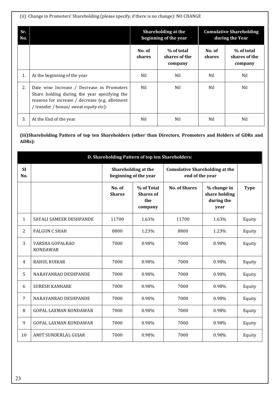(ii) Change in Promoters' Shareholding (please specify, if there is no change): NO CHANGE

| Sr.<br>No. |                                                                                                                                                                                         |                  | Shareholding at the<br>beginning of the year | <b>Cumulative Shareholding</b><br>during the Year |                                        |  |
|------------|-----------------------------------------------------------------------------------------------------------------------------------------------------------------------------------------|------------------|----------------------------------------------|---------------------------------------------------|----------------------------------------|--|
|            |                                                                                                                                                                                         | No. of<br>shares | % of total<br>shares of the<br>company       | No. of<br><b>shares</b>                           | % of total<br>shares of the<br>company |  |
| 1.         | At the beginning of the year                                                                                                                                                            | Nil              | Nil                                          | Nil                                               | Nil                                    |  |
| 2.         | Date wise Increase / Decrease in Promoters<br>Share holding during the year specifying the<br>reasons for increase / decrease (e.g. allotment<br>/ transfer / bonus/ sweat equity etc): | Nil              | Nil                                          | Nil                                               | Nil                                    |  |
| 3.         | At the End of the year                                                                                                                                                                  | Nil              | Nil                                          | Nil                                               | Nil                                    |  |

**(iii)Shareholding Pattern of top ten Shareholders (other than Directors, Promoters and Holders of GDRs and ADRs):**

| D. Shareholding Pattern of top ten Shareholders: |                                    |                                              |                                                  |                                                          |                                                    |             |  |  |  |
|--------------------------------------------------|------------------------------------|----------------------------------------------|--------------------------------------------------|----------------------------------------------------------|----------------------------------------------------|-------------|--|--|--|
| <b>SI</b><br>No.                                 |                                    | Shareholding at the<br>beginning of the year |                                                  | <b>Cumulative Shareholding at the</b><br>end of the year |                                                    |             |  |  |  |
|                                                  |                                    | No. of<br><b>Shares</b>                      | % of Total<br><b>Shares of</b><br>the<br>company | <b>No. of Shares</b>                                     | % change in<br>share holding<br>during the<br>year | <b>Type</b> |  |  |  |
| 1                                                | SAYALI SAMEER DESHPANDE            | 11700                                        | 1.63%                                            | 11700                                                    | 1.63%                                              | Equity      |  |  |  |
| 2                                                | <b>FALGUN C SHAH</b>               | 8800                                         | 1.23%                                            | 8800                                                     | 1.23%                                              | Equity      |  |  |  |
| 3                                                | VARSHA GOPALRAO<br><b>KONDAWAR</b> | 7000                                         | 0.98%                                            | 7000                                                     | 0.98%                                              | Equity      |  |  |  |
| $\overline{4}$                                   | <b>RAHUL RUIKAR</b>                | 7000                                         | 0.98%                                            | 7000                                                     | 0.98%                                              | Equity      |  |  |  |
| 5                                                | NARAYANRAO DESHPANDE               | 7000                                         | 0.98%                                            | 7000                                                     | 0.98%                                              | Equity      |  |  |  |
| 6                                                | <b>SURESH KANHARE</b>              | 7000                                         | 0.98%                                            | 7000                                                     | 0.98%                                              | Equity      |  |  |  |
| 7                                                | NARAYANRAO DESHPANDE               | 7000                                         | 0.98%                                            | 7000                                                     | 0.98%                                              | Equity      |  |  |  |
| 8                                                | <b>GOPAL LAXMAN KONDAWAR</b>       | 7000                                         | 0.98%                                            | 7000                                                     | 0.98%                                              | Equity      |  |  |  |
| 9                                                | <b>GOPAL LAXMAN KONDAWAR</b>       | 7000                                         | 0.98%                                            | 7000                                                     | 0.98%                                              | Equity      |  |  |  |
| 10                                               | AMIT SUNDERLAL GUJAR               | 7000                                         | 0.98%                                            | 7000                                                     | 0.98%                                              | Equity      |  |  |  |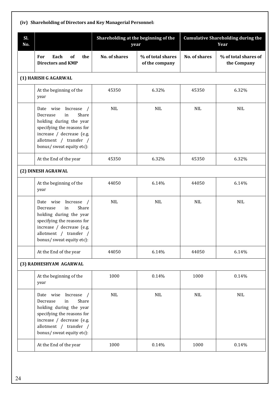| Sl.<br>No. |                                                                                                                                                                                                             |                      | Shareholding at the beginning of the<br>year |                      | <b>Cumulative Shareholding during the</b><br>Year |
|------------|-------------------------------------------------------------------------------------------------------------------------------------------------------------------------------------------------------------|----------------------|----------------------------------------------|----------------------|---------------------------------------------------|
|            | For<br>Each<br>the<br>of<br><b>Directors and KMP</b>                                                                                                                                                        | <b>No. of shares</b> | % of total shares<br>of the company          | <b>No. of shares</b> | % of total shares of<br>the Company               |
|            | (1) HARISH G AGARWAL                                                                                                                                                                                        |                      |                                              |                      |                                                   |
|            | At the beginning of the<br>year                                                                                                                                                                             | 45350                | 6.32%                                        | 45350                | 6.32%                                             |
|            | Date wise Increase<br>$\sqrt{ }$<br>Share<br>Decrease<br>in<br>holding during the year<br>specifying the reasons for<br>increase / decrease (e.g.<br>allotment / transfer /<br>bonus/ sweat equity etc):    | <b>NIL</b>           | <b>NIL</b>                                   | <b>NIL</b>           | <b>NIL</b>                                        |
|            | At the End of the year                                                                                                                                                                                      | 45350                | 6.32%                                        | 45350                | 6.32%                                             |
|            | (2) DINESH AGRAWAL                                                                                                                                                                                          |                      |                                              |                      |                                                   |
|            | At the beginning of the<br>year                                                                                                                                                                             | 44050                | 6.14%                                        | 44050                | 6.14%                                             |
|            | Increase<br>Date wise<br>$\sqrt{2}$<br>Share<br>in<br>Decrease<br>holding during the year<br>specifying the reasons for<br>increase / decrease (e.g.<br>allotment / transfer /<br>bonus/ sweat equity etc): | <b>NIL</b>           | <b>NIL</b>                                   | <b>NIL</b>           | <b>NIL</b>                                        |
|            | At the End of the year                                                                                                                                                                                      | 44050                | 6.14%                                        | 44050                | 6.14%                                             |
|            | (3) RADHESHYAM AGARWAL                                                                                                                                                                                      |                      |                                              |                      |                                                   |
|            | At the beginning of the<br>year                                                                                                                                                                             | 1000                 | 0.14%                                        | 1000                 | 0.14%                                             |
|            | Increase<br>Date wise<br>Share<br>Decrease<br>in<br>holding during the year<br>specifying the reasons for<br>increase / decrease (e.g.<br>allotment / transfer /<br>bonus/ sweat equity etc):               | NIL                  | <b>NIL</b>                                   | <b>NIL</b>           | <b>NIL</b>                                        |
|            | At the End of the year                                                                                                                                                                                      | 1000                 | 0.14%                                        | 1000                 | 0.14%                                             |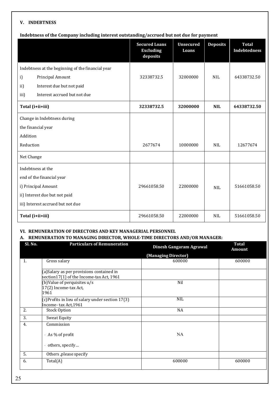#### **V. INDEBTNESS**

#### **Indebtness of the Company including interest outstanding/accrued but not due for payment**

|                                                   | <b>Secured Loans</b><br><b>Excluding</b><br>deposits | <b>Unsecured</b><br>Loans | <b>Deposits</b> | <b>Total</b><br><b>Indebtedness</b> |
|---------------------------------------------------|------------------------------------------------------|---------------------------|-----------------|-------------------------------------|
| Indebtness at the beginning of the financial year |                                                      |                           |                 |                                     |
| i)<br>Principal Amount                            | 32338732.5                                           | 32000000                  | <b>NIL</b>      | 64338732.50                         |
| Interest due but not paid<br>ii)                  |                                                      |                           |                 |                                     |
| iii)<br>Interest accrued but not due              |                                                      |                           |                 |                                     |
| Total (i+ii+iii)                                  | 32338732.5                                           | 32000000                  | <b>NIL</b>      | 64338732.50                         |
| Change in Indebtness during                       |                                                      |                           |                 |                                     |
| the financial year                                |                                                      |                           |                 |                                     |
| Addition                                          |                                                      |                           |                 |                                     |
| Reduction                                         | 2677674                                              | 10000000                  | NIL             | 12677674                            |
| Net Change                                        |                                                      |                           |                 |                                     |
| Indebtness at the                                 |                                                      |                           |                 |                                     |
| end of the financial year                         |                                                      |                           |                 |                                     |
| i) Principal Amount                               | 29661058.50                                          | 22000000                  | <b>NIL</b>      | 51661058.50                         |
| ii) Interest due but not paid                     |                                                      |                           |                 |                                     |
| iii) Interest accrued but not due                 |                                                      |                           |                 |                                     |
| Total (i+ii+iii)                                  | 29661058.50                                          | 22000000                  | <b>NIL</b>      | 51661058.50                         |

## **VI. REMUNERATION OF DIRECTORS AND KEY MANAGERIAL PERSONNEL**

#### **A. REMUNERATION TO MANAGING DIRECTOR, WHOLE-TIME DIRECTORS AND/OR MANAGER:**

| Sl. No. | <b>Particulars of Remuneration</b>                                                     | Dinesh Gangaram Agrawal | <b>Total</b><br><b>Amount</b> |
|---------|----------------------------------------------------------------------------------------|-------------------------|-------------------------------|
|         |                                                                                        | (Managing Director)     |                               |
| 1.      | Gross salary                                                                           | 600000                  | 600000                        |
|         | (a) Salary as per provisions contained in<br>section 17(1) of the Income-tax Act, 1961 |                         |                               |
|         | (b) Value of perquisites u/s<br>17(2) Income-tax Act,<br>1961                          | Nil                     |                               |
|         | (c)Profits in lieu of salary under section 17(3)<br>Income-tax Act, 1961               | <b>NIL</b>              |                               |
| 2.      | <b>Stock Option</b>                                                                    | NA                      |                               |
| 3.      | <b>Sweat Equity</b>                                                                    |                         |                               |
| 4.      | Commission                                                                             |                         |                               |
|         | - As % of profit                                                                       | NA                      |                               |
|         | - others, specify                                                                      |                         |                               |
| 5.      | Others ,please specify                                                                 |                         |                               |
| 6.      | Total(A)                                                                               | 600000                  | 600000                        |
|         |                                                                                        |                         |                               |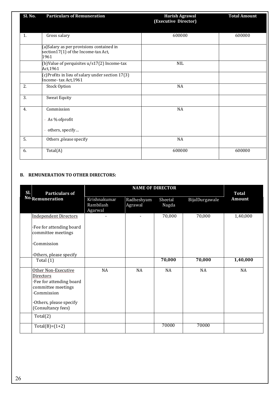| <b>Sl. No.</b> | <b>Particulars of Remuneration</b>                                                       | <b>Harish Agrawal</b><br>(Executive Director) | <b>Total Amount</b> |
|----------------|------------------------------------------------------------------------------------------|-----------------------------------------------|---------------------|
| 1.             | Gross salary                                                                             | 600000                                        | 600000              |
|                | (a) Salary as per provisions contained in<br>section17(1) of the Income-tax Act,<br>1961 |                                               |                     |
|                | (b)Value of perquisites u/s17(2) Income-tax<br>Act, 1961                                 | $\rm NIL$                                     |                     |
|                | (c)Profits in lieu of salary under section 17(3)<br>Income-tax Act, 1961                 |                                               |                     |
| 2.             | <b>Stock Option</b>                                                                      | $\rm NA$                                      |                     |
| 3.             | <b>Sweat Equity</b>                                                                      |                                               |                     |
| 4.             | Commission                                                                               | NA                                            |                     |
|                | - As % ofprofit                                                                          |                                               |                     |
|                | - others, specify                                                                        |                                               |                     |
| 5.             | Others ,please specify                                                                   | <b>NA</b>                                     |                     |
| 6.             | Total(A)                                                                                 | 600000                                        | 600000              |

#### **B. REMUNERATION TO OTHER DIRECTORS:**

| Sl.<br><b>Particulars of</b>                                                                                                             | <b>NAME OF DIRECTOR</b>              |                       |                  |                | <b>Total</b>  |
|------------------------------------------------------------------------------------------------------------------------------------------|--------------------------------------|-----------------------|------------------|----------------|---------------|
| No.Remuneration                                                                                                                          | Krishnakumar<br>Rambilash<br>Agarwal | Radheshyam<br>Agrawal | Sheetal<br>Nagda | BijalDurgawale | <b>Amount</b> |
| <b>Independent Directors</b>                                                                                                             | $\blacksquare$                       | $\blacksquare$        | 70,000           | 70,000         | 1,40,000      |
| Fee for attending board<br>committee meetings                                                                                            |                                      |                       |                  |                |               |
| •Commission                                                                                                                              |                                      |                       |                  |                |               |
| Others, please specify                                                                                                                   |                                      |                       |                  |                |               |
| Total $(1)$                                                                                                                              |                                      |                       | 70,000           | 70,000         | 1,40,000      |
| Other Non-Executive<br><b>Directors</b><br>·Fee for attending board<br>committee meetings<br><b>Commission</b><br>Others, please specify | NA                                   | NA                    | NA               | NA             | NA            |
| (Consultancy fees)                                                                                                                       |                                      |                       |                  |                |               |
| Total(2)                                                                                                                                 |                                      |                       |                  |                |               |
| $Total(B)=(1+2)$                                                                                                                         |                                      |                       | 70000            | 70000          |               |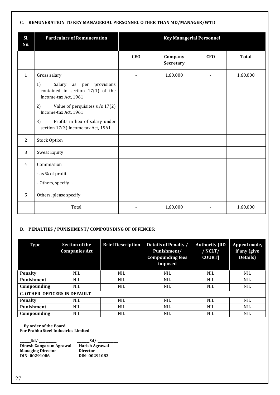#### **C. REMUNERATION TO KEY MANAGERIAL PERSONNEL OTHER THAN MD/MANAGER/WTD**

| Sl.<br>No.     | <b>Particulars of Remuneration</b>                                                                                                                                                                                                                                      | <b>Key Managerial Personnel</b> |                      |            |              |
|----------------|-------------------------------------------------------------------------------------------------------------------------------------------------------------------------------------------------------------------------------------------------------------------------|---------------------------------|----------------------|------------|--------------|
|                |                                                                                                                                                                                                                                                                         | <b>CEO</b>                      | Company<br>Secretary | <b>CFO</b> | <b>Total</b> |
| $\mathbf{1}$   | Gross salary<br>1)<br>Salary<br>provisions<br>as<br>per<br>contained in section $17(1)$ of the<br>Income-tax Act, 1961<br>2)<br>Value of perquisites $u/s$ 17(2)<br>Income-tax Act, 1961<br>3)<br>Profits in lieu of salary under<br>section 17(3) Income tax Act, 1961 |                                 | 1,60,000             |            | 1,60,000     |
| 2              | <b>Stock Option</b>                                                                                                                                                                                                                                                     |                                 |                      |            |              |
| 3              | <b>Sweat Equity</b>                                                                                                                                                                                                                                                     |                                 |                      |            |              |
| $\overline{4}$ | Commission<br>- as % of profit<br>- Others, specify                                                                                                                                                                                                                     |                                 |                      |            |              |
| 5              | Others, please specify                                                                                                                                                                                                                                                  |                                 |                      |            |              |
|                | Total                                                                                                                                                                                                                                                                   |                                 | 1,60,000             |            | 1,60,000     |

#### **D. PENALTIES / PUNISHMENT/ COMPOUNDING OF OFFENCES:**

| Type                                | <b>Section of the</b><br><b>Companies Act</b> | <b>Brief Description</b> | Details of Penalty /<br>Punishment/<br><b>Compounding fees</b><br>imposed | <b>Authority [RD</b><br>/NCLT/<br><b>COURT]</b> | Appeal made,<br>if any (give<br>Details) |  |
|-------------------------------------|-----------------------------------------------|--------------------------|---------------------------------------------------------------------------|-------------------------------------------------|------------------------------------------|--|
| <b>Penalty</b>                      | <b>NIL</b>                                    | <b>NIL</b>               | <b>NIL</b>                                                                | <b>NIL</b>                                      | <b>NIL</b>                               |  |
| <b>Punishment</b>                   | <b>NIL</b>                                    | <b>NIL</b>               | <b>NIL</b>                                                                | <b>NIL</b>                                      | <b>NIL</b>                               |  |
| Compounding                         | <b>NIL</b>                                    | NIL                      | <b>NIL</b>                                                                | <b>NIL</b>                                      | <b>NIL</b>                               |  |
| <b>C. OTHER OFFICERS IN DEFAULT</b> |                                               |                          |                                                                           |                                                 |                                          |  |
| <b>Penalty</b>                      | <b>NIL</b>                                    | <b>NIL</b>               | <b>NIL</b>                                                                | <b>NIL</b>                                      | <b>NIL</b>                               |  |
| <b>Punishment</b>                   | <b>NIL</b>                                    | <b>NIL</b>               | <b>NIL</b>                                                                | <b>NIL</b>                                      | NIL.                                     |  |
| Compounding                         | NIL.                                          | <b>NIL</b>               | <b>NIL</b>                                                                | <b>NIL</b>                                      | <b>NIL</b>                               |  |

 **By order of the Board For Prabhu Steel Industries Limited** 

| $Sd$ /-                  | $Sd$ /-               |
|--------------------------|-----------------------|
| Dinesh Gangaram Agrawal  | <b>Harish Agrawal</b> |
| <b>Managing Director</b> | <b>Director</b>       |
| DIN-00291086             | DIN-00291083          |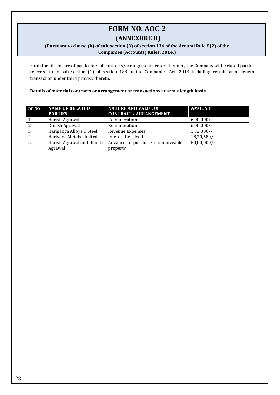# **FORM NO. AOC-2**

### **(ANNEXURE II)**

#### **(Pursuant to clause (h) of sub-section (3) of section 134 of the Act and Rule 8(2) of the Companies (Accounts) Rules, 2014.)**

Form for Disclosure of particulars of contracts/arrangements entered into by the Company with related parties referred to in sub section (1) of section 188 of the Companies Act, 2013 including certain arms length transaction under third proviso thereto.

#### **Details of material contracts or arrangement or transactions at arm's length basis**

| <b>Sr No</b> | <b>NAME OF RELATED</b><br><b>PARTIES</b> | <b>NATURE AND VALUE OF</b><br><b>CONTRACT/ ARRANGEMENT</b> | <b>AMOUNT</b>  |
|--------------|------------------------------------------|------------------------------------------------------------|----------------|
|              | Harish Agrawal                           | Remuneration                                               | $6,00,000/-$   |
|              | Dinesh Agrawal                           | Remuneration                                               | $6,00,000/-$   |
|              | Hariganga Alloys & Steel.                | <b>Revenue Expenses</b>                                    | $1,32,000/-$   |
|              | Hariyana Metals Limited                  | <b>Interest Received</b>                                   | $18,70,580/-$  |
|              | Harish Agrawal and Dinesh                | Advance for purchase of immoveable                         | $80,00,000/$ - |
|              | Agrawal                                  | property                                                   |                |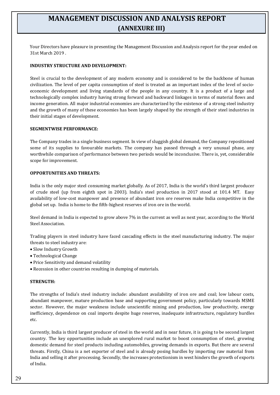# **MANAGEMENT DISCUSSION AND ANALYSIS REPORT (ANNEXURE III)**

Your Directors have pleasure in presenting the Management Discussion and Analysis report for the year ended on 31st March 2019 .

#### **INDUSTRY STRUCTURE AND DEVELOPMENT:**

Steel is crucial to the development of any modern economy and is considered to be the backbone of human civilization. The level of per capita consumption of steel is treated as an important index of the level of socioeconomic development and living standards of the people in any country. It is a product of a large and technologically complex industry having strong forward and backward linkages in terms of material flows and income generation. All major industrial economies are characterized by the existence of a strong steel industry and the growth of many of these economies has been largely shaped by the strength of their steel industries in their initial stages of development.

#### **SEGMENTWISE PERFORMANCE:**

The Company trades in a single business segment. In view of sluggish global demand, the Company repositioned some of its supplies to favourable markets. The company has passed through a very unusual phase, any worthwhile comparison of performance between two periods would be inconclusive. There is, yet, considerable scope for improvement.

#### **OPPORTUNITIES AND THREATS:**

India is the only major steel consuming market globally. As of 2017, India is the world's third largest producer of crude steel (up from eighth spot in 2003). India's steel production in 2017 stood at 101.4 MT. Easy availability of low-cost manpower and presence of abundant iron ore reserves make India competitive in the global set up. India is home to the fifth-highest reserves of iron ore in the world.

Steel demand in India is expected to grow above 7% in the current as well as next year, according to the World Steel Association.

Trading players in steel industry have faced cascading effects in the steel manufacturing industry. The major threats to steel industry are:

- Slow Industry Growth
- Technological Change
- Price Sensitivity and demand volatility
- Recession in other countries resulting in dumping of materials.

#### **STRENGTH:**

The strengths of India's steel industry include: abundant availability of iron ore and coal; low labour costs, abundant manpower, mature production base and supporting government policy, particularly towards MSME sector. However, the major weakness include unscientific mining and production, low productivity, energy inefficiency, dependence on coal imports despite huge reserves, inadequate infrastructure, regulatory hurdles etc.

Currently, India is third largest producer of steel in the world and in near future, it is going to be second largest country. The key opportunities include an unexplored rural market to boost consumption of steel, growing domestic demand for steel products including automobiles, growing demands in exports. But there are several threats. Firstly, China is a net exporter of steel and is already posing hurdles by importing raw material from India and selling it after processing. Secondly, the increases protectionism in west hinders the growth of exports of India.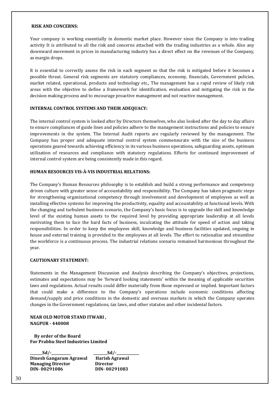#### **RISK AND CONCERNS:**

Your company is working essentially in domestic market place. However since the Company is into trading activity It is attributed to all the risk and concerns attached with the trading industries as a whole. Also any downward movement in prices in manufacturing industry has a direct effect on the revenues of the Company, as margin drops.

It is essential to correctly assess the risk in each segment so that the risk is mitigated before it becomes a possible threat. General risk segments are statutory compliances, economy, financials, Government policies, market related, operational, products and technology etc., The management has a rapid review of likely risk areas with the objective to define a framework for identification, evaluation and mitigating the risk in the decision making process and to encourage proactive management and not reactive management.

#### **INTERNAL CONTROL SYSTEMS AND THEIR ADEQUACY:**

The internal control system is looked after by Directors themselves, who also looked after the day to day affairs to ensure compliances of guide lines and policies adhere to the management instructions and policies to ensure improvements in the system. The Internal Audit reports are regularly reviewed by the management. The Company has proper and adequate internal control system commensurate with the size of the business operations geared towards achieving efficiency in its various business operations, safeguarding assets, optimum utilization of resources and compliance with statutory regulations. Efforts for continued improvement of internal control system are being consistently made in this regard.

#### **HUMAN RESOURCES VIS-À-VIS INDUSTRIAL RELATIONS:**

The Company's Human Resources philosophy is to establish and build a strong performance and competency driven culture with greater sense of accountability and responsibility. The Company has taken pragmatic steps for strengthening organizational competency through involvement and development of employees as well as installing effective systems for improving the productivity, equality and accountability at functional levels. With the changing and turbulent business scenario, the Company's basic focus is to upgrade the skill and knowledge level of the existing human assets to the required level by providing appropriate leadership at all levels motivating them to face the hard facts of business, inculcating the attitude for speed of action and taking responsibilities. In order to keep the employees skill, knowledge and business facilities updated, ongoing in house and external training is provided to the employees at all levels. The effort to rationalize and streamline the workforce is a continuous process. The industrial relations scenario remained harmonious throughout the year.

#### **CAUTIONARY STATEMENT:**

Statements in the Management Discussion and Analysis describing the Company's objectives, projections, estimates and expectations may be 'forward looking statements' within the meaning of applicable securities laws and regulations. Actual results could differ materially from those expressed or implied. Important factors that could make a difference to the Company's operations include economic conditions affecting demand/supply and price conditions in the domestic and overseas markets in which the Company operates changes in the Government regulations, tax laws, and other statutes and other incidental factors.

#### **NEAR OLD MOTOR STAND ITWARI , NAGPUR - 440008**

 **By order of the Board For Prabhu Steel Industries Limited** 

**\_\_\_\_\_\_\_Sd/-\_\_\_\_\_\_\_\_\_\_\_ \_\_\_\_\_\_\_\_Sd/-\_\_\_\_\_\_\_\_\_\_\_\_\_ Dinesh Gangaram Agrawal Harish Agrawal Managing Director Director DIN- 00291086 DIN- 00291083**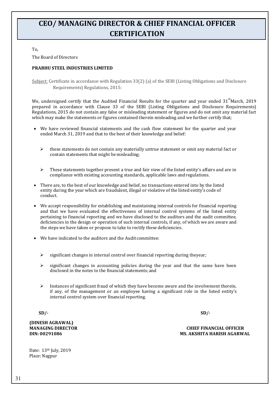# **CEO/ MANAGING DIRECTOR & CHIEF FINANCIAL OFFICER CERTIFICATION**

To,

The Board of Directors

#### **PRABHU STEEL INDUSTRIES LIMITED**

Subject: Certificate in accordance with Regulation 33(2) (a) of the SEBI (Listing Obligations and Disclosure Requirements) Regulations, 2015:

We, undersigned certify that the Audited Financial Results for the quarter and year ended 31<sup>st</sup>March, 2019 prepared in accordance with Clause 33 of the SEBI (Listing Obligations and Disclosure Requirements) Regulations, 2015 do not contain any false or misleading statement or figures and do not omit any material fact which may make the statements or figures contained therein misleading and we further certify that;

- We have reviewed financial statements and the cash flow statement for the quarter and year ended March 31, 2019 and that to the best of their knowledge and belief:
	- $\triangleright$  these statements do not contain any materially untrue statement or omit any material fact or contain statements that might be misleading;
	- $\triangleright$  These statements together present a true and fair view of the listed entity's affairs and are in compliance with existing accounting standards, applicable laws andregulations.
- There are, to the best of our knowledge and belief, no transactions entered into by the listed entity during the year which are fraudulent, illegal or violative of the listed entity's code of conduct.
- We accept responsibility for establishing and maintaining internal controls for financial reporting and that we have evaluated the effectiveness of internal control systems of the listed entity pertaining to financial reporting and we have disclosed to the auditors and the audit committee, deficiencies in the design or operation of such internal controls, if any, of which we are aware and the steps we have taken or propose to take to rectify these deficiencies.
- We have indicated to the auditors and the Audit committee:
	- significant changes in internal control over financial reporting during theyear;
	- significant changes in accounting policies during the year and that the same have been disclosed in the notes to the financial statements; and
	- $\triangleright$  Instances of significant fraud of which they have become aware and the involvement therein, if any, of the management or an employee having a significant role in the listed entity's internal control system over financial reporting.

**SD/- SD/-**

**(DINESH AGRAWAL)**

**MANAGING DIRECTOR CHIEF FINANCIAL OFFICER DIN: 00291086 MS. AKSHITA HARISH AGARWAL**

Date: 13th July, 2019 Place: Nagpur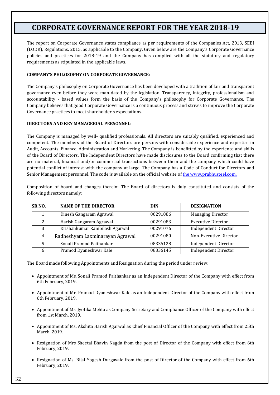# **CORPORATE GOVERNANCE REPORT FOR THE YEAR 2018-19**

The report on Corporate Governance states compliance as per requirements of the Companies Act, 2013, SEBI (LODR), Regulations, 2015, as applicable to the Company. Given below are the Company's Corporate Governance policies and practices for 2018-19 and the Company has complied with all the statutory and regulatory requirements as stipulated in the applicable laws.

#### **COMPANY'S PHILOSOPHY ON CORPORATE GOVERNANCE:**

The Company's philosophy on Corporate Governance has been developed with a tradition of fair and transparent governance even before they were man-dated by the legislation. Transparency, integrity, professionalism and accountability - based values form the basis of the Company's philosophy for Corporate Governance. The Company believes that good Corporate Governance is a continuous process and strives to improve the Corporate Governance practices to meet shareholder's expectations.

#### **DIRECTORS AND KEY MANAGERIAL PERSONNEL:**

The Company is managed by well- qualified professionals. All directors are suitably qualified, experienced and competent. The members of the Board of Directors are persons with considerable experience and expertise in Audit, Accounts, Finance, Administration and Marketing. The Company is benefitted by the experience and skills of the Board of Directors. The Independent Directors have made disclosures to the Board confirming that there are no material, financial and/or commercial transactions between them and the company which could have potential conflict of interest with the company at large. The Company has a Code of Conduct for Directors and Senior Management personnel. The code is available on the official website of the www.prabhusteel.com.

Composition of board and changes therein: The Board of directors is duly constituted and consists of the following directors namely:

| SR <sub>NO</sub> . | <b>NAME OF THE DIRECTOR</b>     | <b>DIN</b> | <b>DESIGNATION</b>          |
|--------------------|---------------------------------|------------|-----------------------------|
|                    | Dinesh Gangaram Agrawal         | 00291086   | <b>Managing Director</b>    |
| 2                  | Harish Gangaram Agrawal         | 00291083   | <b>Executive Director</b>   |
| 3                  | Krishankumar Rambilash Agarwal  | 00291076   | <b>Independent Director</b> |
| 4                  | Radheshyam Laxminarayan Agrawal | 00291080   | Non-Executive Director      |
| 5                  | Sonali Pramod Paithankar        | 08336128   | <b>Independent Director</b> |
| 6                  | Pramod Dyaneshwar Kale          | 08336145   | <b>Independent Director</b> |

The Board made following Appointments and Resignation during the period under review:

- Appointment of Ms. Sonali Pramod Paithankar as an Independent Director of the Company with effect from 6th February, 2019.
- Appointment of Mr. Pramod Dyaneshwar Kale as an Independent Director of the Company with effect from 6th February, 2019.
- Appointment of Ms. Jyotika Mehta as Company Secretary and Compliance Officer of the Company with effect from 1st March, 2019.
- Appointment of Ms. Akshita Harish Agarwal as Chief Financial Officer of the Company with effect from 25th March, 2019.
- Resignation of Mrs Sheetal Bhavin Nagda from the post of Director of the Company with effect from 6th February, 2019.
- Resignation of Ms. Bijal Yogesh Durgavale from the post of Director of the Company with effect from 6th February, 2019.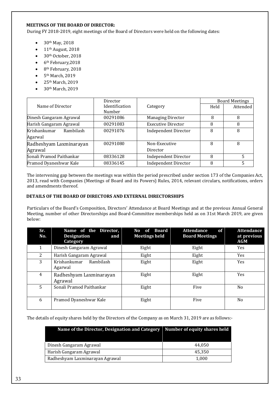# **MEETINGS OF THE BOARD OF DIRECTOR:**

During FY 2018-2019, eight meetings of the Board of Directors were held on the following dates:

- $30<sup>th</sup>$  May, 2018
- $\bullet$  11<sup>th</sup> August, 2018
- 30<sup>th</sup> October, 2018
- $\bullet$  6<sup>th</sup> February, 2018
- 8<sup>th</sup> February, 2018
- $\bullet$  5<sup>th</sup> March, 2019
- 25<sup>th</sup> March, 2019
- 30<sup>th</sup> March, 2019

|                           | Director       |                             | <b>Board Meetings</b> |          |
|---------------------------|----------------|-----------------------------|-----------------------|----------|
| Name of Director          | Identification | Category                    | Held                  | Attended |
|                           | Number         |                             |                       |          |
| Dinesh Gangaram Agrawal   | 00291086       | <b>Managing Director</b>    | 8                     | 8        |
| Harish Gangaram Agrawal   | 00291083       | <b>Executive Director</b>   | 8                     | 8        |
| Krishankumar<br>Rambilash | 00291076       | <b>Independent Director</b> | 8                     | 8        |
| Agarwal                   |                |                             |                       |          |
| Radheshyam Laxminarayan   | 00291080       | Non-Executive               | 8                     | 8        |
| Agrawal                   |                | Director                    |                       |          |
| Sonali Pramod Paithankar  | 08336128       | <b>Independent Director</b> | 8                     |          |
| Pramod Dyaneshwar Kale    | 08336145       | <b>Independent Director</b> | 8                     |          |

The intervening gap between the meetings was within the period prescribed under section 173 of the Companies Act, 2013, read with Companies (Meetings of Board and its Powers) Rules, 2014, relevant circulars, notifications, orders and amendments thereof.

# **DETAILS OF THE BOARD OF DIRECTORS AND EXTERNAL DIRECTORSHIPS**

Particulars of the Board's Composition, Directors' Attendance at Board Meetings and at the previous Annual General Meeting, number of other Directorships and Board-Committee memberships held as on 31st March 2019, are given below:

| Sr.<br>No. | Name of the Director,<br><b>Designation</b><br>and<br>Category | <b>Board</b><br>of<br>No<br><b>Meetings held</b> | <b>Attendance</b><br>$\overline{01}$<br><b>Board Meetings</b> | <b>Attendance</b><br>at previous<br><b>AGM</b> |
|------------|----------------------------------------------------------------|--------------------------------------------------|---------------------------------------------------------------|------------------------------------------------|
| 1          | Dinesh Gangaram Agrawal                                        | Eight                                            | Eight                                                         | <b>Yes</b>                                     |
| 2          | Harish Gangaram Agrawal                                        | Eight                                            | Eight                                                         | <b>Yes</b>                                     |
| 3          | Krishankumar<br>Rambilash<br>Agarwal                           | Eight                                            | Eight                                                         | <b>Yes</b>                                     |
| 4          | Radheshyam Laxminarayan<br>Agrawal                             | Eight                                            | Eight                                                         | <b>Yes</b>                                     |
| 5          | Sonali Pramod Paithankar                                       | Eight                                            | Five                                                          | No.                                            |
| 6          | Pramod Dyaneshwar Kale                                         | Eight                                            | Five                                                          | No.                                            |

The details of equity shares held by the Directors of the Company as on March 31, 2019 are as follows:-

| Name of the Director, Designation and Category | Number of equity shares held |
|------------------------------------------------|------------------------------|
| Dinesh Gangaram Agrawal                        | 44.050                       |
| Harish Gangaram Agrawal                        | 45.350                       |
| Radheshyam Laxminarayan Agrawal                | 1,000                        |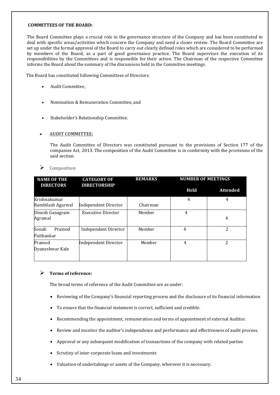#### **COMMITTEES OF THE BOARD:**

The Board Committee plays a crucial role in the governance structure of the Company and has been constituted to deal with specific areas/activities which concern the Company and need a closer review. The Board Committee are set up under the formal approval of the Board to carry out clearly defined roles which are considered to be performed by members of the Board, as a part of good governance practice. The Board supervises the execution of its responsibilities by the Committees and is responsible for their action. The Chairman of the respective Committee informs the Board about the summary of the discussions held in the Committee meetings.

The Board has constituted following Committees of Directors:

- Audit Committee,
- Nomination & Remuneration Committee, and
- Stakeholder's Relationship Committee.

# • **AUDIT COMMITTEE:**

The Audit Committee of Directors was constituted pursuant to the provisions of Section 177 of the companies Act, 2013. The composition of the Audit Committee is in conformity with the provisions of the said section.



| <b>NAME OF THE</b><br><b>DIRECTORS</b> | <b>CATEGORY OF</b><br><b>DIRECTORSHIP</b> | <b>REMARKS</b> | <b>NUMBER OF MEETINGS</b> |                 |
|----------------------------------------|-------------------------------------------|----------------|---------------------------|-----------------|
|                                        |                                           |                | <b>Held</b>               | <b>Attended</b> |
| Krishnakumar<br>Rambilash Agarwal      | Independent Director                      | Chairman       | 4                         | 4               |
| Dinesh Ganagram<br>Agrawal             | <b>Executive Director</b>                 | Member         | $\overline{4}$            | 4               |
| Sonali<br>Pramod<br>Paithankar         | <b>Independent Director</b>               | Member         | 4                         | 2               |
| Pramod<br>Dyaneshwar Kale              | <b>Independent Director</b>               | Member         | 4                         | 2               |

# **Terms of reference:**

The broad terms of reference of the Audit Committee are as under:

- Reviewing of the Company's financial reporting process and the disclosure of its financial information
- To ensure that the financial statement is correct, sufficient and credible.
- Recommending the appointment, remuneration and terms of appointment of external Auditor.
- Review and monitor the auditor's independence and performance and effectiveness of audit process.
- Approval or any subsequent modification of transactions of the company with related parties
- Scrutiny of inter-corporate loans and investments
- Valuation of undertakings or assets of the Company, wherever it is necessary.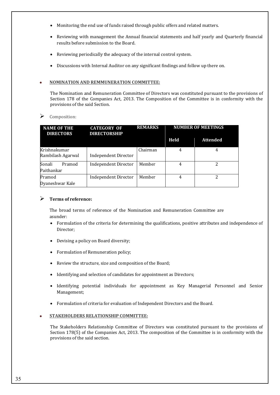- Monitoring the end use of funds raised through public offers and related matters.
- Reviewing with management the Annual financial statements and half yearly and Quarterly financial results before submission to the Board.
- Reviewing periodically the adequacy of the internal control system.
- Discussions with Internal Auditor on any significant findings and follow up there on.

# • **NOMINATION AND REMMUNERATION COMMITTEE:**

The Nomination and Remuneration Committee of Directors was constituted pursuant to the provisions of Section 178 of the Companies Act, 2013. The Composition of the Committee is in conformity with the provisions of the said Section.

# Composition:

| <b>NAME OF THE</b><br><b>DIRECTORS</b> | <b>CATEGORY OF</b><br><b>DIRECTORSHIP</b> | <b>REMARKS</b> | <b>NUMBER OF MEETINGS</b> |                 |
|----------------------------------------|-------------------------------------------|----------------|---------------------------|-----------------|
|                                        |                                           |                | Held                      | <b>Attended</b> |
| Krishnakumar<br>Rambilash Agarwal      | <b>Independent Director</b>               | Chairman       | 4                         | 4               |
| Sonali<br>Pramod<br>Paithankar         | <b>Independent Director</b>               | Member         | 4                         | 2               |
| Pramod<br>Dyaneshwar Kale              | Independent Director                      | Member         | 4                         | 2               |

# **Terms of reference:**

The broad terms of reference of the Nomination and Remuneration Committee are asunder:

- Formulation of the criteria for determining the qualifications, positive attributes and independence of Director;
- Devising a policy on Board diversity;
- Formulation of Remuneration policy;
- Review the structure, size and composition of the Board;
- Identifying and selection of candidates for appointment as Directors;
- Identifying potential individuals for appointment as Key Managerial Personnel and Senior Management;
- Formulation of criteria for evaluation of Independent Directors and the Board.

# • **STAKEHOLDERS RELATIONSHIP COMMITTEE:**

The Stakeholders Relationship Committee of Directors was constituted pursuant to the provisions of Section 178(5) of the Companies Act, 2013. The composition of the Committee is in conformity with the provisions of the said section.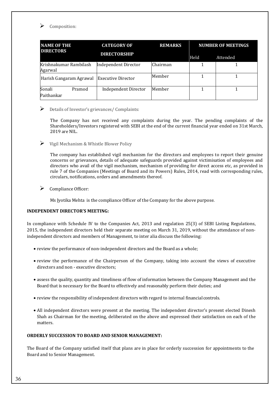

Composition:

| <b>NAME OF THE</b><br><b>DIRECTORS</b>       |        | <b>CATEGORY OF</b>          | <b>REMARKS</b> |      | <b>NUMBER OF MEETINGS</b> |
|----------------------------------------------|--------|-----------------------------|----------------|------|---------------------------|
|                                              |        | <b>DIRECTORSHIP</b>         |                | Held | <b>Attended</b>           |
| Krishnakumar Rambilash<br>Agarwal            |        | <b>Independent Director</b> | Chairman       |      |                           |
| Harish Gangaram Agrawal   Executive Director |        |                             | Member         |      |                           |
| Sonali<br>Paithankar                         | Pramod | <b>Independent Director</b> | Member         |      |                           |

# Details of Investor's grievances/ Complaints:

The Company has not received any complaints during the year. The pending complaints of the Shareholders/Investors registered with SEBI at the end of the current financial year ended on 31st March, 2019 are NIL.

 $\triangleright$  Vigil Mechanism & Whistle Blower Policy

The company has established vigil mechanism for the directors and employees to report their genuine concerns or grievances, details of adequate safeguards provided against victimisation of employees and directors who avail of the vigil mechanism, mechanism of providing for direct access etc, as provided in rule 7 of the Companies (Meetings of Board and its Powers) Rules, 2014, read with corresponding rules, circulars, notifications, orders and amendments thereof.

 $\triangleright$  Compliance Officer:

Ms Jyotika Mehta is the compliance Officer of the Company for the above purpose.

# **INDEPENDENT DIRECTOR'S MEETING:**

In compliance with Schedule IV to the Companies Act, 2013 and regulation 25(3) of SEBI Listing Regulations, 2015, the independent directors held their separate meeting on March 31, 2019, without the attendance of nonindependent directors and members of Management, to inter alia discuss the following:

- review the performance of non-independent directors and the Board as a whole;
- review the performance of the Chairperson of the Company, taking into account the views of executive directors and non - executive directors;
- assess the quality, quantity and timeliness of flow of information between the Company Management and the Board that is necessary for the Board to effectively and reasonably perform their duties; and
- review the responsibility of independent directors with regard to internal financialcontrols.
- All independent directors were present at the meeting. The independent director's present elected Dinesh Shah as Chairman for the meeting, deliberated on the above and expressed their satisfaction on each of the matters.

#### **ORDERLY SUCCESSION TO BOARD AND SENIOR MANAGEMENT:**

The Board of the Company satisfied itself that plans are in place for orderly succession for appointments to the Board and to Senior Management.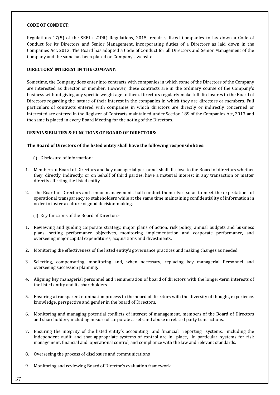#### **CODE OF CONDUCT:**

Regulations 17(5) of the SEBI (LODR) Regulations, 2015, requires listed Companies to lay down a Code of Conduct for its Directors and Senior Management, incorporating duties of a Directors as laid down in the Companies Act, 2013. The Board has adopted a Code of Conduct for all Directors and Senior Management of the Company and the same has been placed on Company's website.

# **DIRECTORS' INTEREST IN THE COMPANY:**

Sometime, the Company does enter into contracts with companies in which some of the Directors of the Company are interested as director or member. However, these contracts are in the ordinary course of the Company's business without giving any specific weight age to them. Directors regularly make full disclosures to the Board of Directors regarding the nature of their interest in the companies in which they are directors or members. Full particulars of contracts entered with companies in which directors are directly or indirectly concerned or interested are entered in the Register of Contracts maintained under Section 189 of the Companies Act, 2013 and the same is placed in every Board Meeting for the noting of the Directors.

# **RESPONSIBILITIES & FUNCTIONS OF BOARD OF DIRECTORS:**

#### **The Board of Directors of the listed entity shall have the following responsibilities:**

- (i) Disclosure of information:
- 1. Members of Board of Directors and key managerial personnel shall disclose to the Board of directors whether they, directly, indirectly, or on behalf of third parties, have a material interest in any transaction or matter directly affecting the listed entity.
- 2. The Board of Directors and senior management shall conduct themselves so as to meet the expectations of operational transparency to stakeholders while at the same time maintaining confidentiality of information in order to foster a culture of good decision-making.
	- (ii) Key functions of the Board of Directors-
- 1. Reviewing and guiding corporate strategy, major plans of action, risk policy, annual budgets and business plans, setting performance objectives, monitoring implementation and corporate performance, and overseeing major capital expenditures, acquisitions and divestments.
- 2. Monitoring the effectiveness of the listed entity's governance practices and making changes as needed.
- 3. Selecting, compensating, monitoring and, when necessary, replacing key managerial Personnel and overseeing succession planning.
- 4. Aligning key managerial personnel and remuneration of board of directors with the longer-term interests of the listed entity and its shareholders.
- 5. Ensuring a transparent nomination process to the board of directors with the diversity of thought, experience, knowledge, perspective and gender in the board of Directors.
- 6. Monitoring and managing potential conflicts of interest of management, members of the Board of Directors and shareholders, including misuse of corporate assets and abuse in related party transactions.
- 7. Ensuring the integrity of the listed entity's accounting and financial reporting systems, including the independent audit, and that appropriate systems of control are in place, in particular, systems for risk management, financial and operational control, and compliance with the law and relevant standards.
- 8. Overseeing the process of disclosure and communications
- 9. Monitoring and reviewing Board of Director's evaluation framework.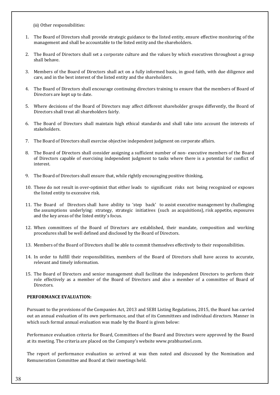(iii) Other responsibilities:

- 1. The Board of Directors shall provide strategic guidance to the listed entity, ensure effective monitoring of the management and shall be accountable to the listed entity and the shareholders.
- 2. The Board of Directors shall set a corporate culture and the values by which executives throughout a group shall behave.
- 3. Members of the Board of Directors shall act on a fully informed basis, in good faith, with due diligence and care, and in the best interest of the listed entity and the shareholders.
- 4. The Board of Directors shall encourage continuing directors training to ensure that the members of Board of Directors are kept up to date.
- 5. Where decisions of the Board of Directors may affect different shareholder groups differently, the Board of Directors shall treat all shareholders fairly.
- 6. The Board of Directors shall maintain high ethical standards and shall take into account the interests of stakeholders.
- 7. The Board of Directors shall exercise objective independent judgment on corporate affairs.
- 8. The Board of Directors shall consider assigning a sufficient number of non- executive members of the Board of Directors capable of exercising independent judgment to tasks where there is a potential for conflict of interest.
- 9. The Board of Directors shall ensure that, while rightly encouraging positive thinking,
- 10. These do not result in over-optimist that either leads to significant risks not being recognized or exposes the listed entity to excessive risk.
- 11. The Board of Directors shall have ability to 'step back' to assist executive management by challenging the assumptions underlying: strategy, strategic initiatives (such as acquisitions), risk appetite, exposures and the key areas of the listed entity's focus.
- 12. When committees of the Board of Directors are established, their mandate, composition and working procedures shall be well defined and disclosed by the Board of Directors.
- 13. Members of the Board of Directors shall be able to commit themselves effectively to their responsibilities.
- 14. In order to fulfill their responsibilities, members of the Board of Directors shall have access to accurate, relevant and timely information.
- 15. The Board of Directors and senior management shall facilitate the independent Directors to perform their role effectively as a member of the Board of Directors and also a member of a committee of Board of Directors.

# **PERFORMANCE EVALUATION:**

Pursuant to the provisions of the Companies Act, 2013 and SEBI Listing Regulations, 2015, the Board has carried out an annual evaluation of its own performance, and that of its Committees and individual directors. Manner in which such formal annual evaluation was made by the Board is given below:

Performance evaluation criteria for Board, Committees of the Board and Directors were approved by the Board at its meeting. The criteria are placed on the Company's website www.prabhusteel.com.

The report of performance evaluation so arrived at was then noted and discussed by the Nomination and Remuneration Committee and Board at their meetings held.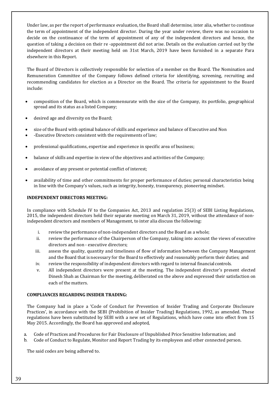Under law, as per the report of performance evaluation, the Board shall determine, inter alia, whether to continue the term of appointment of the independent director. During the year under review, there was no occasion to decide on the continuance of the term of appointment of any of the independent directors and hence, the question of taking a decision on their re -appointment did not arise. Details on the evaluation carried out by the independent directors at their meeting held on 31st March, 2019 have been furnished in a separate Para elsewhere in this Report.

The Board of Directors is collectively responsible for selection of a member on the Board. The Nomination and Remuneration Committee of the Company follows defined criteria for identifying, screening, recruiting and recommending candidates for election as a Director on the Board. The criteria for appointment to the Board include:

- composition of the Board, which is commensurate with the size of the Company, its portfolio, geographical spread and its status as a listed Company;
- desired age and diversity on the Board;
- size of the Board with optimal balance of skills and experience and balance of Executive and Non
- -Executive Directors consistent with the requirements of law;
- professional qualifications, expertise and experience in specific area of business;
- balance of skills and expertise in view of the objectives and activities of the Company;
- avoidance of any present or potential conflict of interest;
- availability of time and other commitments for proper performance of duties; personal characteristics being in line with the Company's values, such as integrity, honesty, transparency, pioneering mindset.

# **INDEPENDENT DIRECTORS MEETING:**

In compliance with Schedule IV to the Companies Act, 2013 and regulation 25(3) of SEBI Listing Regulations, 2015, the independent directors held their separate meeting on March 31, 2019, without the attendance of nonindependent directors and members of Management, to inter alia discuss the following:

- i. review the performance of non-independent directors and the Board as a whole;
- ii. review the performance of the Chairperson of the Company, taking into account the views of executive directors and non - executive directors;
- iii. assess the quality, quantity and timeliness of flow of information between the Company Management and the Board that is necessary for the Board to effectively and reasonably perform their duties; and
- iv. review the responsibility of independent directors with regard to internal financialcontrols.
- v. All independent directors were present at the meeting. The independent director's present elected Dinesh Shah as Chairman for the meeting, deliberated on the above and expressed their satisfaction on each of the matters.

# **COMPLIANCES REGARDING INSIDER TRADING:**

The Company had in place a 'Code of Conduct for Prevention of Insider Trading and Corporate Disclosure Practices', in accordance with the SEBI (Prohibition of Insider Trading) Regulations, 1992, as amended. These regulations have been substituted by SEBI with a new set of Regulations, which have come into effect from 15 May 2015. Accordingly, the Board has approved and adopted,

- a. Code of Practices and Procedures for Fair Disclosure of Unpublished Price Sensitive Information; and
- b. Code of Conduct to Regulate, Monitor and Report Trading by its employees and other connected person.

The said codes are being adhered to.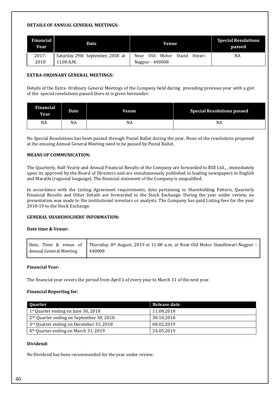### **DETAILS OF ANNUAL GENERAL MEETINGS:**

| <b>Financial</b><br><b>Year</b> | Date                             | Venue                                     | <b>Special Resolutions</b><br>passed |
|---------------------------------|----------------------------------|-------------------------------------------|--------------------------------------|
| 2017-                           | Saturday 29th September, 2018 at | - Old<br>Motor<br>Near<br>Stand<br>Itwari | NA                                   |
| 2018                            | 11.00 A.M.                       | Nagpur - 440008                           |                                      |

# **EXTRA-ORDINARY GENERAL MEETINGS:**

Details of the Extra- Ordinary General Meetings of the Company held during preceding previous year with a gist of the special resolutions passed there at is given hereunder:

| <b>Financial</b><br><b>Year</b> | <b>Date</b> | <b>Venue</b> | <b>Special Resolutions passed</b> |
|---------------------------------|-------------|--------------|-----------------------------------|
| NA                              | NA          | NA           | NA                                |

No Special Resolutions has been passed through Postal Ballot during the year. None of the resolutions proposed at the ensuing Annual General Meeting need to be passed by Postal Ballot.

# **MEANS OF COMMUNICATION:**

The Quarterly, Half-Yearly and Annual Financial Results of the Company are forwarded to BSE Ltd., , immediately upon its approval by the Board of Directors and are simultaneously published in leading newspapers in English and Marathi (regional language). The financial statement of the Company is unqualified.

In accordance with the Listing Agreement requirements, data pertaining to Shareholding Pattern, Quarterly Financial Results and Other Details are forwarded to the Stock Exchange. During the year under review, no presentation was made to the institutional investors or analysts. The Company has paid Listing fees for the year 2018-19 to the Stock Exchange.

# **GENERAL SHAREHOLDERS' INFORMATION:**

# **Date time & Venue:**

|                        | Date, Time & venue of Thursday, 8 <sup>th</sup> August, 2019 at 11:00 a.m. at Near Old Motor Standitwari Nagpur – |
|------------------------|-------------------------------------------------------------------------------------------------------------------|
| Annual General Meeting | 440008                                                                                                            |

# **Financial Year:**

The financial year covers the period from April 1 of every year to March 31 of the next year.

# **Financial Reporting for:**

| Quarter                                              | Release date |
|------------------------------------------------------|--------------|
| $1st$ Quarter ending on June 30, 2018                | 11.08.2018   |
| 2 <sup>nd</sup> Quarter ending on September 30, 2018 | 30.10.2018   |
| 3 <sup>rd</sup> Quarter ending on December 31, 2018  | 08.02.2019   |
| 4 <sup>th</sup> Quarter ending on March 31, 2019     | 24.05.2019   |

# **Dividend:**

No Dividend has been recommended for the year under review.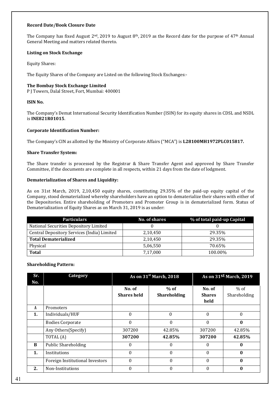#### **Record Date/Book Closure Date**

The Company has fixed August  $2^{nd}$ , 2019 to August  $8^{th}$ , 2019 as the Record date for the purpose of 47<sup>th</sup> Annual General Meeting and matters related thereto.

### **Listing on Stock Exchange**

Equity Shares:

The Equity Shares of the Company are Listed on the following Stock Exchanges:-

# **The Bombay Stock Exchange Limited**

P J Towers, Dalal Street, Fort, Mumbai: 400001

# **ISIN No.**

The Company's Demat International Security Identification Number (ISIN) for its equity shares in CDSL and NSDL is **INE821R01015**.

# **Corporate Identification Number:**

The Company's CIN as allotted by the Ministry of Corporate Affairs ("MCA") is **L28100MH1972PLC015817.**

# **Share Transfer System:**

The Share transfer is processed by the Registrar & Share Transfer Agent and approved by Share Transfer Committee, if the documents are complete in all respects, within 21 days from the date of lodgment.

# **Dematerialization of Shares and Liquidity:**

As on 31st March, 2019, 2,10,450 equity shares, constituting 29.35% of the paid-up equity capital of the Company, stood dematerialized whereby shareholders have an option to dematerialize their shares with either of the Depositories. Entire shareholding of Promoters and Promoter Group is in dematerialized form. Status of Dematerialization of Equity Shares as on March 31, 2019 is as under:

| <b>Particulars</b>                          | No. of shares | % of total paid-up Capital |  |
|---------------------------------------------|---------------|----------------------------|--|
| National Securities Depository Limited      |               |                            |  |
| Central Depository Services (India) Limited | 2,10,450      | 29.35%                     |  |
| <b>Total Dematerialized</b>                 | 2,10,450      | 29.35%                     |  |
| Physical                                    | 5,06,550      | 70.65%                     |  |
| <b>Total</b>                                | 7,17,000      | 100.00%                    |  |

# **Shareholding Pattern:**

| Sr. | Category                        |                              | As on 31 <sup>st</sup> March, 2018 |                                 | As on 31st March, 2019 |
|-----|---------------------------------|------------------------------|------------------------------------|---------------------------------|------------------------|
| No. |                                 |                              |                                    |                                 |                        |
|     |                                 | No. of<br><b>Shares held</b> | $%$ of<br><b>Shareholding</b>      | No. of<br><b>Shares</b><br>held | % of<br>Shareholding   |
| A   | Promoters                       |                              |                                    |                                 |                        |
| 1.  | Individuals/HUF                 | $\theta$                     | $\Omega$                           | $\Omega$                        | $\Omega$               |
|     | <b>Bodies Corporate</b>         | $\Omega$                     | $\theta$                           | $\Omega$                        | $\mathbf{0}$           |
|     | Any Others (Specify)            | 307200                       | 42.85%                             | 307200                          | 42.85%                 |
|     | TOTAL (A)                       | 307200                       | 42.85%                             | 307200                          | 42.85%                 |
| B   | <b>Public Shareholding</b>      | 0                            | 0                                  | $\theta$                        | $\bf{0}$               |
| 1.  | Institutions                    | 0                            | 0                                  | $\Omega$                        | $\mathbf{0}$           |
|     | Foreign Institutional Investors | $\Omega$                     | $\theta$                           | $\theta$                        | $\mathbf{0}$           |
| 2.  | Non-Institutions                | $\theta$                     | $\theta$                           | $\theta$                        | $\bf{0}$               |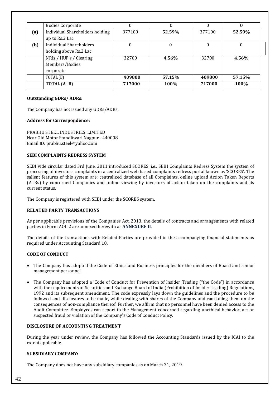|     | <b>Bodies Corporate</b>         | 0      |        | $\Omega$ |        |
|-----|---------------------------------|--------|--------|----------|--------|
| (a) | Individual Shareholders holding | 377100 | 52.59% | 377100   | 52.59% |
|     | up to Rs.2 Lac                  |        |        |          |        |
| (b) | Individual Shareholders         | 0      | 0      | $\theta$ |        |
|     | holding above Rs.2 Lac          |        |        |          |        |
|     | NRIs / HUF's / Clearing         | 32700  | 4.56%  | 32700    | 4.56%  |
|     | Members/Bodies                  |        |        |          |        |
|     | corporate                       |        |        |          |        |
|     | TOTAL (B)                       | 409800 | 57.15% | 409800   | 57.15% |
|     | TOTAL $(A+B)$                   | 717000 | 100%   | 717000   | 100%   |

# **Outstanding GDRs/ ADRs:**

The Company has not issued any GDRs/ADRs.

# **Address for Correspondence:**

PRABHU STEEL INDUSTRIES LIMITED Near Old Motor Standitwari Nagpur - 440008 Email ID: prabhu.steel@yahoo.com

#### **SEBI COMPLAINTS REDRESS SYSTEM**

SEBI vide circular dated 3rd June, 2011 introduced SCORES, i.e., SEBI Complaints Redress System the system of processing of investors complaints in a centralized web based complaints redress portal known as 'SCORES'. The salient features of this system are: centralized database of all Complaints, online upload Action Taken Reports (ATRs) by concerned Companies and online viewing by investors of action taken on the complaints and its current status.

The Company is registered with SEBI under the SCORES system.

# **RELATED PARTY TRANSACTIONS**

As per applicable provisions of the Companies Act, 2013, the details of contracts and arrangements with related parties in Form AOC 2 are annexed herewith as **ANNEXURE II**.

The details of the transactions with Related Parties are provided in the accompanying financial statements as required under Accounting Standard 18.

#### **CODE OF CONDUCT**

- The Company has adopted the Code of Ethics and Business principles for the members of Board and senior management personnel.
- The Company has adopted a 'Code of Conduct for Prevention of Insider Trading ("the Code") in accordance with the requirements of Securities and Exchange Board of India (Prohibition of Insider Trading) Regulations, 1992 and its subsequent amendment. The code expressly lays down the guidelines and the procedure to be followed and disclosures to be made, while dealing with shares of the Company and cautioning them on the consequences of non-compliance thereof. Further, we affirm that no personnel have been denied access to the Audit Committee. Employees can report to the Management concerned regarding unethical behavior, act or suspected fraud or violation of the Company's Code of Conduct Policy.

#### **DISCLOSURE OF ACCOUNTING TREATMENT**

During the year under review, the Company has followed the Accounting Standards issued by the ICAI to the extent applicable.

#### **SUBSIDIARY COMPANY:**

The Company does not have any subsidiary companies as on March 31, 2019.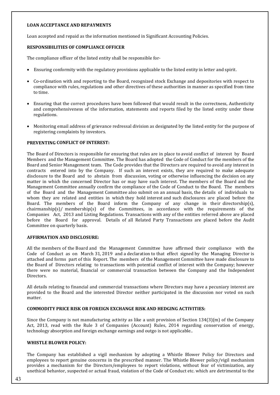### **LOAN ACCEPTANCE AND REPAYMENTS**

Loan accepted and repaid as the information mentioned in Significant Accounting Policies.

# **RESPONSIBILITIES OF COMPLIANCE OFFICER**

The compliance officer of the listed entity shall be responsible for-

- Ensuring conformity with the regulatory provisions applicable to the listed entity in letter and spirit.
- Co-ordination with and reporting to the Board, recognized stock Exchange and depositories with respect to compliance with rules, regulations and other directives of these authorities in manner as specified from time to time.
- Ensuring that the correct procedures have been followed that would result in the correctness, Authenticity and comprehensiveness of the information, statements and reports filed by the listed entity under these regulations.
- Monitoring email address of grievance redressal division as designated by the listed entity for the purpose of registering complaints by investors.

# **PREVENTING CONFLICT OF INTEREST:**

The Board of Directors is responsible for ensuring that rules are in place to avoid conflict of interest by Board Members and the Management Committee. The Board has adopted the Code of Conduct for the members of the Board and Senior Management team. The Code provides that the Directors are required to avoid any interest in contracts entered into by the Company. If such an interest exists, they are required to make adequate disclosure to the Board and to abstain from discussion, voting or otherwise influencing the decision on any matter in which the concerned Director has or may have such interest. The members of the Board and the Management Committee annually confirm the compliance of the Code of Conduct to the Board. The members of the Board and the Management Committee also submit on an annual basis, the details of individuals to whom they are related and entities in which they hold interest and such disclosures are placed before the Board. The members of the Board inform the Company of any change in their directorship(s),  $chairmanship(s)$  membership(s) of the Committees, in accordance with the requirements of the Companies Act, 2013 and Listing Regulations. Transactions with any of the entities referred above are placed before the Board for approval. Details of all Related Party Transactions are placed before the Audit Committee on quarterly basis.

#### **AFFIRMATION AND DISCLOSURE:**

All the members of the Board and the Management Committee have affirmed their compliance with the Code of Conduct as on March 31, 2019 and a declaration to that effect signed by the Managing Director is attached and forms part of this Report. The members of the Management Committee have made disclosure to the Board of Directors relating to transactions with potential conflict of interest with the Company; however there were no material, financial or commercial transaction between the Company and the Independent Directors.

All details relating to financial and commercial transactions where Directors may have a pecuniary interest are provided to the Board and the interested Director neither participated in the discussion nor voted on such matter.

#### **COMMODITY PRICE RISK OR FOREIGN EXCHANGE RISK AND HEDGING ACTIVITIES:**

Since the Company is not manufacturing activity as like a unit provision of Section 134(3)(m) of the Company Act, 2013, read with the Rule 3 of Companies (Account) Rules, 2014 regarding conservation of energy, technology absorption and foreign exchange earnings and outgo is not applicable..

# **WHISTLE BLOWER POLICY:**

The Company has established a vigil mechanism by adopting a Whistle Blower Policy for Directors and employees to report genuine concerns in the prescribed manner. The Whistle Blower policy/vigil mechanism provides a mechanism for the Directors/employees to report violations, without fear of victimization, any unethical behavior, suspected or actual fraud, violation of the Code of Conduct etc. which are detrimental to the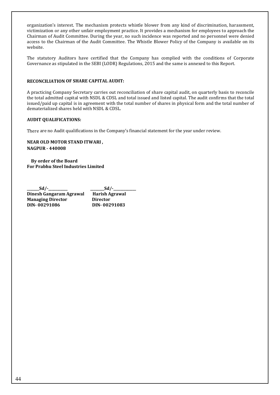organization's interest. The mechanism protects whistle blower from any kind of discrimination, harassment, victimization or any other unfair employment practice. It provides a mechanism for employees to approach the Chairman of Audit Committee. During the year, no such incidence was reported and no personnel were denied access to the Chairman of the Audit Committee. The Whistle Blower Policy of the Company is available on its website.

The statutory Auditors have certified that the Company has complied with the conditions of Corporate Governance as stipulated in the SEBI (LODR) Regulations, 2015 and the same is annexed to this Report.

# **RECONCILIATION OF SHARE CAPITAL AUDIT:**

A practicing Company Secretary carries out reconciliation of share capital audit, on quarterly basis to reconcile the total admitted capital with NSDL & CDSL and total issued and listed capital. The audit confirms that the total issued/paid up capital is in agreement with the total number of shares in physical form and the total number of dematerialized shares held with NSDL & CDSL.

#### **AUDIT QUALIFICATIONS:**

There are no Audit qualifications in the Company's financial statement for the year under review.

# **NEAR OLD MOTOR STAND ITWARI , NAGPUR - 440008**

 **By order of the Board For Prabhu Steel Industries Limited** 

**\_\_\_\_\_\_\_Sd/-\_\_\_\_\_\_\_\_\_\_\_ \_\_\_\_\_\_\_\_Sd/-\_\_\_\_\_\_\_\_\_\_\_\_\_ Dinesh Gangaram Agrawal Harish Agrawal Managing Director** Director<br>DIN-00291086 DIN-002 **DIN- 00291086 DIN- 00291083**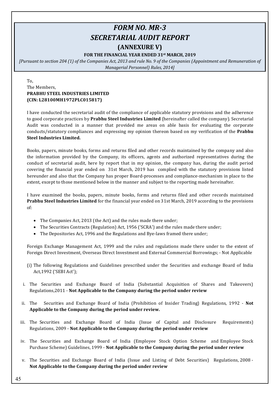# *FORM NO. MR-3 SECRETARIAL AUDIT REPORT*

# **(ANNEXURE V)**

# **FOR THE FINANCIAL YEAR ENDED 31st MARCH, 2019**

*[Pursuant to section 204 (1) of the Companies Act, 2013 and rule No. 9 of the Companies (Appointment and Remuneration of Managerial Personnel) Rules, 2014]*

# To, The Members, **PRABHU STEEL INDUSTRIES LIMITED (CIN: L28100MH1972PLC015817)**

I have conducted the secretarial audit of the compliance of applicable statutory provisions and the adherence to good corporate practices by **Prabhu Steel Industries Limited** (hereinafter called the company). Secretarial Audit was conducted in a manner that provided me areas on able basis for evaluating the corporate conducts/statutory compliances and expressing my opinion thereon based on my verification of the **Prabhu Steel Industries Limited.**

Books, papers, minute books, forms and returns filed and other records maintained by the company and also the information provided by the Company, its officers, agents and authorized representatives during the conduct of secretarial audit, here by report that in my opinion, the company has, during the audit period covering the financial year ended on 31st March, 2019 has complied with the statutory provisions listed hereunder and also that the Company has proper Board-processes and compliance-mechanism in place to the extent, except to those mentioned below in the manner and subject to the reporting made hereinafter.

I have examined the books, papers, minute books, forms and returns filed and other records maintained **Prabhu Steel Industries Limited** for the financial year ended on 31st March, 2019 according to the provisions of:

- The Companies Act, 2013 (the Act) and the rules made there under;
- The Securities Contracts (Regulation) Act, 1956 ('SCRA') and the rules made there under;
- The Depositories Act, 1996 and the Regulations and Bye-laws framed there under;

Foreign Exchange Management Act, 1999 and the rules and regulations made there under to the extent of Foreign Direct Investment, Overseas Direct Investment and External Commercial Borrowings; - Not Applicable

- (i) The following Regulations and Guidelines prescribed under the Securities and exchange Board of India Act,1992 ('SEBI Act');
- i. The Securities and Exchange Board of India (Substantial Acquisition of Shares and Takeovers) Regulations,2011 - **Not Applicable to the Company during the period under review**
- ii. The Securities and Exchange Board of India (Prohibition of Insider Trading) Regulations, 1992 **Not Applicable to the Company during the period under review.**
- iii. The Securities and Exchange Board of India (Issue of Capital and Disclosure Requirements) Regulations, 2009 - **Not Applicable to the Company during the period under review**
- iv. The Securities and Exchange Board of India (Employee Stock Option Scheme and Employee Stock Purchase Scheme) Guidelines, 1999 - **Not Applicable to the Company during the period under review**
- v. The Securities and Exchange Board of India (Issue and Listing of Debt Securities) Regulations, 2008 **Not Applicable to the Company during the period under review**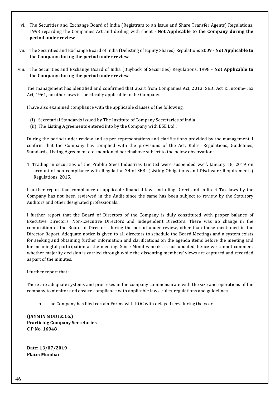- vi. The Securities and Exchange Board of India (Registrars to an Issue and Share Transfer Agents) Regulations, 1993 regarding the Companies Act and dealing with client - **Not Applicable to the Company during the period under review**
- vii. The Securities and Exchange Board of India (Delisting of Equity Shares) Regulations 2009 **Not Applicable to the Company during the period under review**
- viii. The Securities and Exchange Board of India (Buyback of Securities) Regulations, 1998 **Not Applicable to the Company during the period under review**

The management has identified and confirmed that apart from Companies Act, 2013; SEBI Act & Income-Tax Act, 1961, no other laws is specifically applicable to the Company.

I have also examined compliance with the applicable clauses of the following:

- (i) Secretarial Standards issued by The Institute of Company Secretaries of India.
- (ii) The Listing Agreements entered into by the Company with BSE Ltd,;

During the period under review and as per representations and clarifications provided by the management, I confirm that the Company has complied with the provisions of the Act, Rules, Regulations, Guidelines, Standards, Listing Agreement etc. mentioned hereinabove subject to the below observation:

1. Trading in securities of the Prabhu Steel Industries Limited were suspended w.e.f. January 18, 2019 on account of non-compliance with Regulation 34 of SEBI (Listing Obligations and Disclosure Requirements) Regulations, 2015.

I further report that compliance of applicable financial laws including Direct and Indirect Tax laws by the Company has not been reviewed in the Audit since the same has been subject to review by the Statutory Auditors and other designated professionals.

I further report that the Board of Directors of the Company is duly constituted with proper balance of Executive Directors, Non-Executive Directors and Independent Directors. There was no change in the composition of the Board of Directors during the period under review, other than those mentioned in the Director Report. Adequate notice is given to all directors to schedule the Board Meetings and a system exists for seeking and obtaining further information and clarifications on the agenda items before the meeting and for meaningful participation at the meeting. Since Minutes books is not updated, hence we cannot comment whether majority decision is carried through while the dissenting members' views are captured and recorded as part of the minutes.

I further report that:

There are adequate systems and processes in the company commensurate with the size and operations of the company to monitor and ensure compliance with applicable laws, rules, regulations and guidelines.

• The Company has filed certain Forms with ROC with delayed fees during the year.

**(JAYMIN MODI & Co.) Practicing Company Secretaries C P No. 16948**

**Date: 13/07/2019 Place: Mumbai**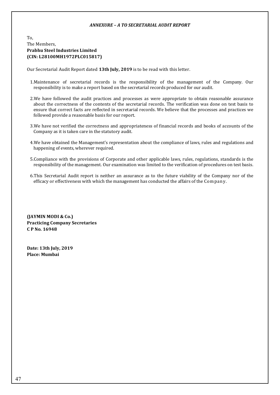### *ANNEXURE – A TO SECRETARIAL AUDIT REPORT*

# To, The Members, **Prabhu Steel Industries Limited (CIN: L28100MH1972PLC015817)**

Our Secretarial Audit Report dated **13th July, 2019** is to be read with this letter.

- 1.Maintenance of secretarial records is the responsibility of the management of the Company. Our responsibility is to make a report based on the secretarial records produced for our audit.
- 2.We have followed the audit practices and processes as were appropriate to obtain reasonable assurance about the correctness of the contents of the secretarial records. The verification was done on test basis to ensure that correct facts are reflected in secretarial records. We believe that the processes and practices we followed provide a reasonable basis for our report.
- 3.We have not verified the correctness and appropriateness of financial records and books of accounts of the Company as it is taken care in the statutory audit.
- 4.We have obtained the Management's representation about the compliance of laws, rules and regulations and happening of events, wherever required.
- 5.Compliance with the provisions of Corporate and other applicable laws, rules, regulations, standards is the responsibility of the management. Our examination was limited to the verification of procedures on test basis.
- 6.This Secretarial Audit report is neither an assurance as to the future viability of the Company nor of the efficacy or effectiveness with which the management has conducted the affairs of the Company.

**(JAYMIN MODI & Co.) Practicing Company Secretaries C P No. 16948**

**Date: 13th July, 2019 Place: Mumbai**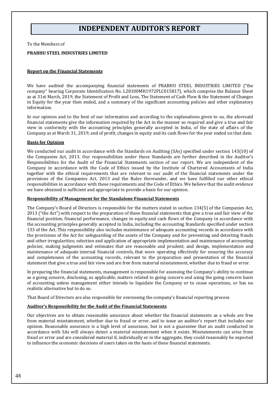# **INDEPENDENT AUDITOR'S REPORT**

To the Members of

#### **PRABHU STEEL INDUSTRIES LIMITED**

# **Report on the Financial Statements**

We have audited the accompanying financial statements of PRABHU STEEL INDUSTRIES LIMITED ("the company" bearing Corporate Identification No. L28100MH1972PLC015817), which comprise the Balance Sheet as at 31st March, 2019, the Statement of Profit and Loss, The Statement of Cash Flow & the Statement of Changes in Equity for the year then ended, and a summary of the significant accounting policies and other explanatory information.

In our opinion and to the best of our information and according to the explanations given to us, the aforesaid financial statements give the information required by the Act in the manner so required and give a true and fair view in conformity with the accounting principles generally accepted in India, of the state of affairs of the Company as at March 31, 2019, and of profit, changes in equity and its cash flows for the year ended on that date.

#### **Basis for Opinion**

We conducted our audit in accordance with the Standards on Auditing (SAs) specified under section 143(10) of the Companies Act, 2013. Our responsibilities under those Standards are further described in the Auditor's Responsibilities for the Audit of the Financial Statements section of our report. We are independent of the Company in accordance with the Code of Ethics issued by the Institute of Chartered Accountants of India together with the ethical requirements that are relevant to our audit of the financial statements under the provisions of the Companies Act, 2013 and the Rules thereunder, and we have fulfilled our other ethical responsibilities in accordance with these requirements and the Code of Ethics. We believe that the audit evidence we have obtained is sufficient and appropriate to provide a basis for our opinion.

#### **Responsibility of Management for the Standalone Financial Statements**

The Company's Board of Directors is responsible for the matters stated in section 134(5) of the Companies Act, 2013 ("the Act") with respect to the preparation of these financial statements that give a true and fair view of the financial position, financial performance, changes in equity and cash flows of the Company in accordance with the accounting principles generally accepted in India, including the accounting Standards specified under section 133 of the Act. This responsibility also includes maintenance of adequate accounting records in accordance with the provisions of the Act for safeguarding of the assets of the Company and for preventing and detecting frauds and other irregularities; selection and application of appropriate implementation and maintenance of accounting policies; making judgments and estimates that are reasonable and prudent; and design, implementation and maintenance of adequate [internal financial controls,](https://taxguru.in/company-law/applicability-caro-2016-ifc-reporting-ind.html) that were operating effectively for ensuring the accuracy and completeness of the accounting records, relevant to the preparation and presentation of the financial statement that give a true and fair view and are free from material misstatement, whether due to fraud or error.

In preparing the financial statements, management is responsible for assessing the Company's ability to continue as a going concern, disclosing, as applicable, matters related to going concern and using the going concern basis of accounting unless management either intends to liquidate the Company or to cease operations, or has no realistic alternative but to do so.

That Board of Directors are also responsible for overseeing the company's financial reporting process

#### **Auditor's Responsibility for the Audit of the Financial Statements**

Our objectives are to obtain reasonable assurance about whether the financial statements as a whole are free from material misstatement, whether due to fraud or error, and to issue an auditor's report that includes our opinion. Reasonable assurance is a high level of assurance, but is not a guarantee that an audit conducted in accordance with SAs will always detect a material misstatement when it exists. Misstatements can arise from fraud or error and are considered material if, individually or in the aggregate, they could reasonably be expected to influence the economic decisions of users taken on the basis of these financial statements.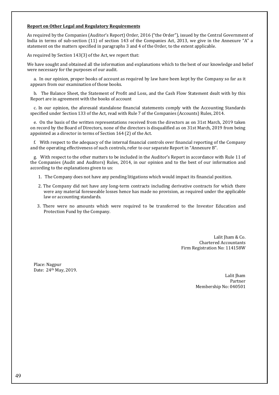# **Report on Other Legal and Regulatory Requirements**

As required by the Companies (Auditor's Report) Order, 2016 ("the Order"), issued by the Central Government of India in terms of sub-section (11) of section 143 of the Companies Act, 2013, we give in the Annexure "A" a statement on the matters specified in paragraphs 3 and 4 of the Order, to the extent applicable.

As required by Section 143(3) of the Act, we report that:

We have sought and obtained all the information and explanations which to the best of our knowledge and belief were necessary for the purposes of our audit.

a. In our opinion, proper books of account as required by law have been kept by the Company so far as it appears from our examination of those books.

b.The Balance Sheet, the Statement of Profit and Loss, and the Cash Flow Statement dealt with by this Report are in agreement with the books of account

c. In our opinion, the aforesaid standalone financial statements comply with the Accounting Standards specified under Section 133 of the Act, read with Rule 7 of the Companies (Accounts) Rules, 2014.

e. On the basis of the written representations received from the directors as on 31st March, 2019 taken on record by the Board of Directors, none of the directors is disqualified as on 31st March, 2019 from being appointed as a director in terms of Section 164 (2) of the Act.

f. With respect to the adequacy of the [internal financial controls](https://taxguru.in/company-law/applicability-caro-2016-ifc-reporting-ind.html) over financial reporting of the Company and the operating effectiveness of such controls, refer to our separate Report in "Annexure B".

g. With respect to the other matters to be included in the Auditor's Report in accordance with Rule 11 of the Companies (Audit and Auditors) Rules, 2014, in our opinion and to the best of our information and according to the explanations given to us:

- 1. The Company does not have any pending litigations which would impact its financial position.
- 2. The Company did not have any long-term contracts including derivative contracts for which there were any material foreseeable losses hence has made no provision, as required under the applicable law or accounting standards.
- 3. There were no amounts which were required to be transferred to the Investor Education and Protection Fund by the Company.

Lalit Jham & Co. Chartered Accountants Firm Registration No: 114158W

Place: Nagpur Date: 24th May, 2019.

> Lalit Jham Partner Membership No: 040501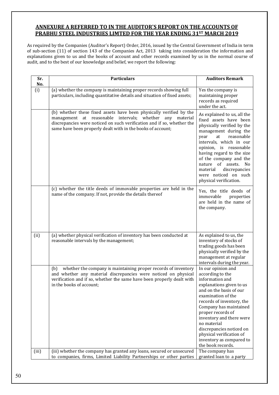# **ANNEXURE A REFERRED TO IN THE AUDITOR'S REPORT ON THE ACCOUNTS OF PRABHU STEEL INDUSTRIES LIMTED FOR THE YEAR ENDING 31ST MARCH 2019**

As required by the Companies (Auditor's Report) Order, 2016, issued by the Central Government of India in term of sub-section (11) of section 143 of the Companies Act, 2013 taking into consideration the information and explanations given to us and the books of account and other records examined by us in the normal course of audit, and to the best of our knowledge and belief, we report the following:

| Sr.   | <b>Particulars</b>                                                                                                                                                                                                                                                       | <b>Auditors Remark</b>                                                                                                                                                                                                                                                                                                                                                 |
|-------|--------------------------------------------------------------------------------------------------------------------------------------------------------------------------------------------------------------------------------------------------------------------------|------------------------------------------------------------------------------------------------------------------------------------------------------------------------------------------------------------------------------------------------------------------------------------------------------------------------------------------------------------------------|
| No.   |                                                                                                                                                                                                                                                                          |                                                                                                                                                                                                                                                                                                                                                                        |
| (i)   | (a) whether the company is maintaining proper records showing full<br>particulars, including quantitative details and situation of fixed assets;                                                                                                                         | Yes the company is<br>maintaining proper<br>records as required<br>under the act.                                                                                                                                                                                                                                                                                      |
|       | (b) whether these fixed assets have been physically verified by the<br>management at reasonable intervals; whether any material<br>discrepancies were noticed on such verification and if so, whether the<br>same have been properly dealt with in the books of account; | As explained to us, all the<br>fixed assets have been<br>physically verified by the<br>management during the<br>reasonable<br>year<br>at<br>intervals, which in our<br>opinion, is reasonable<br>having regard to the size<br>of the company and the<br>nature of assets. No<br>material<br>discrepancies<br>were noticed on such<br>physical verification.            |
|       | (c) whether the title deeds of immovable properties are held in the<br>name of the company. If not, provide the details thereof                                                                                                                                          | Yes, the title deeds of<br>immovable<br>properties<br>are held in the name of<br>the company.                                                                                                                                                                                                                                                                          |
| (ii)  | (a) whether physical verification of inventory has been conducted at<br>reasonable intervals by the management;                                                                                                                                                          | As explained to us, the<br>inventory of stocks of<br>trading goods has been<br>physically verified by the<br>management at regular<br>intervals during the year.                                                                                                                                                                                                       |
|       | whether the company is maintaining proper records of inventory<br>(b)<br>and whether any material discrepancies were noticed on physical<br>verification and if so, whether the same have been properly dealt with<br>in the books of account;                           | In our opinion and<br>according to the<br>information and<br>explanations given to us<br>and on the basis of our<br>examination of the<br>records of inventory, the<br>Company has maintained<br>proper records of<br>inventory and there were<br>no material<br>discrepancies noticed on<br>physical verification of<br>inventory as compared to<br>the book records. |
| (iii) | (iii) whether the company has granted any loans, secured or unsecured<br>to companies, firms, Limited Liability Partnerships or other parties                                                                                                                            | The company has<br>granted loan to a party                                                                                                                                                                                                                                                                                                                             |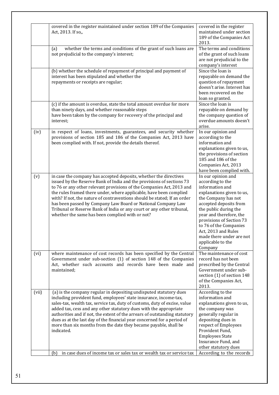|       | covered in the register maintained under section 189 of the Companies<br>Act, 2013. If so,,                                                                                                                                                                                                                                                                                                                                                                                                                                                                                                                          | covered in the register<br>maintained under section<br>189 of the Companies Act<br>2013.                                                                                                                                                                                                                                             |
|-------|----------------------------------------------------------------------------------------------------------------------------------------------------------------------------------------------------------------------------------------------------------------------------------------------------------------------------------------------------------------------------------------------------------------------------------------------------------------------------------------------------------------------------------------------------------------------------------------------------------------------|--------------------------------------------------------------------------------------------------------------------------------------------------------------------------------------------------------------------------------------------------------------------------------------------------------------------------------------|
|       | whether the terms and conditions of the grant of such loans are<br>(a)<br>not prejudicial to the company's interest;                                                                                                                                                                                                                                                                                                                                                                                                                                                                                                 | The terms and conditions<br>of the grant of such loans<br>are not prejudicial to the<br>company's interest                                                                                                                                                                                                                           |
|       | (b) whether the schedule of repayment of principal and payment of<br>interest has been stipulated and whether the<br>repayments or receipts are regular;                                                                                                                                                                                                                                                                                                                                                                                                                                                             | Since the loan is<br>repayable on demand the<br>question of repayment<br>doesn't arise. Interest has<br>been recovered on the<br>loan so granted.                                                                                                                                                                                    |
|       | (c) if the amount is overdue, state the total amount overdue for more<br>than ninety days, and whether reasonable steps<br>have been taken by the company for recovery of the principal and<br>interest;                                                                                                                                                                                                                                                                                                                                                                                                             | Since the loan is<br>repayable on demand by<br>the company question of<br>overdue amounts doesn't<br>arise.                                                                                                                                                                                                                          |
| (iv)  | in respect of loans, investments, guarantees, and security whether<br>provisions of section 185 and 186 of the Companies Act, 2013 have<br>been complied with. If not, provide the details thereof.                                                                                                                                                                                                                                                                                                                                                                                                                  | In our opinion and<br>according to the<br>information and<br>explanations given to us,<br>the provisions of section<br>185 and 186 of the<br>Companies Act, 2013<br>have been complied with.                                                                                                                                         |
| (v)   | in case the company has accepted deposits, whether the directives<br>issued by the Reserve Bank of India and the provisions of sections 73<br>to 76 or any other relevant provisions of the Companies Act, 2013 and<br>the rules framed there under, where applicable, have been complied<br>with? If not, the nature of contraventions should be stated; If an order<br>has been passed by Company Law Board or National Company Law<br>Tribunal or Reserve Bank of India or any court or any other tribunal,<br>whether the same has been complied with or not?                                                    | In our opinion and<br>according to the<br>information and<br>explanations given to us,<br>the Company has not<br>accepted deposits from<br>the public during the<br>year and therefore, the<br>provisions of Section 73<br>to 76 of the Companies<br>Act, 2013 and Rules<br>made there under are not<br>applicable to the<br>Company |
| (vi)  | where maintenance of cost records has been specified by the Central<br>Government under sub-section (1) of section 148 of the Companies<br>Act, whether such accounts and records have been made and<br>maintained;                                                                                                                                                                                                                                                                                                                                                                                                  | The maintenance of cost<br>record has not been<br>prescribed by the Central<br>Government under sub-<br>section (1) of section 148<br>of the Companies Act,<br>2013.                                                                                                                                                                 |
| (vii) | (a) is the company regular in depositing undisputed statutory dues<br>including provident fund, employees' state insurance, income-tax,<br>sales-tax, wealth tax, service tax, duty of customs, duty of excise, value<br>added tax, cess and any other statutory dues with the appropriate<br>authorities and if not, the extent of the arrears of outstanding statutory<br>dues as at the last day of the financial year concerned for a period of<br>more than six months from the date they became payable, shall be<br>indicated.<br>in case dues of income tax or sales tax or wealth tax or service tax<br>(b) | According to the<br>information and<br>explanations given to us,<br>the company was<br>generally regular in<br>depositing dues in<br>respect of Employees<br>Provident Fund,<br><b>Employees State</b><br>Insurance Fund, and<br>other statutory dues<br>According to the records                                                    |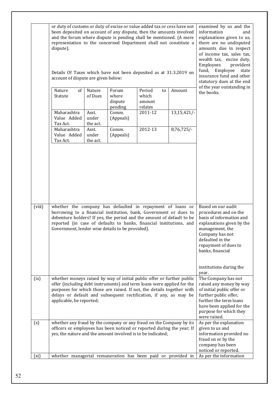|        | or duty of customs or duty of excise or value added tax or cess have not<br>been deposited on account of any dispute, then the amounts involved<br>and the forum where dispute is pending shall be mentioned. (A mere<br>representation to the concerned Department shall not constitute a<br>dispute).<br>Details Of Taxes which have not been deposited as at 31.3.2019 on<br>account of dispute are given below: |                            |                                      |                                            |            | examined by us and the<br>information<br>and<br>explanations given to us,<br>there are no undisputed<br>amounts due in respect<br>of income tax, sales tax,<br>wealth tax, excise duty,<br>Employees<br>provident<br>Employee<br>fund,<br>state<br>insurance fund and other<br>statutory dues at the end |
|--------|---------------------------------------------------------------------------------------------------------------------------------------------------------------------------------------------------------------------------------------------------------------------------------------------------------------------------------------------------------------------------------------------------------------------|----------------------------|--------------------------------------|--------------------------------------------|------------|----------------------------------------------------------------------------------------------------------------------------------------------------------------------------------------------------------------------------------------------------------------------------------------------------------|
|        | Nature<br>of<br>Statute                                                                                                                                                                                                                                                                                                                                                                                             | Nature<br>of Dues          | Forum<br>where<br>dispute<br>pending | Period<br>to<br>which<br>amount<br>relates | Amount     | of the year outstanding in<br>the books.                                                                                                                                                                                                                                                                 |
|        | Maharashtra<br>Value Added<br>Tax Act.                                                                                                                                                                                                                                                                                                                                                                              | Asst.<br>under<br>the act. | Comm.<br>(Appeals)                   | 2011-12                                    | 13,15,421/ |                                                                                                                                                                                                                                                                                                          |
|        | Maharashtra<br>Value Added<br>Tax Act.                                                                                                                                                                                                                                                                                                                                                                              | Asst.<br>under<br>the act. | Comm.<br>(Appeals)                   | 2012-13                                    | 8,76,725/  |                                                                                                                                                                                                                                                                                                          |
|        |                                                                                                                                                                                                                                                                                                                                                                                                                     |                            |                                      |                                            |            |                                                                                                                                                                                                                                                                                                          |
| (viii) | whether the company has defaulted in repayment of loans or<br>borrowing to a financial institution, bank, Government or dues to<br>debenture holders? If yes, the period and the amount of default to be<br>reported (in case of defaults to banks, financial institutions, and<br>Government, lender wise details to be provided).                                                                                 |                            |                                      |                                            |            | Based on our audit<br>procedures and on the<br>basis of information and<br>explanations given by the<br>management, the<br>Company has not<br>defaulted in the<br>repayment of dues to<br>banks, financial                                                                                               |
|        |                                                                                                                                                                                                                                                                                                                                                                                                                     |                            |                                      |                                            |            | institutions during the<br>year.                                                                                                                                                                                                                                                                         |
| (ix)   | whether moneys raised by way of initial public offer or further public<br>offer (including debt instruments) and term loans were applied for the<br>purposes for which those are raised. If not, the details together with<br>delays or default and subsequent rectification, if any, as may be<br>applicable, be reported;                                                                                         |                            |                                      |                                            |            | The Company has not<br>raised any money by way<br>of initial public offer or<br>further public offer,<br>further the term loans<br>have been applied for the<br>purpose for which they<br>were raised.                                                                                                   |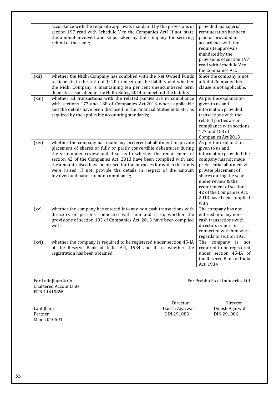|        | accordance with the requisite approvals mandated by the provisions of<br>section 197 read with Schedule V to the Companies Act? If not, state<br>the amount involved and steps taken by the company for securing<br>refund of the same;                                                                                                                                                                                                                                      | provided managerial<br>remuneration has been<br>paid or provided in<br>accordance with the<br>requisite approvals<br>mandated by the<br>provisions of section 197<br>read with Schedule V to<br>the Companies Act.                                                                         |
|--------|------------------------------------------------------------------------------------------------------------------------------------------------------------------------------------------------------------------------------------------------------------------------------------------------------------------------------------------------------------------------------------------------------------------------------------------------------------------------------|--------------------------------------------------------------------------------------------------------------------------------------------------------------------------------------------------------------------------------------------------------------------------------------------|
| (xii)  | whether the Nidhi Company has complied with the Net Owned Funds<br>to Deposits in the ratio of 1: 20 to meet out the liability and whether<br>the Nidhi Company is maintaining ten per cent unencumbered term<br>deposits as specified in the Nidhi Rules, 2014 to meet out the liability;                                                                                                                                                                                   | Since the company is not<br>a Nidhi Company this<br>clause is not applicable.                                                                                                                                                                                                              |
| (xiii) | whether all transactions with the related parties are in compliance<br>with sections 177 and 188 of Companies Act, 2013 where applicable<br>and the details have been disclosed in the Financial Statements etc., as<br>required by the applicable accounting standards;                                                                                                                                                                                                     | As per the explanation<br>given to us and<br>information provided<br>transactions with the<br>related parties are in<br>compliance with sections<br>177 and 188 of<br>Companies Act, 2013                                                                                                  |
| (xiv)  | whether the company has made any preferential allotment or private<br>placement of shares or fully or partly convertible debentures during<br>the year under review and if so, as to whether the requirement of<br>section 42 of the Companies Act, 2013 have been complied with and<br>the amount raised have been used for the purposes for which the funds<br>were raised. If not, provide the details in respect of the amount<br>involved and nature of non-compliance; | As per the explanation<br>given to us and<br>information provided the<br>company has not made<br>preferential allotment &<br>private placement of<br>shares during the year<br>under review & the<br>requirement of section<br>42 of the Companies Act,<br>2013 have been complied<br>with |
| (xv)   | whether the company has entered into any non-cash transactions with<br>directors or persons connected with him and if so, whether the<br>provisions of section 192 of Companies Act, 2013 have been complied<br>with;                                                                                                                                                                                                                                                        | The company has not<br>entered into any non-<br>cash transactions with<br>directors or persons<br>connected with him with<br>regards to section 192.                                                                                                                                       |
| (xvi)  | whether the company is required to be registered under section 45-IA<br>of the Reserve Bank of India Act, 1934 and if so, whether the<br>registration has been obtained.                                                                                                                                                                                                                                                                                                     | The<br>company is not<br>required to be registered<br>under section 45-IA of<br>the Reserve Bank of India<br>Act, 1934                                                                                                                                                                     |

Chartered Accountants FRN 114158W

For Lalit Jham & Co. **For Prabhu Steel Industries Ltd** 

M.no : 040501

Lalit Jham Harish Agarwal Dinesh Agarwal

Director **Director**<br>Harish Agarwal **Dinesh Agarwa** DIN 291086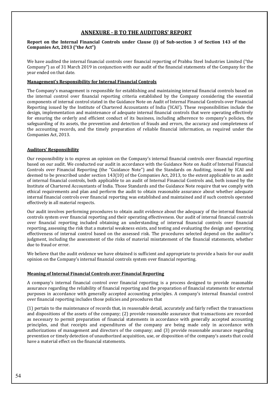# **ANNEXURE - B TO THE AUDITORS' REPORT**

# **Report on the Internal Financial Controls under Clause (i) of Sub-section 3 of Section 143 of the Companies Act, 2013 ("the Act")**

We have audited the internal financial controls over financial reporting of Prabhu Steel Industries Limited ("the Company") as of 31 March 2019 in conjunction with our audit of the financial statements of the Company for the year ended on that date.

### **Management's Responsibility for Internal Financial Controls**

The Company's management is responsible for establishing and maintaining internal financial controls based on the internal control over financial reporting criteria established by the Company considering the essential components of internal control stated in the Guidance Note on Audit of Internal Financial Controls over Financial Reporting issued by the Institute of Chartered Accountants of India ('ICAI'). These responsibilities include the design, implementation and maintenance of adequate internal financial controls that were operating effectively for ensuring the orderly and efficient conduct of its business, including adherence to company's policies, the safeguarding of its assets, the prevention and detection of frauds and errors, the accuracy and completeness of the accounting records, and the timely preparation of reliable financial information, as required under the Companies Act, 2013.

# **Auditors' Responsibility**

Our responsibility is to express an opinion on the Company's internal financial controls over financial reporting based on our audit. We conducted our audit in accordance with the Guidance Note on Audit of Internal Financial Controls over Financial Reporting (the "Guidance Note") and the Standards on Auditing, issued by ICAI and deemed to be prescribed under section 143(10) of the Companies Act, 2013, to the extent applicable to an audit of internal financial controls, both applicable to an audit of Internal Financial Controls and, both issued by the Institute of Chartered Accountants of India. Those Standards and the Guidance Note require that we comply with ethical requirements and plan and perform the audit to obtain reasonable assurance about whether adequate internal financial controls over financial reporting was established and maintained and if such controls operated effectively in all material respects.

Our audit involves performing procedures to obtain audit evidence about the adequacy of the internal financial controls system over financial reporting and their operating effectiveness. Our audit of internal financial controls over financial reporting included obtaining an understanding of internal financial controls over financial reporting, assessing the risk that a material weakness exists, and testing and evaluating the design and operating effectiveness of internal control based on the assessed risk. The procedures selected depend on the auditor's judgment, including the assessment of the risks of material misstatement of the financial statements, whether due to fraud or error.

We believe that the audit evidence we have obtained is sufficient and appropriate to provide a basis for our audit opinion on the Company's internal financial controls system over financial reporting.

# **Meaning of Internal Financial Controls over Financial Reporting**

A company's internal financial control over financial reporting is a process designed to provide reasonable assurance regarding the reliability of financial reporting and the preparation of financial statements for external purposes in accordance with generally accepted accounting principles. A company's internal financial control over financial reporting includes those policies and procedures that

(1) pertain to the maintenance of records that, in reasonable detail, accurately and fairly reflect the transactions and dispositions of the assets of the company; (2) provide reasonable assurance that transactions are recorded as necessary to permit preparation of financial statements in accordance with generally accepted accounting principles, and that receipts and expenditures of the company are being made only in accordance with authorizations of management and directors of the company; and (3) provide reasonable assurance regarding prevention or timely detection of unauthorized acquisition, use, or disposition of the company's assets that could have a material effect on the financial statements.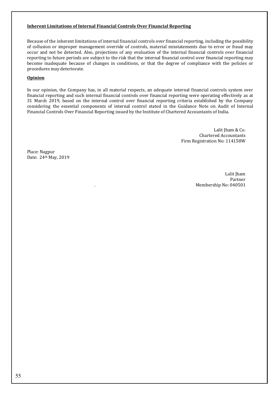# **Inherent Limitations of Internal Financial Controls Over Financial Reporting**

Because of the inherent limitations of internal financial controls over financial reporting, including the possibility of collusion or improper management override of controls, material misstatements due to error or fraud may occur and not be detected. Also, projections of any evaluation of the internal financial controls over financial reporting to future periods are subject to the risk that the internal financial control over financial reporting may become inadequate because of changes in conditions, or that the degree of compliance with the policies or procedures may deteriorate.

# **Opinion**

In our opinion, the Company has, in all material respects, an adequate internal financial controls system over financial reporting and such internal financial controls over financial reporting were operating effectively as at 31 March 2019, based on the internal control over financial reporting criteria established by the Company considering the essential components of internal control stated in the Guidance Note on Audit of Internal Financial Controls Over Financial Reporting issued by the Institute of Chartered Accountants of India.

> Lalit Jham & Co. Chartered Accountants Firm Registration No: 114158W

Place: Nagpur Date: 24th May, 2019

> Lalit Jham Partner . Membership No: 040501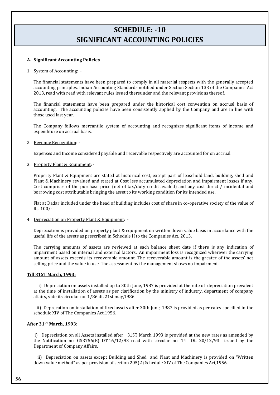# **SCHEDULE: -10 SIGNIFICANT ACCOUNTING POLICIES**

# **A. Significant Accounting Policies**

#### 1. System of Accounting: -

The financial statements have been prepared to comply in all material respects with the generally accepted accounting principles, Indian Accounting Standards notified under Section Section 133 of the Companies Act 2013, read with read with relevant rules issued thereunder and the relevant provisions thereof.

The financial statements have been prepared under the historical cost convention on accrual basis of accounting. The accounting policies have been consistently applied by the Company and are in line with those used last year.

The Company follows mercantile system of accounting and recognizes significant items of income and expenditure on accrual basis.

2. Revenue Recognition: -

Expenses and Income considered payable and receivable respectively are accounted for on accrual.

3. Property Plant & Equipment: -

Property Plant & Equipment are stated at historical cost, except part of leasehold land, building, shed and Plant & Machinery revalued and stated at Cost less accumulated depreciation and impairment losses if any. Cost comprises of the purchase price (net of tax/duty credit availed) and any cost direct / incidental and borrowing cost attributable bringing the asset to its working condition for its intended use.

Flat at Dadar included under the head of building includes cost of share in co-operative society of the value of Rs. 100/-

4. Depreciation on Property Plant & Equipment: -

Depreciation is provided on property plant & equipment on written down value basis in accordance with the useful life of the assets as prescribed in Schedule II to the Companies Act, 2013.

The carrying amounts of assets are reviewed at each balance sheet date if there is any indication of impairment based on internal and external factors. An impairment loss is recognized wherever the carrying amount of assets exceeds its recoverable amount. The recoverable amount is the greater of the assets' net selling price and the value in use. The assessment by the management shows no impairment.

### **Till 31ST March, 1993:**

 i) Depreciation on assets installed up to 30th June, 1987 is provided at the rate of depreciation prevalent at the time of installation of assets as per clarification by the ministry of industry, department of company affairs, vide its circular no. 1/86 dt. 21st may,1986.

 ii) Deprecation on installation of fixed assets after 30th June, 1987 is provided as per rates specified in the schedule XIV of The Companies Act,1956.

#### **After 31ST March, 1993**:

i) Depreciation on all Assets installed after 31ST March 1993 is provided at the new rates as amended by the Notification no. GSR756(E) DT.16/12/93 read with circular no. 14 Dt. 20/12/93 issued by the Department of Company Affairs.

 ii) Depreciation on assets except Building and Shed and Plant and Machinery is provided on "Written down value method" as per provision of section 205(2) Schedule XIV of The Companies Act,1956.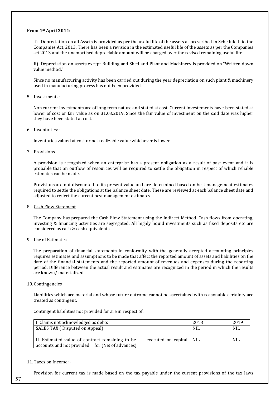#### **From 1st April 2014:**

i) Depreciation on all Assets is provided as per the useful life of the assets as prescribed in Schedule II to the Companies Act, 2013. There has been a revision in the estimated useful life of the assets as per the Companies act 2013 and the unamortised depreciable amount will be charged over the revised remaining useful life.

ii) Depreciation on assets except Building and Shed and Plant and Machinery is provided on "Written down value method."

Since no manufacturing activity has been carried out during the year depreciation on such plant & machinery used in manufacturing process has not been provided.

#### 5. Investments: -

Non current Investments are of long term nature and stated at cost. Current investements have been stated at lower of cost or fair value as on 31.03.2019. Since the fair value of investment on the said date was higher they have been stated at cost.

#### 6. Inventories: -

Inventories valued at cost or net realizable value whichever is lower.

#### 7. Provisions

A provision is recognized when an enterprise has a present obligation as a result of past event and it is probable that an outflow of resources will be required to settle the obligation in respect of which reliable estimates can be made.

Provisions are not discounted to its present value and are determined based on best management estimates required to settle the obligations at the balance sheet date. These are reviewed at each balance sheet date and adjusted to reflect the current best management estimates.

#### 8. Cash Flow Statement

The Company has prepared the Cash Flow Statement using the Indirect Method. Cash flows from operating, investing & financing activities are segregated. All highly liquid investments such as fixed deposits etc are considered as cash & cash equivalents.

#### 9. Use of Estimates

The preparation of financial statements in conformity with the generally accepted accounting principles requires estimates and assumptions to be made that affect the reported amount of assets and liabilities on the date of the financial statements and the reported amount of revenues and expenses during the reporting period. Difference between the actual result and estimates are recognized in the period in which the results are known/ materialized.

#### 10. Contingencies

Liabilities which are material and whose future outcome cannot be ascertained with reasonable certainty are treated as contingent.

Contingent liabilities not provided for are in respect of:

| I. Claims not acknowledged as debts                                                                                             | 2018       | 2019 |
|---------------------------------------------------------------------------------------------------------------------------------|------------|------|
| SALES TAX (Disputed on Appeal)                                                                                                  | <b>NIL</b> | NIL  |
|                                                                                                                                 |            |      |
| II. Estimated value of contract remaining to be<br>executed on capital   NIL<br>accounts and not provided for (Net of advances) |            | NIL  |
|                                                                                                                                 |            |      |

#### 11.Taxes on Income: -

Provision for current tax is made based on the tax payable under the current provisions of the tax laws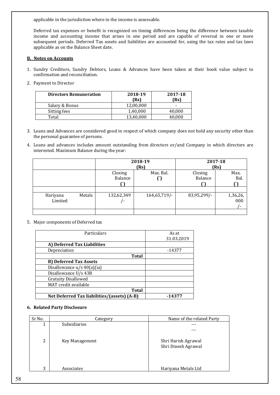applicable in the jurisdiction where in the income is assessable.

Deferred tax expenses or benefit is recognized on timing differences being the difference between taxable income and accounting income that arises in one period and are capable of reversal in one or more subsequent periods. Deferred Tax assets and liabilities are accounted for, using the tax rates and tax laws applicable as on the Balance Sheet date.

# **B. Notes on Accounts**

- 1. Sundry Creditors, Sundry Debtors, Loans & Advances have been taken at their book value subject to confirmation and reconciliation.
- 2. Payment to Director

| <b>Directors Remuneration</b> | 2018-19<br>(Rs) | 2017-18<br>(Rs) |
|-------------------------------|-----------------|-----------------|
| Salary & Bonus                | 12,00,000       | -               |
| Sitting fees                  | 1,40,000        | 40.000          |
| Total                         | 13.40.000       | 40.000          |

- 3. Loans and Advances are considered good in respect of which company does not hold any security other than the personal guarantee of persons.
- 4. Loans and advances includes amount outstanding from directors or/and Company in which directors are interested. Maximum Balance during the year:

|                     |        | 2018-19<br>(Rs)    |                |                    | 2017-18<br>(Rs) |
|---------------------|--------|--------------------|----------------|--------------------|-----------------|
|                     |        | Closing<br>Balance | Max. Bal.<br>U | Closing<br>Balance | Max.<br>Bal.    |
| Hariyana<br>Limited | Metals | 132,62,349         | 164,65,719/    | 83,95,299/-        | $1,36,26,$ 000  |
|                     |        |                    |                |                    |                 |

#### 5. Major components of Deferred tax

| Particulars                                 | As at      |
|---------------------------------------------|------------|
|                                             | 31.03.2019 |
| A) Deferred Tax Liabilities                 |            |
| Depreciation                                | $-14377$   |
| <b>Total</b>                                |            |
| <b>B) Deferred Tax Assets</b>               |            |
| Disallowance $u/s$ 40(a)(ia)                |            |
| Disallowance U/s 43B                        |            |
| <b>Gratuity Disallowed</b>                  |            |
| MAT credit available                        |            |
| Total                                       |            |
| Net Deferred Tax liabilities/(assets) (A-B) | -14377     |

#### **6. Related Party Disclosure**

| Sr No. | Category       | Name of the related Party |
|--------|----------------|---------------------------|
| 1      | Subsidiaries   |                           |
|        |                |                           |
|        |                |                           |
| 2      | Key Management | Shri Harish Agrawal       |
|        |                | Shri Dinesh Agrawal       |
|        |                |                           |
|        |                |                           |
| 3      | Associates     | Hariyana Metals Ltd       |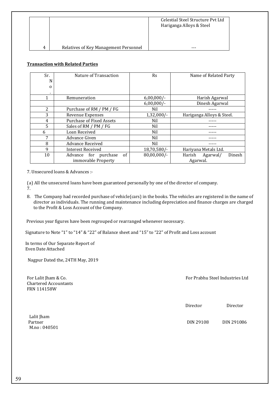|   |                                       | Celestial Steel Structure Pyt Ltd<br>Hariganga Alloys & Steel |
|---|---------------------------------------|---------------------------------------------------------------|
| 4 | Relatives of Key Management Personnel | ---                                                           |

# **Transaction with Related Parties**

| Sr.<br>N       | Nature of Transaction                 | Rs             | Name of Related Party        |
|----------------|---------------------------------------|----------------|------------------------------|
| $\Omega$       |                                       |                |                              |
| ٠.             |                                       |                |                              |
| 1              | Remuneration                          | $6,00,000/-$   | Harish Agarwal               |
|                |                                       | $6,00,000/-$   | Dinesh Agarwal               |
| $\overline{2}$ | Purchase of RM / PM / FG              | Nil            |                              |
| 3              | Revenue Expenses                      | $1,32,000/-$   | Hariganga Alloys & Steel.    |
| 4              | <b>Purchase of Fixed Assets</b>       | Nil            |                              |
| 5              | Sales of RM / PM / FG                 | Nil            |                              |
| 6              | Loan Received                         | Nil            |                              |
| 7              | Advance Given                         | Nil            |                              |
| 8              | <b>Advance Received</b>               | Nil            |                              |
| 9              | <b>Interest Received</b>              | $18,70,580/-$  | Hariyana Metals Ltd.         |
| 10             | $\sigma$ f<br>for purchase<br>Advance | $80,00,000/$ - | Dinesh<br>Agarwal/<br>Harish |
|                | immovable Property                    |                | Agarwal.                     |

7. Unsecured loans & Advances :-

(a) All the unsecured loans have been guaranteed personally by one of the director of company. 7.

8. The Company had recorded purchase of vehicle(cars) in the books. The vehicles are registered in the name of director as individuals. The running and maintenance including depreciation and finance charges are charged to the Profit & Loss Account of the Company.

Previous year figures have been regrouped or rearranged whenever necessary.

Signature to Note "1" to "14" & "22" of Balance sheet and "15" to "22" of Profit and Loss account

In terms of Our Separate Report of Even Date Attached

Nagpur Dated the, 24TH May, 2019

Chartered Accountants FRN 114158W

For Lalit Jham & Co. **For Prabhu Steel Industries Ltd** For Prabhu Steel Industries Ltd

Director Director

Partner **DIN 291086** DIN 291086

Lalit Jham **Exercise Community Community** Community Community Community Community Community Community Community Community Community Community Community Community Community Community Community Community Community Community M.no : 040501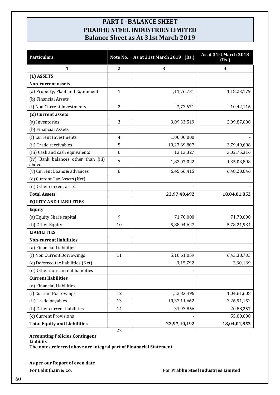# **PART I –BALANCE SHEET PRABHU STEEL INDUSTRIES LIMITED Balance Sheet as At 31st March 2019**

| <b>Particulars</b>                           | Note No.         | As at 31st March 2019 (Rs.) | As at 31st March 2018<br>(Rs.) |
|----------------------------------------------|------------------|-----------------------------|--------------------------------|
| $\mathbf{1}$                                 | $\boldsymbol{2}$ | 3                           | $\overline{\mathbf{4}}$        |
| (1) ASSETS                                   |                  |                             |                                |
| <b>Non-current assets</b>                    |                  |                             |                                |
| (a) Property, Plant and Equipment            | $\mathbf{1}$     | 1,11,76,731                 | 1,18,23,179                    |
| (b) Financial Assets                         |                  |                             |                                |
| (i) Non Current Investments                  | $\overline{2}$   | 7,73,671                    | 10,42,116                      |
| (2) Current assets                           |                  |                             |                                |
| (a) Inventories                              | 3                | 3,09,33,519                 | 2,09,87,000                    |
| (b) Financial Assets                         |                  |                             |                                |
| (i) Current Investments                      | $\overline{4}$   | 1,00,00,000                 |                                |
| (ii) Trade receivables                       | 5                | 10,27,69,807                | 3,79,49,698                    |
| (iii) Cash and cash equivalents              | 6                | 13,13,327                   | 3,02,75,316                    |
| (iv) Bank balances other than (iii)<br>above | 7                | 1,82,07,022                 | 1,35,03,898                    |
| (v) Current Loans & advances                 | 8                | 6,45,66,415                 | 6,48,20,646                    |
| (c) Current Tax Assets (Net)                 |                  |                             |                                |
| (d) Other current assets                     |                  |                             |                                |
| <b>Total Assets</b>                          |                  | 23,97,40,492                | 18,04,01,852                   |
| <b>EQUITY AND LIABILITIES</b>                |                  |                             |                                |
| <b>Equity</b>                                |                  |                             |                                |
| (a) Equity Share capital                     | 9                | 71,70,000                   | 71,70,000                      |
| (b) Other Equity                             | 10               | 5,88,04,627                 | 5,78,21,934                    |
| <b>LIABILITIES</b>                           |                  |                             |                                |
| <b>Non-current liabilities</b>               |                  |                             |                                |
| (a) Financial Liabilities                    |                  |                             |                                |
| (i) Non Current Borrowings                   | 11               | 5,16,61,059                 | 6,43,38,733                    |
| (c) Deferred tax liabilities (Net)           |                  | 3,15,792                    | 3,30,169                       |
| (d) Other non-current liabilities            |                  |                             |                                |
| <b>Current liabilities</b>                   |                  |                             |                                |
| (a) Financial Liabilities                    |                  |                             |                                |
| (i) Current Borrowings                       | 12               | 1,52,83,496                 | 1,04,61,608                    |
| (ii) Trade payables                          | 13               | 10,33,11,662                | 3,26,91,152                    |
| (b) Other current liabilities                | 14               | 31,93,856                   | 20,88,257                      |
| (c) Current Provisions                       |                  |                             | 55,00,000                      |
| <b>Total Equity and Liabilities</b>          |                  | 23,97,40,492                | 18,04,01,852                   |

**Accounting Policies,Contingent Liability The notes referred above are integral part of Finanacial Statement**

**As per our Report of even date**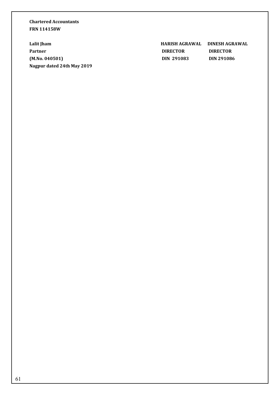# **Chartered Accountants FRN 114158W**

**Nagpur dated 24th May 2019**

**Lalit Jham HARISH AGRAWAL DINESH AGRAWAL Partner DIRECTOR DIRECTOR DIRECTOR (M.No. 040501) DIN 291083 DIN 291086**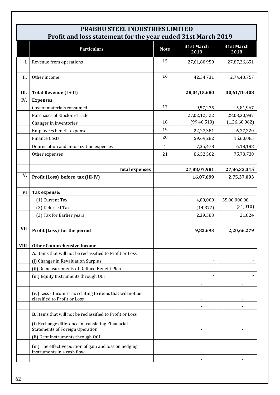|             | <b>PRABHU STEEL INDUSTRIES LIMITED</b><br>Profit and loss statement for the year ended 31st March 2019 |             |                    |                    |
|-------------|--------------------------------------------------------------------------------------------------------|-------------|--------------------|--------------------|
|             | <b>Particulars</b>                                                                                     | <b>Note</b> | 31st March<br>2019 | 31st March<br>2018 |
|             | Revenue from operations                                                                                | 15          | 27,61,80,950       | 27,87,26,651       |
|             |                                                                                                        |             |                    |                    |
| II.         | Other income                                                                                           | 16          | 42,34,731          | 2,74,43,757        |
| III.        | Total Revenue (I + II)                                                                                 |             | 28,04,15,680       | 30,61,70,408       |
| IV.         | <b>Expenses:</b>                                                                                       |             |                    |                    |
|             | Cost of materials consumed                                                                             | 17          | 9,57,275           | 5,81,967           |
|             | Purchases of Stock-in-Trade                                                                            |             | 27,02,12,522       | 28,03,30,987       |
|             | Changes in inventories                                                                                 | 18          | (99, 46, 519)      | (1,26,68,862)      |
|             | Employees benefit expenses                                                                             | 19          | 22,27,381          | 6,37,220           |
|             | <b>Finance Costs</b>                                                                                   | 20          | 59,69,282          | 15,60,085          |
|             | Depreciation and amortization expenses                                                                 | 1           | 7,35,478           | 6,18,188           |
|             | Other expenses                                                                                         | 21          | 86,52,562          | 75,73,730          |
|             |                                                                                                        |             |                    |                    |
|             | <b>Total expenses</b>                                                                                  |             | 27,88,07,981       | 27,86,33,315       |
| V.          | Profit (Loss) before tax (III-IV)                                                                      |             | 16,07,699          | 2,75,37,093        |
|             |                                                                                                        |             |                    |                    |
| VI          | Tax expense:                                                                                           |             |                    |                    |
|             | (1) Current Tax                                                                                        |             | 4,00,000           | 55,00,000.00       |
|             | (2) Deferred Tax                                                                                       |             | (14, 377)          | (51,010)           |
|             | (3) Tax for Earlier years                                                                              |             | 2,39,383           | 21,824             |
| <b>VII</b>  | Profit (Loss) for the period                                                                           |             | 9,82,693           | 2,20,66,279        |
| <b>VIII</b> | <b>Other Comprehensive Income</b>                                                                      |             |                    |                    |
|             | A. Items that will not be reclassified to Profit or Loss                                               |             |                    |                    |
|             | (i) Changes in Revaluation Surplus                                                                     |             |                    |                    |
|             | (ii) Remeasurements of Defined Benefit Plan                                                            |             |                    |                    |
|             | (iii) Equity Instruments through OCI                                                                   |             |                    |                    |
|             |                                                                                                        |             |                    |                    |
|             | (iv) Less - Income Tax relating to items that will not be<br>classified to Profit or Loss              |             |                    |                    |
|             |                                                                                                        |             |                    |                    |
|             | <b>B.</b> Items that will not be reclassified to Profit or Loss                                        |             |                    |                    |
|             | (i) Exchange difference in translating Finanacial<br><b>Statements of Foreign Operation</b>            |             |                    |                    |
|             | (ii) Debt Instruments through OCI                                                                      |             |                    |                    |
|             | (iii) The effective portion of gain and loss on hedging<br>instruments in a cash flow                  |             |                    |                    |
|             |                                                                                                        |             |                    |                    |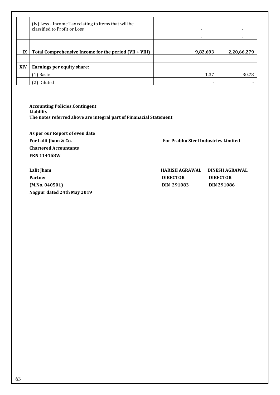|            | (iv) Less - Income Tax relating to items that will be<br>classified to Profit or Loss |          |             |
|------------|---------------------------------------------------------------------------------------|----------|-------------|
|            |                                                                                       |          |             |
| IX         | Total Comprehensive Income for the period (VII + VIII)                                | 9,82,693 | 2,20,66,279 |
|            |                                                                                       |          |             |
| <b>XIV</b> | Earnings per equity share:                                                            |          |             |
|            | [1] Basic                                                                             | 1.37     | 30.78       |
|            | Diluted<br>2)                                                                         |          |             |

**Accounting Policies,Contingent Liability The notes referred above are integral part of Finanacial Statement**

**As per our Report of even date Chartered Accountants FRN 114158W**

For Lalit Jham & Co. **For Prabhu Steel Industries Limited** 

**Lalit Jham HARISH AGRAWAL DINESH AGRAWAL** Partner **DIRECTOR DIRECTOR DIRECTOR (M.No. 040501) DIN 291083 DIN 291086 Nagpur dated 24th May 2019**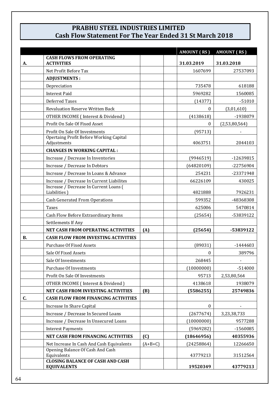# **PRABHU STEEL INDUSTRIES LIMITED Cash Flow Statement For The Year Ended 31 St March 2018**

|           |                                                                                                |           | <b>AMOUNT (RS)</b> | <b>AMOUNT (RS)</b> |
|-----------|------------------------------------------------------------------------------------------------|-----------|--------------------|--------------------|
| А.        | <b>CASH FLOWS FROM OPERATING</b><br><b>ACTIVITIES</b>                                          |           | 31.03.2019         | 31.03.2018         |
|           | Net Profit Before Tax                                                                          |           | 1607699            | 27537093           |
|           | <b>ADJUSTMENTS:</b>                                                                            |           |                    |                    |
|           | Depreciation                                                                                   |           | 735478             | 618188             |
|           | <b>Interest Paid</b>                                                                           |           | 5969282            | 1560085            |
|           | Deferred Taxes                                                                                 |           | (14377)            | $-51010$           |
|           | <b>Revaluation Reserve Written Back</b>                                                        |           | $\mathbf{0}$       | (3,01,610)         |
|           | OTHER INCOME (Interest & Dividend)                                                             |           | (4138618)          | -1938079           |
|           | Profit On Sale Of Fixed Asset                                                                  |           | $\theta$           | (2,53,80,564)      |
|           | Profit On Sale Of Investments<br><b>Opertaing Profit Before Working Capital</b><br>Adjustments |           | (95713)<br>4063751 | 2044103            |
|           | <b>CHANGES IN WORKING CAPITAL:</b>                                                             |           |                    |                    |
|           | Increase / Decrease In Inventories                                                             |           | (9946519)          | -12639815          |
|           | Increase / Decrease In Debtors                                                                 |           | (64820109)         | -22756904          |
|           | Increase / Decrease In Loans & Advance                                                         |           | 254231             | -23371948          |
|           | Increase / Decrease In Current Liabilites                                                      |           | 66226109           | 430025             |
|           | Increase / Decrease In Current Loans (<br>Liabilities)                                         |           | 4821888            | 7926231            |
|           | <b>Cash Generated From Operations</b>                                                          |           | 599352             | -48368308          |
|           | <b>Taxes</b>                                                                                   |           | 625006             | 5470814            |
|           | Cash Flow Before Extraordinary Items                                                           |           | (25654)            | -53839122          |
|           | Settlements If Any                                                                             |           |                    |                    |
|           | NET CASH FROM OPERATING ACTIVITIES                                                             | (A)       | (25654)            | -53839122          |
| <b>B.</b> | <b>CASH FLOW FROM INVESTING ACTIVITIES</b>                                                     |           |                    |                    |
|           | <b>Purchase Of Fixed Assets</b>                                                                |           | (89031)            | -1444603           |
|           | Sale Of Fixed Assets                                                                           |           | 0                  | 389796             |
|           | Sale Of Investments                                                                            |           | 268445             |                    |
|           | <b>Purchase Of Investments</b>                                                                 |           | (10000000)         | $-514000$          |
|           | Profit On Sale Of Investments                                                                  |           | 95713              | 2,53,80,564        |
|           | OTHER INCOME (Interest & Dividend)                                                             |           | 4138618            | 1938079            |
|           | NET CASH FROM INVESTING ACTIVITIES                                                             | (B)       | (5586255)          | 25749836           |
| C.        | <b>CASH FLOW FROM FINANCING ACTIVITIES</b>                                                     |           |                    |                    |
|           | Increase In Share Capital                                                                      |           | $\mathbf{0}$       |                    |
|           | Increase / Decrease In Secured Loans                                                           |           | (2677674)          | 3,23,38,733        |
|           | Increase / Decrease In Unsecured Loans                                                         |           | (10000000)         | 9577288            |
|           | <b>Interest Payments</b>                                                                       |           | (5969282)          | -1560085           |
|           | <b>NET CASH FROM FINANCING ACTIVITIES</b>                                                      | (C)       | (18646956)         | 40355936           |
|           | Net Increase In Cash And Cash Equivalents                                                      | $(A+B+C)$ | (24258864)         | 12266650           |
|           | Opening Balance Of Cash And Cash<br>Equivalents                                                |           | 43779213           | 31512564           |
|           | <b>CLOSING BALANCE OF CASH AND CASH</b><br><b>EQUIVALENTS</b>                                  |           | 19520349           | 43779213           |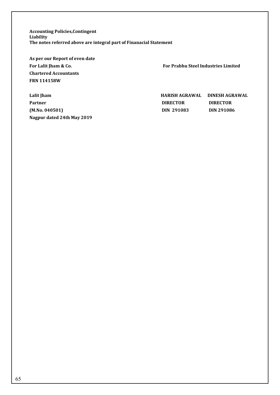**Accounting Policies,Contingent Liability The notes referred above are integral part of Finanacial Statement**

**As per our Report of even date Chartered Accountants FRN 114158W**

**Nagpur dated 24th May 2019**

For Lalit Jham & Co. **For Prabhu Steel Industries Limited** 

**Lalit Jham HARISH AGRAWAL DINESH AGRAWAL** Partner **DIRECTOR DIRECTOR DIRECTOR (M.No. 040501) DIN 291083 DIN 291086**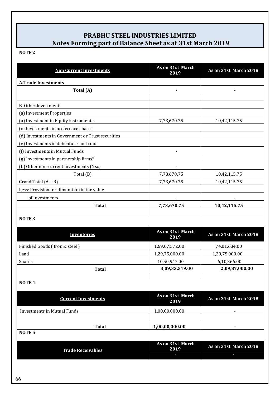# **PRABHU STEEL INDUSTRIES LIMITED Notes Forming part of Balance Sheet as at 31st March 2019**

# **NOTE 2**

| <b>Non Current Investments</b>                    | As on 31st March<br>2019 | As on 31st March 2018 |
|---------------------------------------------------|--------------------------|-----------------------|
| <b>A.Trade Investments</b>                        |                          |                       |
| Total (A)                                         |                          |                       |
|                                                   |                          |                       |
| <b>B.</b> Other Investments                       |                          |                       |
| (a) Investment Properties                         |                          |                       |
| (a) Investment in Equity instruments              | 7,73,670.75              | 10,42,115.75          |
| (c) Investments in preference shares              |                          |                       |
| (d) Investments in Government or Trust securities |                          |                       |
| (e) Investments in debentures or bonds            |                          |                       |
| (f) Investments in Mutual Funds                   |                          |                       |
| (g) Investments in partnership firms*             |                          |                       |
| (b) Other non-current investments (Nsc)           |                          |                       |
| Total (B)                                         | 7,73,670.75              | 10,42,115.75          |
| Grand Total $(A + B)$                             | 7,73,670.75              | 10,42,115.75          |
| Less: Provision for dimunition in the value       |                          |                       |
| of Investments                                    |                          |                       |
| <b>Total</b>                                      | 7,73,670.75              | 10,42,115.75          |
| <b>NOTE 3</b>                                     |                          |                       |

| <b>Inventories</b>            | As on 31st March<br>2019 | As on 31st March 2018 |
|-------------------------------|--------------------------|-----------------------|
| Finished Goods (Iron & steel) | 1,69,07,572.00           | 74,01,634.00          |
| Land                          | 1,29,75,000.00           | 1,29,75,000.00        |
| <b>Shares</b>                 | 10,50,947.00             | 6,10,366.00           |
| <b>Total</b>                  | 3,09,33,519.00           | 2,09,87,000.00        |
|                               |                          |                       |

# **NOTE 4**

| <b>Current Investments</b>        | As on 31st March<br>2019 | As on 31st March 2018 |
|-----------------------------------|--------------------------|-----------------------|
| Investments in Mutual Funds       | 1,00,00,000.00           |                       |
| <b>Total</b><br>NOTE <sub>5</sub> | 1,00,00,000.00           |                       |

| <b>Trade Receivables</b> | As on 31st March<br>2019 | As on 31st March 2018 |
|--------------------------|--------------------------|-----------------------|
|                          |                          |                       |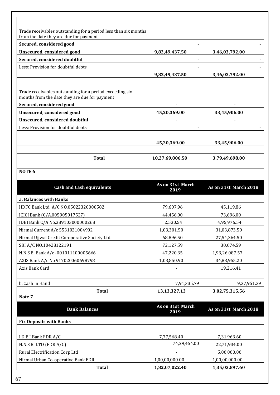| Trade receivables outstanding for a period less than six months<br>from the date they are due for payment |                 |                |
|-----------------------------------------------------------------------------------------------------------|-----------------|----------------|
| Secured, considered good                                                                                  |                 |                |
|                                                                                                           |                 |                |
| Unsecured, considered good                                                                                | 9,82,49,437.50  | 3,46,03,792.00 |
| Secured, considered doubtful                                                                              |                 |                |
| Less: Provision for doubtful debts                                                                        |                 |                |
|                                                                                                           | 9,82,49,437.50  | 3,46,03,792.00 |
|                                                                                                           |                 |                |
| Trade receivables outstanding for a period exceeding six<br>months from the date they are due for payment |                 |                |
| Secured, considered good                                                                                  |                 |                |
| Unsecured, considered good                                                                                | 45,20,369.00    | 33,45,906.00   |
| Unsecured, considered doubtful                                                                            |                 |                |
| Less: Provision for doubtful debts                                                                        |                 |                |
|                                                                                                           |                 |                |
|                                                                                                           | 45,20,369.00    | 33,45,906.00   |
|                                                                                                           |                 |                |
| <b>Total</b>                                                                                              | 10,27,69,806.50 | 3,79,49,698.00 |
|                                                                                                           |                 |                |

# **NOTE 6**

 $\overline{\phantom{a}}$ 

| <b>Cash and Cash equivalents</b>               | As on 31st March<br>2019 | As on 31st March 2018 |
|------------------------------------------------|--------------------------|-----------------------|
| a. Balances with Banks                         |                          |                       |
| HDFC Bank Ltd. A/C NO.05022320000582           | 79,607.96                | 45,119.86             |
| ICICI Bank (C/A.005905017527)                  | 44,456.00                | 73,696.00             |
| IDBI Bank C/A No.389103000000268               | 2,530.54                 | 4,95,976.54           |
| Nirmal Current A/c 5531021004902               | 1,03,301.50              | 31,03,873.50          |
| Nirmal Ujjwal Credit Co-operative Society Ltd. | 68,896.50                | 27,54,364.50          |
| SBI A/C NO.10428122191                         | 72,127.59                | 30,074.59             |
| N.N.S.B. Bank A/c -001011100005666             | 47,220.35                | 1,93,26,087.57        |
| AXIS Bank A/c No 917020060698798               | 1,03,850.90              | 34,88,955.20          |
| Axis Bank Card                                 |                          | 19,216.41             |
|                                                |                          |                       |
| b. Cash In Hand                                | 7,91,335.79              | 9,37,951.39           |
| <b>Total</b>                                   | 13, 13, 327. 13          | 3,02,75,315.56        |
| Note 7                                         |                          |                       |
| <b>Bank Balances</b>                           | As on 31st March<br>2019 | As on 31st March 2018 |
| <b>Fix Deposits with Banks</b>                 |                          |                       |
|                                                |                          |                       |
| I.D.B.I.Bank FDR A/C                           | 7,77,568.40              | 7,31,963.60           |
| N.N.S.B. LTD (FDR A/C)                         | 74,29,454.00             | 22,71,934.00          |
| Rural Electrification Corp Ltd                 |                          | 5,00,000.00           |
| Nirmal Urban Co-operative Bank FDR             | 1,00,00,000.00           | 1,00,00,000.00        |
| <b>Total</b>                                   | 1,82,07,022.40           | 1,35,03,897.60        |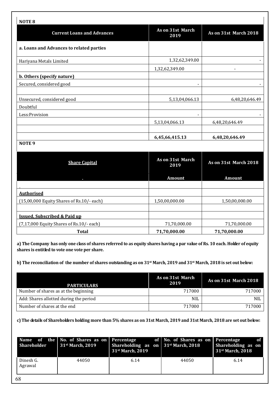| <b>NOTE 8</b>                             |                          |                       |
|-------------------------------------------|--------------------------|-----------------------|
| <b>Current Loans and Advances</b>         | As on 31st March<br>2019 | As on 31st March 2018 |
| a. Loans and Advances to related parties  |                          |                       |
| Hariyana Metals Limited                   | 1,32,62,349.00           |                       |
|                                           | 1,32,62,349.00           |                       |
| b. Others (specify nature)                |                          |                       |
| Secured, considered good                  |                          |                       |
| Unsecured, considered good                | 5,13,04,066.13           | 6,48,20,646.49        |
| Doubtful                                  |                          |                       |
| Less: Provision                           |                          |                       |
|                                           | 5,13,04,066.13           | 6,48,20,646.49        |
|                                           |                          |                       |
| NOTE <sub>9</sub>                         | 6,45,66,415.13           | 6,48,20,646.49        |
|                                           |                          |                       |
| <b>Share Capital</b>                      | As on 31st March<br>2019 | As on 31st March 2018 |
|                                           | <b>Amount</b>            | <b>Amount</b>         |
|                                           |                          |                       |
| <b>Authorised</b>                         |                          |                       |
| (15,00,000 Equity Shares of Rs.10/- each) | 1,50,00,000.00           | 1,50,00,000.00        |
|                                           |                          |                       |
| <b>Issued, Subscribed &amp; Paid up</b>   |                          |                       |
| (7,17,000 Equity Shares of Rs.10/- each)  | 71,70,000.00             | 71,70,000.00          |
| <b>Total</b>                              | 71,70,000.00             | 71,70,000.00          |

**a) The Company has only one class of shares referred to as equity shares having a par value of Rs. 10 each. Holder of equity shares is entitled to vote one vote per share.**

**b) The reconciliation of the number of shares outstanding as on 31st March, 2019 and 31st March, 2018 is set out below:**

| <b>PARTICULARS</b>                     | As on 31st March<br>2019 | As on 31st March 2018 |
|----------------------------------------|--------------------------|-----------------------|
| Number of shares as at the beginning   | 717000                   | 717000                |
| Add: Shares allotted during the period | <b>NIL</b>               | <b>NIL</b>            |
| Number of shares at the end            | 717000                   | 717000                |

**c) The details of Shareholders holding more than 5% shares as on 31st March, 2019 and 31st March, 2018 are set out below:**

| <b>Shareholder</b>   | Name of the No. of Shares as on Percentage<br>31 <sup>st</sup> March, 2019 | <b>Shareholding as on 31st March, 2018</b><br>31 <sup>st</sup> March, 2019 | of No. of Shares as on Percentage | of<br>Shareholding as on<br>31 <sup>st</sup> March, 2018 |
|----------------------|----------------------------------------------------------------------------|----------------------------------------------------------------------------|-----------------------------------|----------------------------------------------------------|
| Dinesh G.<br>Agrawal | 44050                                                                      | 6.14                                                                       | 44050                             | 6.14                                                     |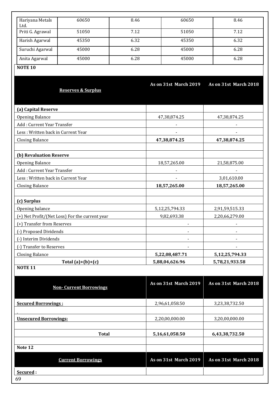| Hariyana Metals<br>Ltd.            | 60650                                          | 8.46           | 60650                 | 8.46                  |  |
|------------------------------------|------------------------------------------------|----------------|-----------------------|-----------------------|--|
| Priti G. Agrawal                   | 51050                                          | 7.12           | 51050                 | 7.12                  |  |
| Harish Agarwal                     | 45350                                          | 6.32           | 45350                 | 6.32                  |  |
| Suruchi Agarwal                    | 45000                                          | 6.28           | 45000                 | 6.28                  |  |
| Anita Agarwal                      | 45000                                          | 6.28           | 45000                 | 6.28                  |  |
| <b>NOTE 10</b>                     |                                                |                |                       |                       |  |
|                                    |                                                |                |                       |                       |  |
|                                    |                                                |                | As on 31st March 2019 | As on 31st March 2018 |  |
|                                    | <b>Reserves &amp; Surplus</b>                  |                |                       |                       |  |
|                                    |                                                |                |                       |                       |  |
| (a) Capital Reserve                |                                                |                |                       |                       |  |
| <b>Opening Balance</b>             |                                                |                | 47,38,874.25          | 47,38,874.25          |  |
| Add: Current Year Transfer         |                                                |                |                       |                       |  |
| Less: Written back in Current Year |                                                |                | $\blacksquare$        | $\blacksquare$        |  |
| <b>Closing Balance</b>             |                                                |                | 47,38,874.25          | 47,38,874.25          |  |
|                                    |                                                |                |                       |                       |  |
| (b) Revaluation Reserve            |                                                |                |                       |                       |  |
| <b>Opening Balance</b>             |                                                |                | 18,57,265.00          | 21,58,875.00          |  |
| Add: Current Year Transfer         |                                                |                |                       |                       |  |
| Less: Written back in Current Year |                                                |                |                       | 3,01,610.00           |  |
| <b>Closing Balance</b>             |                                                |                | 18,57,265.00          | 18,57,265.00          |  |
|                                    |                                                |                |                       |                       |  |
| (c) Surplus                        |                                                |                |                       |                       |  |
| Opening balance                    |                                                |                | 5,12,25,794.33        | 2,91,59,515.33        |  |
|                                    | (+) Net Profit/(Net Loss) For the current year |                | 9,82,693.38           | 2,20,66,279.00        |  |
| (+) Transfer from Reserves         |                                                |                |                       |                       |  |
| (-) Proposed Dividends             |                                                |                |                       |                       |  |
| (-) Interim Dividends              |                                                |                |                       |                       |  |
| (-) Transfer to Reserves           |                                                |                |                       |                       |  |
| <b>Closing Balance</b>             |                                                |                | 5,22,08,487.71        | 5, 12, 25, 794. 33    |  |
| <b>NOTE 11</b>                     | Total $(a)+(b)+(c)$                            |                | 5,88,04,626.96        | 5,78,21,933.58        |  |
|                                    |                                                |                |                       |                       |  |
|                                    |                                                |                | As on 31st March 2019 | As on 31st March 2018 |  |
|                                    | <b>Non-Current Borrowings</b>                  |                |                       |                       |  |
|                                    |                                                |                |                       |                       |  |
| <b>Secured Borrowings:</b>         |                                                |                | 2,96,61,058.50        | 3,23,38,732.50        |  |
|                                    |                                                |                |                       |                       |  |
| <b>Unsecured Borrowings:</b>       |                                                | 2,20,00,000.00 | 3,20,00,000.00        |                       |  |
|                                    |                                                |                |                       |                       |  |
| <b>Total</b>                       |                                                | 5,16,61,058.50 | 6,43,38,732.50        |                       |  |
| Note 12                            |                                                |                |                       |                       |  |
|                                    |                                                |                |                       |                       |  |
|                                    | <b>Current Borrowings</b>                      |                | As on 31st March 2019 | As on 31st March 2018 |  |
| Secured:                           |                                                |                |                       |                       |  |
| 69                                 |                                                |                |                       |                       |  |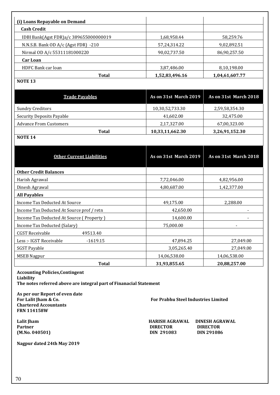| (i) Loans Repayable on Demand             |                       |                       |
|-------------------------------------------|-----------------------|-----------------------|
| <b>Cash Credit</b>                        |                       |                       |
| IDBI Bank(Agst FDR)a/c 389655000000019    | 1,68,958.44           | 58,259.76             |
| N.N.S.B. Bank OD A/c (Agst FDR) -210      | 57,24,314.22          | 9,02,892.51           |
| Nirmal OD A/c 55311181000220              | 90,02,737.50          | 86,90,257.50          |
| <b>Car Loan</b>                           |                       |                       |
| HDFC Bank car loan                        | 3,87,486.00           | 8,10,198.00           |
| <b>Total</b>                              | 1,52,83,496.16        | 1,04,61,607.77        |
| <b>NOTE 13</b>                            |                       |                       |
| <b>Trade Pavables</b>                     | As on 31st March 2019 | As on 31st March 2018 |
| <b>Sundry Creditors</b>                   | 10,30,52,733.30       | 2,59,58,354.30        |
| <b>Security Deposits Payable</b>          | 41,602.00             | 32,475.00             |
| <b>Advance From Customers</b>             | 2,17,327.00           | 67,00,323.00          |
| <b>Total</b>                              | 10,33,11,662.30       | 3,26,91,152.30        |
| <b>NOTE 14</b>                            |                       |                       |
| <b>Other Current Liabilities</b>          | As on 31st March 2019 | As on 31st March 2018 |
| <b>Other Credit Balances</b>              |                       |                       |
| Harish Agrawal                            | 7,72,046.00           | 4,82,956.00           |
| Dinesh Agrawal                            | 4,80,687.00           | 1,42,377.00           |
| <b>All Payables</b>                       |                       |                       |
| Income Tax Deducted At Source             | 49,175.00             | 2,288.00              |
| Income Tax Deducted At Source prof / retn | 42,650.00             |                       |
| Income Tax Deducted At Source (Property)  | 14,600.00             |                       |
| Income Tax Deducted (Salary)              | 75,000.00             |                       |
| 49513.40<br><b>CGST Receivable</b>        |                       |                       |

Less :- IGST Receivable -1619.15 47,894.25 27,049.00 SGST Payable 27,049.00 MSEB Nagpur 14,06,538.00 14,06,538.00 14,06,538.00

| Liability                                                          |              |
|--------------------------------------------------------------------|--------------|
| The notes referred above are integral part of Finanacial Statement |              |
|                                                                    |              |
| As per our Report of even date                                     |              |
| For Lalit Jham & Co.                                               | <b>For F</b> |
|                                                                    |              |

**Chartered Accountants FRN 114158W**

**Accounting Policies,Contingent** 

**Nagpur dated 24th May 2019**

For Prabhu Steel Industries Limited

 **Total 31,93,855.65 20,88,257.00** 

**Lalit Jham HARISH AGRAWAL DINESH AGRAWAL** Partner DIRECTOR DIRECTOR DIRECTOR DIRECTOR DIRECTOR DIRECTOR DIRECTOR DIRECTOR DIRECTOR DIN 291086 **(M.No. 040501) DIN 291083 DIN 291086**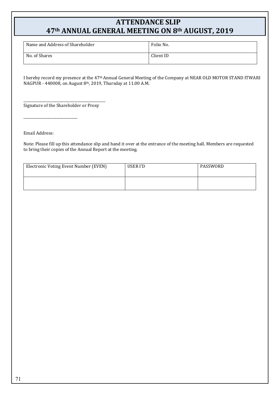# **ATTENDANCE SLIP 47th ANNUAL GENERAL MEETING ON 8th AUGUST, 2019**

| Name and Address of Shareholder | Folio No. |
|---------------------------------|-----------|
| No. of Shares                   | Client ID |

I hereby record my presence at the 47th Annual General Meeting of the Company at NEAR OLD MOTOR STAND ITWARI NAGPUR - 440008, on August 8th, 2019, Thursday at 11.00 A.M.

\_\_\_\_\_\_\_\_\_\_\_\_\_\_\_\_\_\_\_\_\_\_\_\_\_\_\_\_\_\_\_\_\_\_\_\_\_\_\_\_\_\_\_\_\_\_\_ Signature of the Shareholder or Proxy

Email Address:

 $\overline{\phantom{a}}$  , and the set of the set of the set of the set of the set of the set of the set of the set of the set of the set of the set of the set of the set of the set of the set of the set of the set of the set of the s

Note: Please fill up this attendance slip and hand it over at the entrance of the meeting hall. Members are requested to bring their copies of the Annual Report at the meeting.

| Electronic Voting Event Number (EVEN) | USER I'D | PASSWORD |
|---------------------------------------|----------|----------|
|                                       |          |          |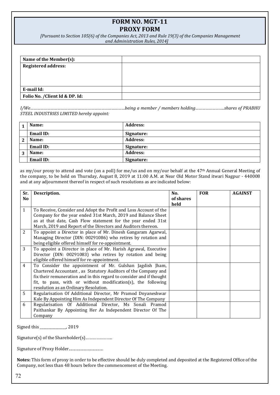## **FORM NO. MGT-11 PROXY FORM**

*[Pursuant to Section 105(6) of the Companies Act, 2013 and Rule 19(3) of the Companies Management and Administration Rules, 2014]*

| Name of the Member(s):          |  |
|---------------------------------|--|
| <b>Registered address:</b>      |  |
|                                 |  |
|                                 |  |
| E-mail Id:                      |  |
|                                 |  |
| Folio No. / Client Id & DP. Id: |  |

*I/We…………………………………………………………………………being a member / members holding……………………..shares of PRABHU STEEL INDUSTRIES LIMITED hereby appoint:*

|   | Name:            | Address:        |
|---|------------------|-----------------|
|   | Email ID:        | Signature:      |
| 2 | Name:            | <b>Address:</b> |
|   | Email ID:        | Signature:      |
| 3 | Name:            | <b>Address:</b> |
|   | <b>Email ID:</b> | Signature:      |

as my/our proxy to attend and vote (on a poll) for me/us and on my/our behalf at the 47<sup>th</sup> Annual General Meeting of the company, to be held on Thursday, August 8, 2019 at 11:00 A.M. at Near Old Motor Stand itwari Nagpur - 440008 and at any adjournment thereof in respect of such resolutions as are indicated below:

| Sr.            | Description.                                                         | No.       | <b>FOR</b> | <b>AGAINST</b> |
|----------------|----------------------------------------------------------------------|-----------|------------|----------------|
| N <sub>o</sub> |                                                                      | of shares |            |                |
|                |                                                                      | held      |            |                |
| $\mathbf{1}$   | To Receive, Consider and Adopt the Profit and Loss Account of the    |           |            |                |
|                | Company for the year ended 31st March, 2019 and Balance Sheet        |           |            |                |
|                | as at that date, Cash Flow statement for the year ended 31st         |           |            |                |
|                | March, 2019 and Report of the Directors and Auditors thereon.        |           |            |                |
| 2              | To appoint a Director in place of Mr. Dinesh Gangaram Agarwal,       |           |            |                |
|                | Managing Director (DIN: 00291086) who retires by rotation and        |           |            |                |
|                | being eligible offered himself for re-appointment.                   |           |            |                |
| 3              | To appoint a Director in place of Mr. Harish Agrawal, Executive      |           |            |                |
|                | Director (DIN: 00291083) who retires by rotation and being           |           |            |                |
|                | eligible offered himself for re-appointment.                         |           |            |                |
| $\overline{4}$ | To Consider the appointment of Mr. Gulshan Jagdish Jham,             |           |            |                |
|                | Chartered Accountant, as Statutory Auditors of the Company and       |           |            |                |
|                | fix their remuneration and in this regard to consider and if thought |           |            |                |
|                | fit, to pass, with or without modification(s), the following         |           |            |                |
|                | resolution as an Ordinary Resolution.                                |           |            |                |
| $5^{\circ}$    | Regularisation Of Additional Director, Mr Pramod Dnyaneshwar         |           |            |                |
|                | Kale By Appointing Him As Independent Director Of The Company        |           |            |                |
| 6              | Regularisation Of Additional Director, Ms Sonali Pramod              |           |            |                |
|                | Paithankar By Appointing Her As Independent Director Of The          |           |            |                |
|                | Company                                                              |           |            |                |

Signed this \_\_\_\_\_\_\_\_\_\_\_\_\_\_\_, 2019

Signature(s) of the Shareholder(s)…………………..

Signature of Proxy Holder....................................

**Notes:** This form of proxy in order to be effective should be duly completed and deposited at the Registered Office of the Company, not less than 48 hours before the commencement of the Meeting.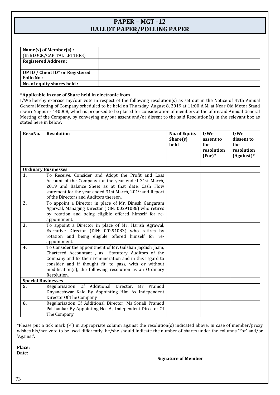## **PAPER – MGT -12 BALLOT PAPER/POLLING PAPER**

| Name $(s)$ of Member $(s)$ :<br>(In BLOCK/CAPITAL LETTERS) |  |
|------------------------------------------------------------|--|
| <b>Registered Address:</b>                                 |  |
| DP ID / Client ID* or Registered<br><b>Folio No:</b>       |  |
| No. of equity shares held :                                |  |

### **\*Applicable in case of Share held in electronic from**

I/We hereby exercise my/our vote in respect of the following resolution(s) as set out in the Notice of 47th Annual General Meeting of Company scheduled to be held on Thursday, August 8, 2019 at 11:00 A.M. at Near Old Motor Stand itwari Nagpur - 440008, which is proposed to be placed for consideration of members at the aforesaid Annual General Meeting of the Company, by conveying my/our assent and/or dissent to the said Resolution(s) in the relevant box as stated here in below:

| ResoNo.                   | <b>Resolution</b>                                                                                                | <b>No. of Equity</b><br>Share(s)<br>held | I/We<br>assent to<br>the | I/We<br>dissent to<br>the      |
|---------------------------|------------------------------------------------------------------------------------------------------------------|------------------------------------------|--------------------------|--------------------------------|
|                           |                                                                                                                  |                                          | resolution<br>$(For)*$   | resolution<br>$(A$ gainst $)*$ |
|                           | <b>Ordinary Businesses</b>                                                                                       |                                          |                          |                                |
| 1.                        | To Receive, Consider and Adopt the Profit and Loss                                                               |                                          |                          |                                |
|                           | Account of the Company for the year ended 31st March,                                                            |                                          |                          |                                |
|                           | 2019 and Balance Sheet as at that date, Cash Flow                                                                |                                          |                          |                                |
|                           | statement for the year ended 31st March, 2019 and Report                                                         |                                          |                          |                                |
|                           | of the Directors and Auditors thereon.                                                                           |                                          |                          |                                |
| 2.                        | To appoint a Director in place of Mr. Dinesh Gangaram                                                            |                                          |                          |                                |
|                           | Agarwal, Managing Director (DIN: 00291086) who retires<br>by rotation and being eligible offered himself for re- |                                          |                          |                                |
|                           | appointment.                                                                                                     |                                          |                          |                                |
| 3.                        | To appoint a Director in place of Mr. Harish Agrawal,                                                            |                                          |                          |                                |
|                           | Executive Director (DIN: 00291083) who retires by                                                                |                                          |                          |                                |
|                           | rotation and being eligible offered himself for re-                                                              |                                          |                          |                                |
|                           | appointment.                                                                                                     |                                          |                          |                                |
| 4.                        | To Consider the appointment of Mr. Gulshan Jagdish Jham,                                                         |                                          |                          |                                |
|                           | Chartered Accountant, as Statutory Auditors of the<br>Company and fix their remuneration and in this regard to   |                                          |                          |                                |
|                           | consider and if thought fit, to pass, with or without                                                            |                                          |                          |                                |
|                           | modification(s), the following resolution as an Ordinary                                                         |                                          |                          |                                |
|                           | Resolution.                                                                                                      |                                          |                          |                                |
| <b>Special Businesses</b> |                                                                                                                  |                                          |                          |                                |
| 5.                        | Regularisation Of Additional Director,<br>Mr Pramod                                                              |                                          |                          |                                |
|                           | Dnyaneshwar Kale By Appointing Him As Independent                                                                |                                          |                          |                                |
|                           | Director Of The Company                                                                                          |                                          |                          |                                |
| 6.                        | Regularisation Of Additional Director, Ms Sonali Pramod                                                          |                                          |                          |                                |
|                           | Paithankar By Appointing Her As Independent Director Of                                                          |                                          |                          |                                |
|                           | The Company                                                                                                      |                                          |                          |                                |

\*Please put a tick mark  $(\checkmark)$  in appropriate column against the resolution(s) indicated above. In case of member/proxy wishes his/her vote to be used differently, he/she should indicate the number of shares under the columns 'For' and/or 'Against'.

**Place: Date: \_\_\_\_\_\_\_\_\_\_\_\_\_\_\_\_\_\_\_\_\_\_\_\_\_\_\_**

 **Signature of Member**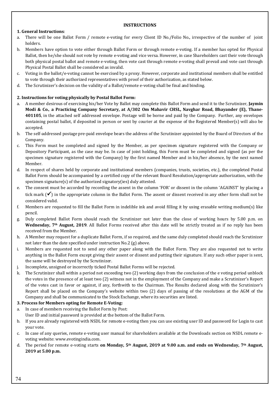#### **INSTRUCTIONS**

## **1. General Instructions**:

- a. There will be one Ballot Form / remote e-voting for every Client ID No./Folio No., irrespective of the number of joint holders.
- b. Members have option to vote either through Ballot Form or through remote e-voting. If a member has opted for Physical Ballot, then he/she should not vote by remote e-voting and vice versa. However, in case Shareholders cast their vote through both physical postal ballot and remote e-voting, then vote cast through remote e-voting shall prevail and vote cast through Physical Postal Ballot shall be considered as invalid.
- c. Voting in the ballot/e-voting cannot be exercised by a proxy. However, corporate and institutional members shall be entitled to vote through their authorized representatives with proof of their authorization, as stated below.
- d. The Scrutinizer's decision on the validity of a Ballot/remote e-voting shall be final and binding.

## **2. Instructions for voting physically by Postal Ballot Form:**

- a. A member desirous of exercising his/her Vote by Ballot may complete this Ballot Form and send it to the Scrutinizer, **Jaymin Modi & Co.**, **a Practicing Company Secretary, at A/302 Om Mahavir CHSL, Navghar Road, Bhayander (E), Thane-401105**, in the attached self addressed envelope. Postage will be borne and paid by the Company. Further, any envelopes containing postal ballot, if deposited in person or sent by courier at the expense of the Registered Member(s) will also be accepted.
- b. The self-addressed postage pre-paid envelope bears the address of the Scrutinizer appointed by the Board of Directors of the Company.
- c. This Form must be completed and signed by the Member, as per specimen signature registered with the Company or Depository Participant, as the case may be. In case of joint holding, this Form must be completed and signed (as per the specimen signature registered with the Company) by the first named Member and in his/her absence, by the next named Member.
- d. In respect of shares held by corporate and institutional members (companies, trusts, societies, etc.), the completed Postal Ballot Form should be accompanied by a certified copy of the relevant Board Resolution/appropriate authorization, with the specimen signature(s) of the authorized signatory(ies) duly attested.
- e. The consent must be accorded by recording the assent in the column 'FOR' or dissent in the column 'AGAINST' by placing a tick mark  $(\checkmark)$  in the appropriate column in the Ballot Form. The assent or dissent received in any other form shall not be considered valid.
- f. Members are requested to fill the Ballot Form in indelible ink and avoid filling it by using erasable writing medium(s) like pencil.
- g. Duly completed Ballot Form should reach the Scrutinizer not later than the close of working hours by 5.00 p.m. on **Wednesday, 7th August, 2019**. All Ballot Forms received after this date will be strictly treated as if no reply has been received from the Member.
- h. A Member may request for a duplicate Ballot Form, if so required, and the same duly completed should reach the Scrutinizer not later than the date specified under instruction No.2 (g) above.
- i. Members are requested not to send any other paper along with the Ballot Form. They are also requested not to write anything in the Ballot Form except giving their assent or dissent and putting their signature. If any such other paper is sent, the same will be destroyed by the Scrutinizer.
- j. Incomplete, unsigned or incorrectly ticked Postal Ballot Forms will be rejected.
- k. The Scrutinizer shall within a period not exceeding two (2) working days from the conclusion of the e voting period unblock the votes in the presence of at least two (2) witness not in the employment of the Company and make a Scrutinizer's Report of the votes cast in favor or against, if any, forthwith to the Chairman. The Results declared along with the Scrutinizer's Report shall be placed on the Company's website within two (2) days of passing of the resolutions at the AGM of the Company and shall be communicated to the Stock Exchange, where its securities are listed.

### **3. Process for Members opting for Remote E-Voting:**

- a. In case of members receiving the Ballot Form by Post:
	- User ID and initial password is provided at the bottom of the Ballot Form.
- b. If you are already registered with NSDL for remote e-voting then you can use existing user ID and password for Login to cast your vote.
- c. In case of any queries, remote e-voting user manual for shareholders available at the Downloads section on NSDL remote evoting website: www.evotingindia.com.
- d. The period for remote e-voting starts **on Monday, 5th August, 2019 at 9.00 a.m. and ends on Wednesday, 7th August, 2019 at 5.00 p.m.**